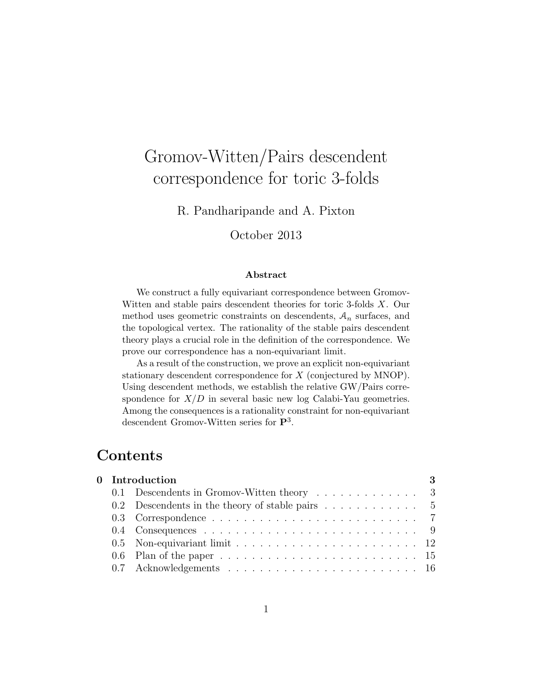# Gromov-Witten/Pairs descendent correspondence for toric 3-folds

R. Pandharipande and A. Pixton

October 2013

#### Abstract

We construct a fully equivariant correspondence between Gromov-Witten and stable pairs descendent theories for toric 3-folds X. Our method uses geometric constraints on descendents,  $A_n$  surfaces, and the topological vertex. The rationality of the stable pairs descendent theory plays a crucial role in the definition of the correspondence. We prove our correspondence has a non-equivariant limit.

As a result of the construction, we prove an explicit non-equivariant stationary descendent correspondence for X (conjectured by MNOP). Using descendent methods, we establish the relative GW/Pairs correspondence for  $X/D$  in several basic new log Calabi-Yau geometries. Among the consequences is a rationality constraint for non-equivariant descendent Gromov-Witten series for  $\mathbf{P}^3$ .

# Contents

| 0 Introduction |                                                                                                  |  |  |
|----------------|--------------------------------------------------------------------------------------------------|--|--|
|                | 0.1 Descendents in Gromov-Witten theory $\dots \dots \dots \dots$ 3                              |  |  |
|                | 0.2 Descendents in the theory of stable pairs $\dots \dots \dots \dots$ 5                        |  |  |
|                |                                                                                                  |  |  |
|                |                                                                                                  |  |  |
|                | 0.5 Non-equivariant limit $\ldots \ldots \ldots \ldots \ldots \ldots \ldots \ldots \ldots 12$    |  |  |
|                | 0.6 Plan of the paper $\ldots \ldots \ldots \ldots \ldots \ldots \ldots \ldots \ldots \ldots 15$ |  |  |
|                |                                                                                                  |  |  |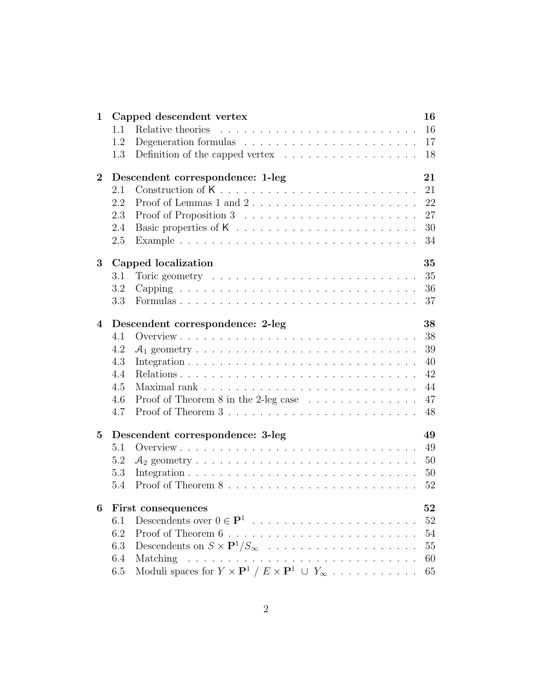| 1        |     | Capped descendent vertex                                                                                                              | 16 |
|----------|-----|---------------------------------------------------------------------------------------------------------------------------------------|----|
|          | 1.1 | Relative theories                                                                                                                     | 16 |
|          | 1.2 | Degeneration formulas $\dots \dots \dots \dots \dots \dots \dots \dots$                                                               | 17 |
|          | 1.3 | Definition of the capped vertex $\dots \dots \dots \dots \dots \dots$                                                                 | 18 |
| $\bf{2}$ |     | Descendent correspondence: 1-leg                                                                                                      | 21 |
|          | 2.1 | Construction of K                                                                                                                     | 21 |
|          | 2.2 |                                                                                                                                       | 22 |
|          | 2.3 |                                                                                                                                       | 27 |
|          | 2.4 |                                                                                                                                       | 30 |
|          | 2.5 |                                                                                                                                       | 34 |
| 3        |     | Capped localization                                                                                                                   | 35 |
|          | 3.1 | Toric geometry $\dots \dots \dots \dots \dots \dots \dots \dots \dots \dots$                                                          | 35 |
|          | 3.2 |                                                                                                                                       | 36 |
|          | 3.3 |                                                                                                                                       | 37 |
| 4        |     | Descendent correspondence: 2-leg                                                                                                      | 38 |
|          | 4.1 |                                                                                                                                       | 38 |
|          | 4.2 |                                                                                                                                       | 39 |
|          | 4.3 |                                                                                                                                       | 40 |
|          | 4.4 |                                                                                                                                       | 42 |
|          | 4.5 |                                                                                                                                       | 44 |
|          | 4.6 | Proof of Theorem 8 in the 2-leg case $\dots \dots \dots \dots \dots$                                                                  | 47 |
|          | 4.7 |                                                                                                                                       | 48 |
| 5        |     | Descendent correspondence: 3-leg                                                                                                      | 49 |
|          | 5.1 |                                                                                                                                       | 49 |
|          | 5.2 |                                                                                                                                       | 50 |
|          | 5.3 |                                                                                                                                       | 50 |
|          | 5.4 |                                                                                                                                       | 52 |
| 6        |     | First consequences                                                                                                                    | 52 |
|          | 6.1 | Descendents over $0 \in \mathbf{P}^1$                                                                                                 | 52 |
|          | 6.2 |                                                                                                                                       | 54 |
|          | 6.3 | Descendents on $S \times \mathbf{P}^1/S_{\infty}$                                                                                     | 55 |
|          | 6.4 | Matching                                                                                                                              | 60 |
|          | 6.5 | Moduli spaces for $Y \times \mathbf{P}^1 / E \times \mathbf{P}^1 \cup Y_\infty \cdot \cdot \cdot \cdot \cdot \cdot \cdot \cdot \cdot$ | 65 |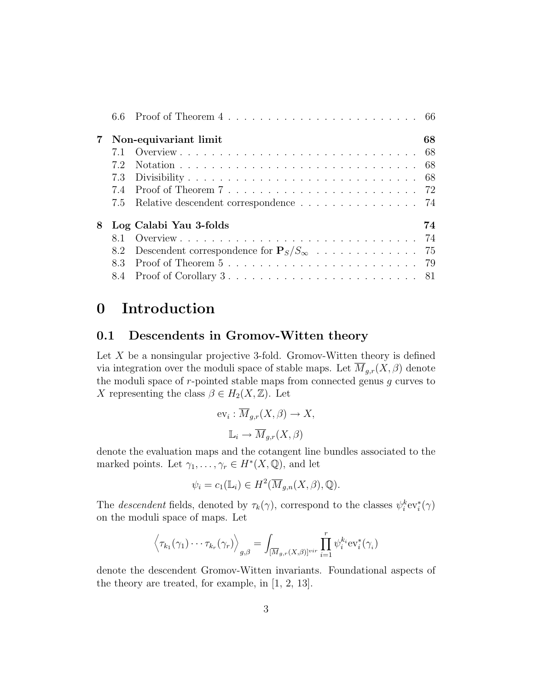| $7\,$ | Non-equivariant limit                     | 68 |
|-------|-------------------------------------------|----|
|       |                                           |    |
|       |                                           |    |
|       |                                           |    |
|       |                                           |    |
|       | 7.5 Relative descendent correspondence 74 |    |
|       | 8 Log Calabi Yau 3-folds                  | 74 |
|       |                                           |    |
|       |                                           |    |
|       |                                           |    |
|       |                                           |    |

# 0 Introduction

# 0.1 Descendents in Gromov-Witten theory

Let  $X$  be a nonsingular projective 3-fold. Gromov-Witten theory is defined via integration over the moduli space of stable maps. Let  $\overline{M}_{g,r}(X,\beta)$  denote the moduli space of  $r$ -pointed stable maps from connected genus  $g$  curves to X representing the class  $\beta \in H_2(X, \mathbb{Z})$ . Let

$$
ev_i: \overline{M}_{g,r}(X,\beta) \to X,
$$

$$
\mathbb{L}_i \to \overline{M}_{g,r}(X,\beta)
$$

denote the evaluation maps and the cotangent line bundles associated to the marked points. Let  $\gamma_1, \ldots, \gamma_r \in H^*(X, \mathbb{Q})$ , and let

$$
\psi_i = c_1(\mathbb{L}_i) \in H^2(\overline{M}_{g,n}(X,\beta),\mathbb{Q}).
$$

The *descendent* fields, denoted by  $\tau_k(\gamma)$ , correspond to the classes  $\psi_i^k ev_i^*(\gamma)$ on the moduli space of maps. Let

$$
\left\langle \tau_{k_1}(\gamma_1)\cdots\tau_{k_r}(\gamma_r)\right\rangle_{g,\beta}=\int_{[\overline{M}_{g,r}(X,\beta)]^{vir}}\prod_{i=1}^r\psi_i^{k_i}\text{ev}_i^*(\gamma_i)
$$

denote the descendent Gromov-Witten invariants. Foundational aspects of the theory are treated, for example, in [1, 2, 13].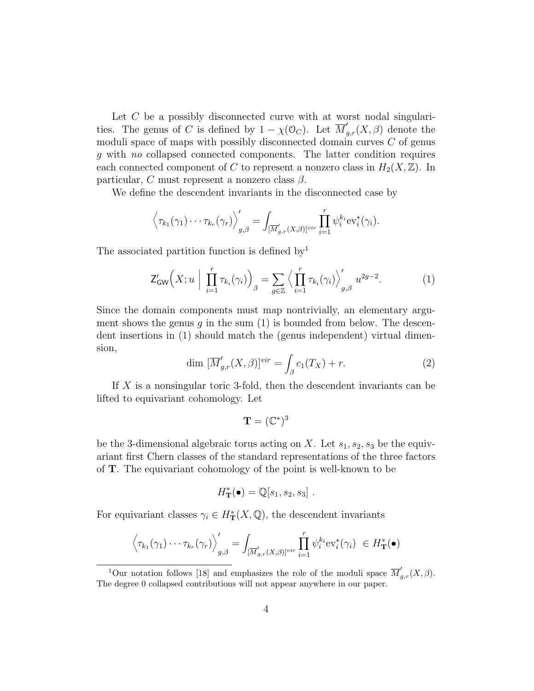Let C be a possibly disconnected curve with at worst nodal singularities. The genus of C is defined by  $1 - \chi(\mathcal{O}_C)$ . Let  $\overline{M}'_{g,r}(X,\beta)$  denote the moduli space of maps with possibly disconnected domain curves  $C$  of genus g with no collapsed connected components. The latter condition requires each connected component of C to represent a nonzero class in  $H_2(X,\mathbb{Z})$ . In particular, C must represent a nonzero class  $\beta$ .

We define the descendent invariants in the disconnected case by

$$
\left\langle \tau_{k_1}(\gamma_1)\cdots\tau_{k_r}(\gamma_r)\right\rangle_{g,\beta}'=\int_{[\overline{M}'_{g,r}(X,\beta)]^{vir}}\prod_{i=1}^r\psi_i^{k_i}\text{ev}_i^*(\gamma_i).
$$

The associated partition function is defined by

$$
\mathsf{Z}_{\mathsf{GW}}'\Big(X; u\Big| \prod_{i=1}^r \tau_{k_i}(\gamma_i)\Big)_{\beta} = \sum_{g \in \mathbb{Z}} \Big\langle \prod_{i=1}^r \tau_{k_i}(\gamma_i) \Big\rangle_{g,\beta}' u^{2g-2}.\tag{1}
$$

Since the domain components must map nontrivially, an elementary argument shows the genus q in the sum  $(1)$  is bounded from below. The descendent insertions in (1) should match the (genus independent) virtual dimension,

$$
\dim \left[ \overline{M}'_{g,r}(X,\beta) \right]^{vir} = \int_{\beta} c_1(T_X) + r. \tag{2}
$$

If X is a nonsingular toric 3-fold, then the descendent invariants can be lifted to equivariant cohomology. Let

$$
\mathbf{T}=(\mathbb{C}^*)^3
$$

be the 3-dimensional algebraic torus acting on X. Let  $s_1, s_2, s_3$  be the equivariant first Chern classes of the standard representations of the three factors of T. The equivariant cohomology of the point is well-known to be

$$
H_{\mathbf{T}}^*(\bullet) = \mathbb{Q}[s_1, s_2, s_3].
$$

For equivariant classes  $\gamma_i \in H^*_{\mathbf{T}}(X, \mathbb{Q})$ , the descendent invariants

$$
\left\langle \tau_{k_1}(\gamma_1)\cdots\tau_{k_r}(\gamma_r)\right\rangle_{g,\beta}'=\int_{[\overline{M}'_{g,r}(X,\beta)]^{vir}}\prod_{i=1}^r\psi_i^{k_i}\text{ev}_i^*(\gamma_i) \in H_{\mathbf{T}}^*(\bullet)
$$

<sup>&</sup>lt;sup>1</sup>Our notation follows [18] and emphasizes the role of the moduli space  $\overline{M}'_{g,r}(X,\beta)$ . The degree 0 collapsed contributions will not appear anywhere in our paper.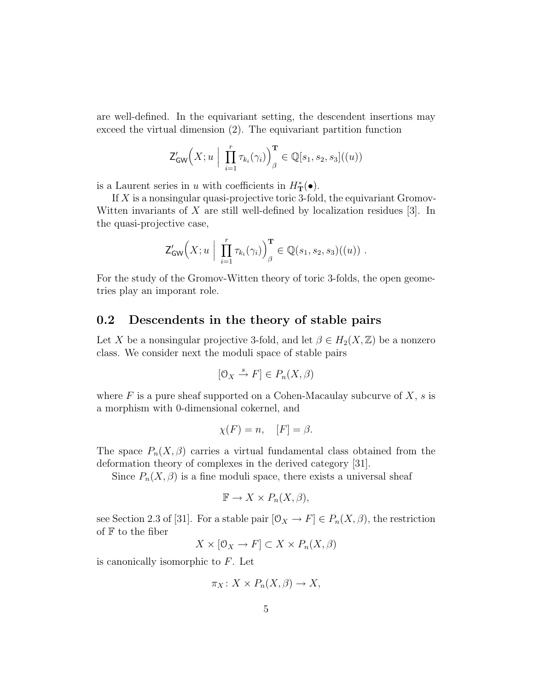are well-defined. In the equivariant setting, the descendent insertions may exceed the virtual dimension (2). The equivariant partition function

$$
\mathsf{Z}^{\prime}_{\mathsf{GW}}\Big(X;u\ \Big|\ \textstyle\prod\limits_{i=1}^r\tau_{k_i}(\gamma_i)\Big)_{\beta}^{\mathbf{T}}\in \mathbb{Q}[s_1,s_2,s_3]((u))
$$

is a Laurent series in u with coefficients in  $H^*_{\mathbf{T}}(\bullet)$ .

If  $X$  is a nonsingular quasi-projective toric 3-fold, the equivariant Gromov-Witten invariants of  $X$  are still well-defined by localization residues [3]. In the quasi-projective case,

$$
\mathsf{Z}^{\prime}_{\mathsf{GW}}\Big(X; u \Big| \prod_{i=1}^r \tau_{k_i}(\gamma_i) \Big)_{\beta}^{\mathbf{T}} \in \mathbb{Q}(s_1, s_2, s_3)((u)) .
$$

For the study of the Gromov-Witten theory of toric 3-folds, the open geometries play an imporant role.

#### 0.2 Descendents in the theory of stable pairs

Let X be a nonsingular projective 3-fold, and let  $\beta \in H_2(X, \mathbb{Z})$  be a nonzero class. We consider next the moduli space of stable pairs

$$
[\mathcal{O}_X \xrightarrow{s} F] \in P_n(X, \beta)
$$

where  $F$  is a pure sheaf supported on a Cohen-Macaulay subcurve of  $X$ ,  $s$  is a morphism with 0-dimensional cokernel, and

$$
\chi(F) = n, \quad [F] = \beta.
$$

The space  $P_n(X,\beta)$  carries a virtual fundamental class obtained from the deformation theory of complexes in the derived category [31].

Since  $P_n(X, \beta)$  is a fine moduli space, there exists a universal sheaf

$$
\mathbb{F} \to X \times P_n(X, \beta),
$$

see Section 2.3 of [31]. For a stable pair  $[0_X \to F] \in P_n(X, \beta)$ , the restriction of  $F$  to the fiber

$$
X \times [0_X \to F] \subset X \times P_n(X, \beta)
$$

is canonically isomorphic to  $F$ . Let

$$
\pi_X\colon X\times P_n(X,\beta)\to X,
$$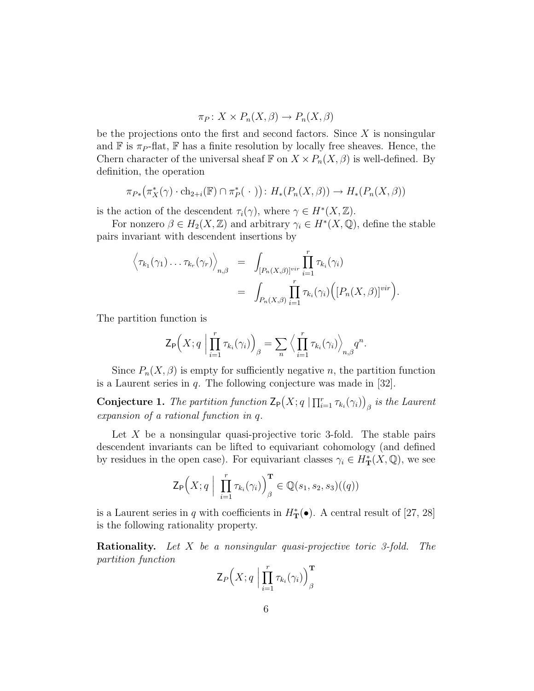$$
\pi_P \colon X \times P_n(X, \beta) \to P_n(X, \beta)
$$

be the projections onto the first and second factors. Since  $X$  is nonsingular and  $\mathbb F$  is  $\pi_P$ -flat,  $\mathbb F$  has a finite resolution by locally free sheaves. Hence, the Chern character of the universal sheaf  $\mathbb F$  on  $X \times P_n(X,\beta)$  is well-defined. By definition, the operation

$$
\pi_{P*}(\pi_X^*(\gamma) \cdot \text{ch}_{2+i}(\mathbb{F}) \cap \pi_P^*(\cdot)) : H_*(P_n(X,\beta)) \to H_*(P_n(X,\beta))
$$

is the action of the descendent  $\tau_i(\gamma)$ , where  $\gamma \in H^*(X,\mathbb{Z})$ .

For nonzero  $\beta \in H_2(X, \mathbb{Z})$  and arbitrary  $\gamma_i \in H^*(X, \mathbb{Q})$ , define the stable pairs invariant with descendent insertions by

$$
\left\langle \tau_{k_1}(\gamma_1) \ldots \tau_{k_r}(\gamma_r) \right\rangle_{n,\beta} = \int_{[P_n(X,\beta)]^{vir}} \prod_{i=1}^r \tau_{k_i}(\gamma_i)
$$
  
= 
$$
\int_{P_n(X,\beta)} \prod_{i=1}^r \tau_{k_i}(\gamma_i) \Big( [P_n(X,\beta)]^{vir} \Big).
$$

The partition function is

$$
\mathsf{Z}_{\mathsf{P}}\Big(X;q\Big|\prod_{i=1}^r\tau_{k_i}(\gamma_i)\Big)_{\beta}=\sum_{n}\Big\langle\prod_{i=1}^r\tau_{k_i}(\gamma_i)\Big\rangle_{n,\beta}q^n.
$$

Since  $P_n(X, \beta)$  is empty for sufficiently negative n, the partition function is a Laurent series in  $q$ . The following conjecture was made in [32].

**Conjecture 1.** The partition function  $\mathsf{Z}_{\mathsf{P}}(X; q \mid \prod_{i=1}^r \tau_{k_i}(\gamma_i))$  $\beta$  is the Laurent expansion of a rational function in q.

Let  $X$  be a nonsingular quasi-projective toric 3-fold. The stable pairs descendent invariants can be lifted to equivariant cohomology (and defined by residues in the open case). For equivariant classes  $\gamma_i \in H^*_{\mathbf{T}}(X, \mathbb{Q})$ , we see

$$
\mathsf{Z}_{\mathsf{P}}\Big(X; q \mid \prod_{i=1}^r \tau_{k_i}(\gamma_i)\Big)_{\beta}^{\mathbf{T}} \in \mathbb{Q}(s_1, s_2, s_3)((q))
$$

is a Laurent series in q with coefficients in  $H^*_{\mathbf{T}}(\bullet)$ . A central result of [27, 28] is the following rationality property.

**Rationality.** Let  $X$  be a nonsingular quasi-projective toric 3-fold. The partition function

$$
\mathsf{Z}_{P}\Big(X;q\;\Big|\prod_{i=1}^r\tau_{k_i}(\gamma_i)\Big)^{\mathbf{T}}_{\beta}
$$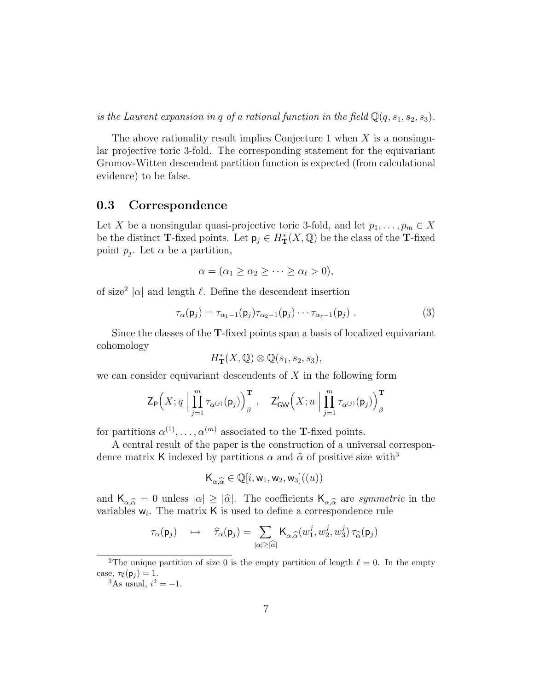is the Laurent expansion in q of a rational function in the field  $\mathbb{Q}(q,s_1,s_2,s_3)$ .

The above rationality result implies Conjecture 1 when  $X$  is a nonsingular projective toric 3-fold. The corresponding statement for the equivariant Gromov-Witten descendent partition function is expected (from calculational evidence) to be false.

#### 0.3 Correspondence

Let X be a nonsingular quasi-projective toric 3-fold, and let  $p_1, \ldots, p_m \in X$ be the distinct T-fixed points. Let  $\mathsf{p}_j \in H^*_{\mathbf{T}}(X,\mathbb{Q})$  be the class of the T-fixed point  $p_j$ . Let  $\alpha$  be a partition,

$$
\alpha = (\alpha_1 \geq \alpha_2 \geq \cdots \geq \alpha_{\ell} > 0),
$$

of size<sup>2</sup> | $\alpha$ | and length  $\ell$ . Define the descendent insertion

$$
\tau_{\alpha}(\mathbf{p}_j) = \tau_{\alpha_1 - 1}(\mathbf{p}_j) \tau_{\alpha_2 - 1}(\mathbf{p}_j) \cdots \tau_{\alpha_\ell - 1}(\mathbf{p}_j) . \tag{3}
$$

Since the classes of the T-fixed points span a basis of localized equivariant cohomology

$$
H^*_{\mathbf T}(X, \mathbb Q)\otimes \mathbb Q(s_1, s_2, s_3),
$$

we can consider equivariant descendents of  $X$  in the following form

$$
\mathsf{Z}_{\mathsf{P}}\Big(X;q\;\Big|\prod_{j=1}^m\tau_{\alpha^{(j)}}(\mathsf{p}_j)\Big)_{\beta}^{\mathbf{T}}\;,\quad\mathsf{Z}'_{\mathsf{GW}}\Big(X;u\;\Big|\prod_{j=1}^m\tau_{\alpha^{(j)}}(\mathsf{p}_j)\Big)_{\beta}^{\mathbf{T}}\\
$$

for partitions  $\alpha^{(1)}, \ldots, \alpha^{(m)}$  associated to the **T**-fixed points.

A central result of the paper is the construction of a universal correspondence matrix K indexed by partitions  $\alpha$  and  $\hat{\alpha}$  of positive size with<sup>3</sup>

$$
\mathsf{K}_{\alpha,\widehat{\alpha}} \in \mathbb{Q}[i,\mathsf{w}_1,\mathsf{w}_2,\mathsf{w}_3]((u))
$$

and  $K_{\alpha,\widehat{\alpha}} = 0$  unless  $|\alpha| \geq |\widehat{\alpha}|$ . The coefficients  $K_{\alpha,\widehat{\alpha}}$  are *symmetric* in the vertibles  $w$ . The matrix K is used to define a correspondance rule. variables  $w_i$ . The matrix  $K$  is used to define a correspondence rule

$$
\tau_{\alpha}(\mathbf{p}_j) \quad \mapsto \quad \widehat{\tau}_{\alpha}(\mathbf{p}_j) = \sum_{|\alpha| \geq |\widehat{\alpha}|} \mathsf{K}_{\alpha,\widehat{\alpha}}(w_1^j,w_2^j,w_3^j) \, \tau_{\widehat{\alpha}}(\mathbf{p}_j)
$$

<sup>&</sup>lt;sup>2</sup>The unique partition of size 0 is the empty partition of length  $\ell = 0$ . In the empty case,  $\tau_{\emptyset}(\mathsf{p}_i) = 1$ .

<sup>&</sup>lt;sup>3</sup>As usual,  $i^2 = -1$ .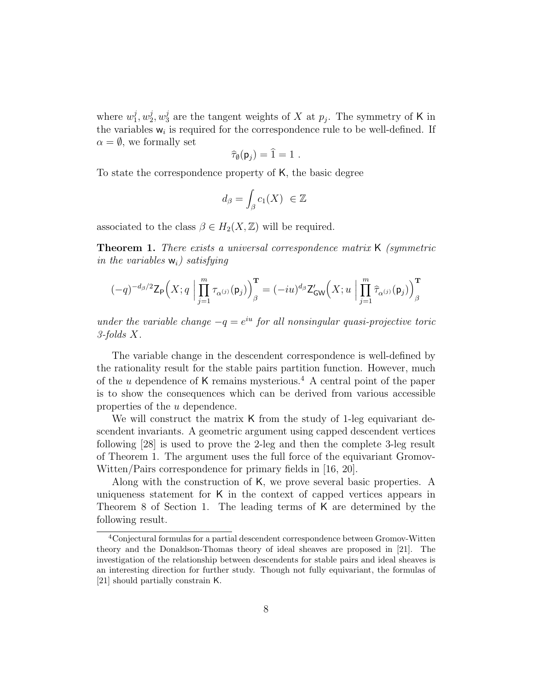where  $w_1^j$  $_{1}^{j},w_{2}^{j}$  $y_2^j, w_3^j$  are the tangent weights of X at  $p_j$ . The symmetry of K in the variables  $w_i$  is required for the correspondence rule to be well-defined. If  $\alpha = \emptyset$ , we formally set

$$
\widehat{\tau}_{\emptyset}(\mathsf{p}_j) = 1 = 1 \; .
$$

To state the correspondence property of K, the basic degree

$$
d_{\beta} = \int_{\beta} c_1(X) \ \in \mathbb{Z}
$$

associated to the class  $\beta \in H_2(X, \mathbb{Z})$  will be required.

Theorem 1. There exists a universal correspondence matrix K (symmetric in the variables  $w_i$ ) satisfying

$$
(-q)^{-d_{\beta}/2}\mathsf{Z}_{\mathsf{P}}\Big(X;q\;\Big|\prod_{j=1}^m\tau_{\alpha^{(j)}}(\mathsf{p}_j)\Big)_{\beta}^{\mathbf{T}}=(-iu)^{d_{\beta}}\mathsf{Z}'_{\mathsf{GW}}\Big(X;u\;\Big|\prod_{j=1}^m\widehat{\tau}_{\alpha^{(j)}}(\mathsf{p}_j)\Big)_{\beta}^{\mathbf{T}}
$$

under the variable change  $-q = e^{iu}$  for all nonsingular quasi-projective toric 3-folds X.

The variable change in the descendent correspondence is well-defined by the rationality result for the stable pairs partition function. However, much of the u dependence of K remains mysterious.<sup>4</sup> A central point of the paper is to show the consequences which can be derived from various accessible properties of the u dependence.

We will construct the matrix K from the study of 1-leg equivariant descendent invariants. A geometric argument using capped descendent vertices following [28] is used to prove the 2-leg and then the complete 3-leg result of Theorem 1. The argument uses the full force of the equivariant Gromov-Witten/Pairs correspondence for primary fields in [16, 20].

Along with the construction of K, we prove several basic properties. A uniqueness statement for K in the context of capped vertices appears in Theorem 8 of Section 1. The leading terms of K are determined by the following result.

<sup>&</sup>lt;sup>4</sup>Conjectural formulas for a partial descendent correspondence between Gromov-Witten theory and the Donaldson-Thomas theory of ideal sheaves are proposed in [21]. The investigation of the relationship between descendents for stable pairs and ideal sheaves is an interesting direction for further study. Though not fully equivariant, the formulas of [21] should partially constrain K.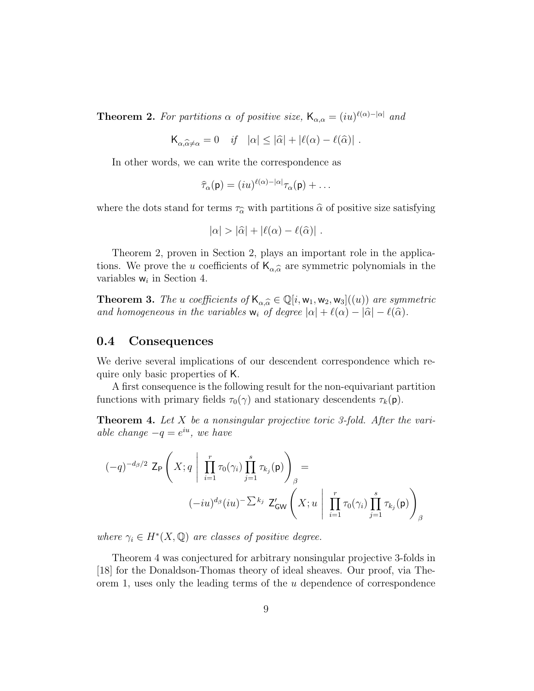**Theorem 2.** For partitions  $\alpha$  of positive size,  $\mathsf{K}_{\alpha,\alpha} = (iu)^{\ell(\alpha)-|\alpha|}$  and

$$
\mathsf{K}_{\alpha,\widehat{\alpha}\neq\alpha}=0 \quad \text{if} \quad |\alpha|\leq |\widehat{\alpha}|+|\ell(\alpha)-\ell(\widehat{\alpha})| \; .
$$

In other words, we can write the correspondence as

$$
\widehat{\tau}_\alpha(\mathsf{p}) = (iu)^{\ell(\alpha)-|\alpha|}\tau_\alpha(\mathsf{p}) + \ldots
$$

where the dots stand for terms  $\tau_{\hat{\alpha}}$  with partitions  $\hat{\alpha}$  of positive size satisfying

$$
|\alpha| > |\widehat{\alpha}| + |\ell(\alpha) - \ell(\widehat{\alpha})|.
$$

Theorem 2, proven in Section 2, plays an important role in the applications. We prove the u coefficients of  $\mathsf{K}_{\alpha,\widehat{\alpha}}$  are symmetric polynomials in the variables  $w$  in Section 4. variables  $w_i$  in Section 4.

**Theorem 3.** The u coefficients of  $\mathsf{K}_{\alpha,\widehat{\alpha}} \in \mathbb{Q}[i,\mathsf{w}_1,\mathsf{w}_2,\mathsf{w}_3]((u))$  are symmetric and homogeneous in the variables  $w_i$  of degree  $|\alpha| + \ell(\alpha) - |\widehat{\alpha}| - \ell(\widehat{\alpha})$ .

#### 0.4 Consequences

We derive several implications of our descendent correspondence which require only basic properties of K.

A first consequence is the following result for the non-equivariant partition functions with primary fields  $\tau_0(\gamma)$  and stationary descendents  $\tau_k(\mathbf{p})$ .

**Theorem 4.** Let  $X$  be a nonsingular projective toric 3-fold. After the variable change  $-q = e^{iu}$ , we have

$$
(-q)^{-d_{\beta}/2} \mathsf{Z}_{\mathsf{P}}\left(X; q \mid \prod_{i=1}^{r} \tau_{0}(\gamma_{i}) \prod_{j=1}^{s} \tau_{k_{j}}(\mathsf{p})\right)_{\beta} =
$$

$$
(-iu)^{d_{\beta}}(iu)^{-\sum k_{j}} \mathsf{Z}_{\mathsf{GW}}'\left(X; u \mid \prod_{i=1}^{r} \tau_{0}(\gamma_{i}) \prod_{j=1}^{s} \tau_{k_{j}}(\mathsf{p})\right)_{\beta}
$$

where  $\gamma_i \in H^*(X, \mathbb{Q})$  are classes of positive degree.

Theorem 4 was conjectured for arbitrary nonsingular projective 3-folds in [18] for the Donaldson-Thomas theory of ideal sheaves. Our proof, via Theorem 1, uses only the leading terms of the  $u$  dependence of correspondence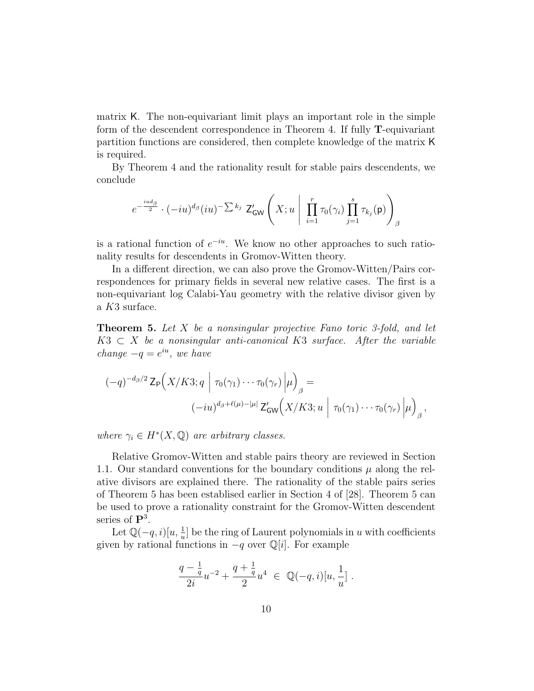matrix K. The non-equivariant limit plays an important role in the simple form of the descendent correspondence in Theorem 4. If fully T-equivariant partition functions are considered, then complete knowledge of the matrix K is required.

By Theorem 4 and the rationality result for stable pairs descendents, we conclude

$$
e^{-\frac{iud_\beta}{2}}\cdot (-iu)^{d_\beta}(iu)^{-\sum k_j}\;\mathsf{Z}'_\mathsf{GW}\left(X;u\;\Bigg|\;\prod_{i=1}^r\tau_0(\gamma_i)\prod_{j=1}^s\tau_{k_j}(\mathsf{p})\right)_\beta
$$

is a rational function of  $e^{-iu}$ . We know no other approaches to such rationality results for descendents in Gromov-Witten theory.

In a different direction, we can also prove the Gromov-Witten/Pairs correspondences for primary fields in several new relative cases. The first is a non-equivariant log Calabi-Yau geometry with the relative divisor given by a K3 surface.

**Theorem 5.** Let  $X$  be a nonsingular projective Fano toric 3-fold, and let  $K3 \subset X$  be a nonsingular anti-canonical K3 surface. After the variable change  $-q = e^{iu}$ , we have

$$
(-q)^{-d_{\beta}/2} \mathsf{Z}_{\mathsf{P}}\Big(X/K3; q \mid \tau_0(\gamma_1) \cdots \tau_0(\gamma_r) \Big| \mu \Big)_{\beta} =
$$
  

$$
(-iu)^{d_{\beta}+\ell(\mu)-|\mu|} \mathsf{Z}'_{\mathsf{GW}}\Big(X/K3; u \mid \tau_0(\gamma_1) \cdots \tau_0(\gamma_r) \Big| \mu \Big)_{\beta},
$$

where  $\gamma_i \in H^*(X, \mathbb{Q})$  are arbitrary classes.

Relative Gromov-Witten and stable pairs theory are reviewed in Section 1.1. Our standard conventions for the boundary conditions  $\mu$  along the relative divisors are explained there. The rationality of the stable pairs series of Theorem 5 has been establised earlier in Section 4 of [28]. Theorem 5 can be used to prove a rationality constraint for the Gromov-Witten descendent series of  $\mathbf{P}^3$ .

Let  $\mathbb{Q}(-q,i)[u, \frac{1}{u}]$  be the ring of Laurent polynomials in u with coefficients given by rational functions in  $-q$  over  $\mathbb{Q}[i]$ . For example

$$
\frac{q-\frac{1}{q}}{2i}u^{-2}+\frac{q+\frac{1}{q}}{2}u^4\ \in\ \mathbb Q(-q,i)[u,\frac{1}{u}]\ .
$$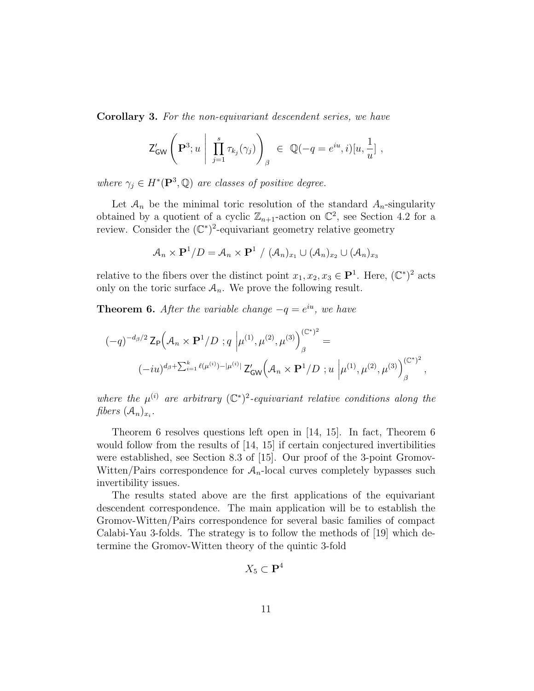Corollary 3. For the non-equivariant descendent series, we have

$$
\mathsf{Z}^{\prime}_{\mathsf{GW}}\Bigg(\mathbf{P}^3;u\ \Bigg|\ \prod_{j=1}^s\tau_{k_j}(\gamma_j)\Bigg)_{\beta}\ \in\ \mathbb{Q}(-q=e^{iu},i)[u,\frac{1}{u}]\ ,
$$

where  $\gamma_j \in H^*(\mathbf{P}^3, \mathbb{Q})$  are classes of positive degree.

Let  $A_n$  be the minimal toric resolution of the standard  $A_n$ -singularity obtained by a quotient of a cyclic  $\mathbb{Z}_{n+1}$ -action on  $\mathbb{C}^2$ , see Section 4.2 for a review. Consider the  $(\mathbb{C}^*)^2$ -equivariant geometry relative geometry

$$
\mathcal{A}_n \times \mathbf{P}^1/D = \mathcal{A}_n \times \mathbf{P}^1 / \left( \mathcal{A}_n \right)_{x_1} \cup \left( \mathcal{A}_n \right)_{x_2} \cup \left( \mathcal{A}_n \right)_{x_3}
$$

relative to the fibers over the distinct point  $x_1, x_2, x_3 \in \mathbf{P}^1$ . Here,  $(\mathbb{C}^*)^2$  acts only on the toric surface  $A_n$ . We prove the following result.

**Theorem 6.** After the variable change  $-q = e^{iu}$ , we have

$$
\begin{split} (-q)^{-d_{\beta}/2} \, \mathsf{Z}_{\mathsf{P}}\Big(\mathcal{A}_{n} \times \mathbf{P}^{1}/D \, \, ; q \, \left| \mu^{(1)}, \mu^{(2)}, \mu^{(3)} \right\rangle_{\beta}^{(\mathbb{C}^{*})^{2}} &= \\ (-iu)^{d_{\beta} + \sum_{i=1}^{k} \ell(\mu^{(i)}) - |\mu^{(i)}|} \, \mathsf{Z}_{\mathsf{GW}}'\Big(\mathcal{A}_{n} \times \mathbf{P}^{1}/D \, \, ; u \, \left| \mu^{(1)}, \mu^{(2)}, \mu^{(3)} \right\rangle_{\beta}^{(\mathbb{C}^{*})^{2}}, \end{split}
$$

where the  $\mu^{(i)}$  are arbitrary  $(\mathbb{C}^*)^2$ -equivariant relative conditions along the fibers  $(A_n)_{x_i}$ .

Theorem 6 resolves questions left open in [14, 15]. In fact, Theorem 6 would follow from the results of [14, 15] if certain conjectured invertibilities were established, see Section 8.3 of [15]. Our proof of the 3-point Gromov-Witten/Pairs correspondence for  $A_n$ -local curves completely bypasses such invertibility issues.

The results stated above are the first applications of the equivariant descendent correspondence. The main application will be to establish the Gromov-Witten/Pairs correspondence for several basic families of compact Calabi-Yau 3-folds. The strategy is to follow the methods of [19] which determine the Gromov-Witten theory of the quintic 3-fold

$$
X_5 \subset \mathbf{P}^4
$$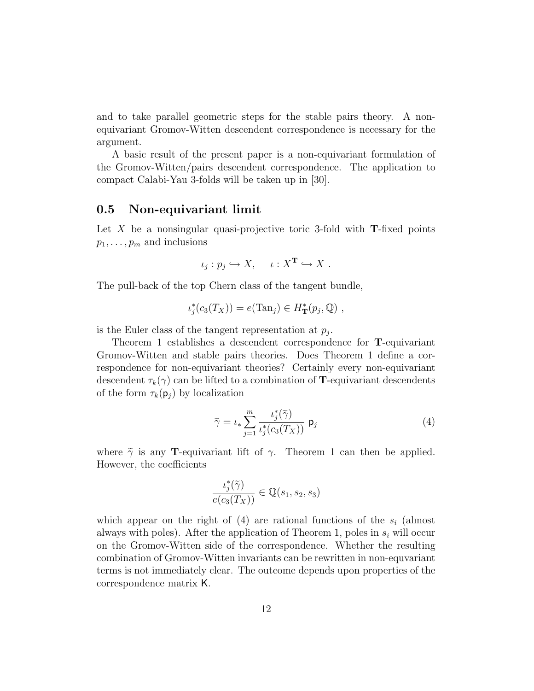and to take parallel geometric steps for the stable pairs theory. A nonequivariant Gromov-Witten descendent correspondence is necessary for the argument.

A basic result of the present paper is a non-equivariant formulation of the Gromov-Witten/pairs descendent correspondence. The application to compact Calabi-Yau 3-folds will be taken up in [30].

#### 0.5 Non-equivariant limit

Let X be a nonsingular quasi-projective toric 3-fold with  $\mathbf{T}$ -fixed points  $p_1, \ldots, p_m$  and inclusions

$$
\iota_j: p_j \hookrightarrow X, \quad \iota: X^{\mathbf{T}} \hookrightarrow X.
$$

The pull-back of the top Chern class of the tangent bundle,

$$
\iota_j^*(c_3(T_X)) = e(\text{Tan}_j) \in H^*(p_j, \mathbb{Q}) ,
$$

is the Euler class of the tangent representation at  $p_j$ .

Theorem 1 establishes a descendent correspondence for T-equivariant Gromov-Witten and stable pairs theories. Does Theorem 1 define a correspondence for non-equivariant theories? Certainly every non-equivariant descendent  $\tau_k(\gamma)$  can be lifted to a combination of **T**-equivariant descendents of the form  $\tau_k(\mathbf{p}_i)$  by localization

$$
\tilde{\gamma} = \iota_* \sum_{j=1}^m \frac{\iota_j^*(\tilde{\gamma})}{\iota_j^*(c_3(T_X))} \mathsf{p}_j \tag{4}
$$

where  $\tilde{\gamma}$  is any **T**-equivariant lift of  $\gamma$ . Theorem 1 can then be applied. However, the coefficients

$$
\frac{\iota_j^*(\tilde{\gamma})}{e(c_3(T_X))} \in \mathbb{Q}(s_1, s_2, s_3)
$$

which appear on the right of  $(4)$  are rational functions of the  $s_i$  (almost always with poles). After the application of Theorem 1, poles in  $s_i$  will occur on the Gromov-Witten side of the correspondence. Whether the resulting combination of Gromov-Witten invariants can be rewritten in non-equvariant terms is not immediately clear. The outcome depends upon properties of the correspondence matrix K.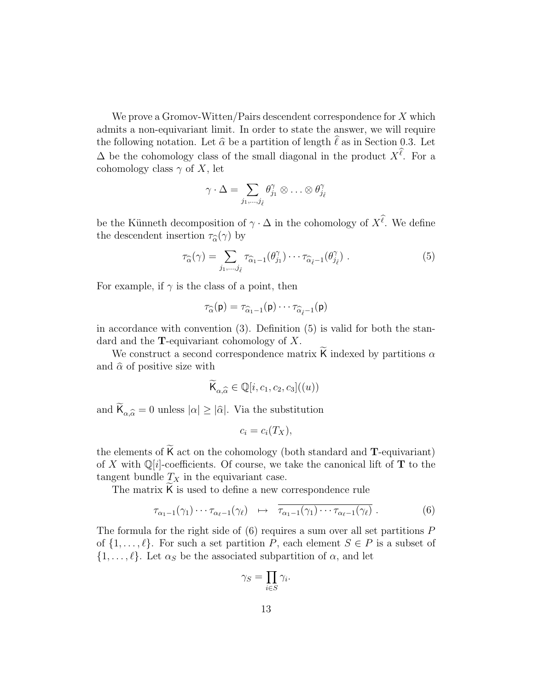We prove a Gromov-Witten/Pairs descendent correspondence for  $X$  which admits a non-equivariant limit. In order to state the answer, we will require the following notation. Let  $\hat{\alpha}$  be a partition of length  $\hat{\ell}$  as in Section 0.3. Let  $\Delta$  be the cohomology class of the small diagonal in the product  $X^{\ell}$ . For a cohomology class  $\gamma$  of X, let

$$
\gamma\cdot\Delta=\sum_{j_1,\ldots,j_{\hat{\ell}}}\theta_{j_1}^\gamma\otimes\ldots\otimes\theta_{j_{\hat{\ell}}}^\gamma
$$

be the Künneth decomposition of  $\gamma \cdot \Delta$  in the cohomology of  $X^{\ell}$ . We define the descendent insertion  $\tau_{\widehat{\alpha}}(\gamma)$  by

$$
\tau_{\widehat{\alpha}}(\gamma) = \sum_{j_1,\dots,j_{\hat{\ell}}} \tau_{\widehat{\alpha}_1 - 1}(\theta_{j_1}^{\gamma}) \cdots \tau_{\widehat{\alpha}_{\hat{\ell}} - 1}(\theta_{j_{\hat{\ell}}}^{\gamma}) . \tag{5}
$$

For example, if  $\gamma$  is the class of a point, then

$$
\tau_{\widehat{\alpha}}(\mathsf{p})=\tau_{\widehat{\alpha}_1-1}(\mathsf{p})\cdots\tau_{\widehat{\alpha}_{\widehat{\ell}}-1}(\mathsf{p})
$$

in accordance with convention (3). Definition (5) is valid for both the standard and the **T**-equivariant cohomology of  $X$ .

We construct a second correspondence matrix **K** indexed by partitions  $\alpha$ and  $\hat{\alpha}$  of positive size with

$$
\widetilde{\mathsf{K}}_{\alpha,\widehat{\alpha}} \in \mathbb{Q}[i,c_1,c_2,c_3]((u))
$$

and  $\mathsf{K}_{\alpha,\widehat{\alpha}} = 0$  unless  $|\alpha| \geq |\widehat{\alpha}|$ . Via the substitution

$$
c_i = c_i(T_X),
$$

the elements of  $K$  act on the cohomology (both standard and  $T$ -equivariant) of X with  $\mathbb{Q}[i]$ -coefficients. Of course, we take the canonical lift of **T** to the tangent bundle  $T_X$  in the equivariant case.

The matrix  $K$  is used to define a new correspondence rule

$$
\tau_{\alpha_1-1}(\gamma_1)\cdots\tau_{\alpha_\ell-1}(\gamma_\ell) \quad \mapsto \quad \overline{\tau_{\alpha_1-1}(\gamma_1)\cdots\tau_{\alpha_\ell-1}(\gamma_\ell)}\ . \tag{6}
$$

The formula for the right side of  $(6)$  requires a sum over all set partitions  $P$ of  $\{1,\ldots,\ell\}$ . For such a set partition P, each element  $S \in P$  is a subset of  $\{1,\ldots,\ell\}$ . Let  $\alpha_S$  be the associated subpartition of  $\alpha$ , and let

$$
\gamma_S = \prod_{i \in S} \gamma_i.
$$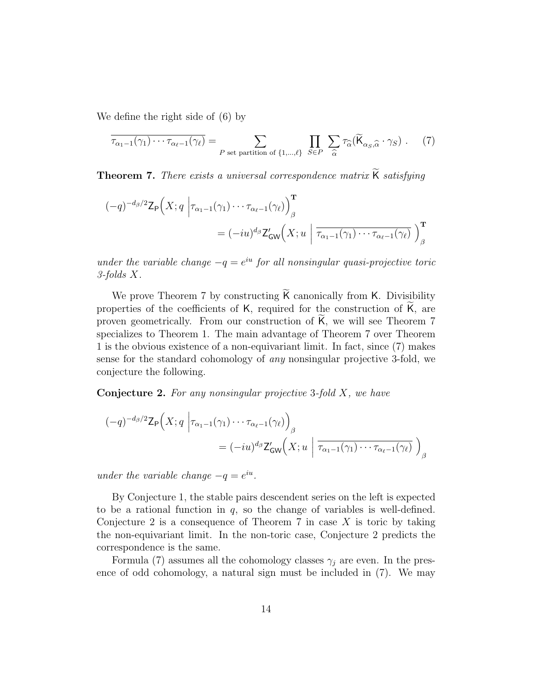We define the right side of (6) by

$$
\overline{\tau_{\alpha_1-1}(\gamma_1)\cdots\tau_{\alpha_\ell-1}(\gamma_\ell)} = \sum_{P \text{ set partition of } \{1,\dots,\ell\}} \prod_{S \in P} \sum_{\widehat{\alpha}} \tau_{\widehat{\alpha}}(\widetilde{\mathsf{K}}_{\alpha_S,\widehat{\alpha}} \cdot \gamma_S). \tag{7}
$$

Theorem 7. There exists a universal correspondence matrix K satisfying

$$
(-q)^{-d_{\beta}/2} \mathsf{Z}_{\mathsf{P}}\Big(X; q \Big| \tau_{\alpha_1 - 1}(\gamma_1) \cdots \tau_{\alpha_\ell - 1}(\gamma_\ell) \Big)_{\beta}^{\mathbf{T}} = (-iu)^{d_{\beta}} \mathsf{Z}_{\mathsf{GW}}'\Big(X; u \Big| \overline{\tau_{\alpha_1 - 1}(\gamma_1) \cdots \tau_{\alpha_\ell - 1}(\gamma_\ell)} \Big)_{\beta}^{\mathbf{T}}
$$

under the variable change  $-q = e^{iu}$  for all nonsingular quasi-projective toric 3-folds X.

We prove Theorem 7 by constructing K canonically from K. Divisibility properties of the coefficients of  $K$ , required for the construction of  $K$ , are proven geometrically. From our construction of K, we will see Theorem 7 specializes to Theorem 1. The main advantage of Theorem 7 over Theorem 1 is the obvious existence of a non-equivariant limit. In fact, since (7) makes sense for the standard cohomology of any nonsingular projective 3-fold, we conjecture the following.

**Conjecture 2.** For any nonsingular projective 3-fold  $X$ , we have

$$
\begin{aligned} (-q)^{-d_{\beta}/2} \mathsf{Z}_{\mathsf{P}}\Big(X; q \Big| \tau_{\alpha_1 - 1}(\gamma_1) \cdots \tau_{\alpha_\ell - 1}(\gamma_\ell) \Big)_{\beta} \\ &= (-iu)^{d_{\beta}} \mathsf{Z}_{\mathsf{GW}}'\Big(X; u \Big| \overline{\tau_{\alpha_1 - 1}(\gamma_1) \cdots \tau_{\alpha_\ell - 1}(\gamma_\ell)} \Big)_{\beta} \end{aligned}
$$

under the variable change  $-q = e^{iu}$ .

By Conjecture 1, the stable pairs descendent series on the left is expected to be a rational function in  $q$ , so the change of variables is well-defined. Conjecture 2 is a consequence of Theorem 7 in case  $X$  is toric by taking the non-equivariant limit. In the non-toric case, Conjecture 2 predicts the correspondence is the same.

Formula (7) assumes all the cohomology classes  $\gamma_i$  are even. In the presence of odd cohomology, a natural sign must be included in (7). We may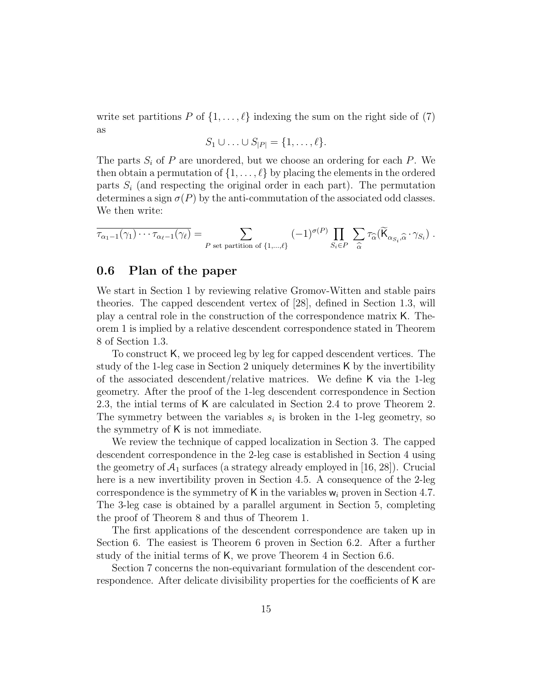write set partitions P of  $\{1,\ldots,\ell\}$  indexing the sum on the right side of (7) as

$$
S_1 \cup \ldots \cup S_{|P|} = \{1, \ldots, \ell\}.
$$

The parts  $S_i$  of P are unordered, but we choose an ordering for each P. We then obtain a permutation of  $\{1,\ldots,\ell\}$  by placing the elements in the ordered parts  $S_i$  (and respecting the original order in each part). The permutation determines a sign  $\sigma(P)$  by the anti-commutation of the associated odd classes. We then write:

$$
\overline{\tau_{\alpha_1-1}(\gamma_1)\cdots\tau_{\alpha_\ell-1}(\gamma_\ell)} = \sum_{P \text{ set partition of }\{1,\ldots,\ell\}} (-1)^{\sigma(P)} \prod_{S_i \in P} \sum_{\widehat{\alpha}} \tau_{\widehat{\alpha}}(\widetilde{\mathsf{K}}_{\alpha_{S_i},\widehat{\alpha}}\cdot\gamma_{S_i}) .
$$

#### 0.6 Plan of the paper

We start in Section 1 by reviewing relative Gromov-Witten and stable pairs theories. The capped descendent vertex of [28], defined in Section 1.3, will play a central role in the construction of the correspondence matrix K. Theorem 1 is implied by a relative descendent correspondence stated in Theorem 8 of Section 1.3.

To construct K, we proceed leg by leg for capped descendent vertices. The study of the 1-leg case in Section 2 uniquely determines K by the invertibility of the associated descendent/relative matrices. We define K via the 1-leg geometry. After the proof of the 1-leg descendent correspondence in Section 2.3, the intial terms of K are calculated in Section 2.4 to prove Theorem 2. The symmetry between the variables  $s_i$  is broken in the 1-leg geometry, so the symmetry of K is not immediate.

We review the technique of capped localization in Section 3. The capped descendent correspondence in the 2-leg case is established in Section 4 using the geometry of  $A_1$  surfaces (a strategy already employed in [16, 28]). Crucial here is a new invertibility proven in Section 4.5. A consequence of the 2-leg correspondence is the symmetry of K in the variables  $w_i$  proven in Section 4.7. The 3-leg case is obtained by a parallel argument in Section 5, completing the proof of Theorem 8 and thus of Theorem 1.

The first applications of the descendent correspondence are taken up in Section 6. The easiest is Theorem 6 proven in Section 6.2. After a further study of the initial terms of K, we prove Theorem 4 in Section 6.6.

Section 7 concerns the non-equivariant formulation of the descendent correspondence. After delicate divisibility properties for the coefficients of K are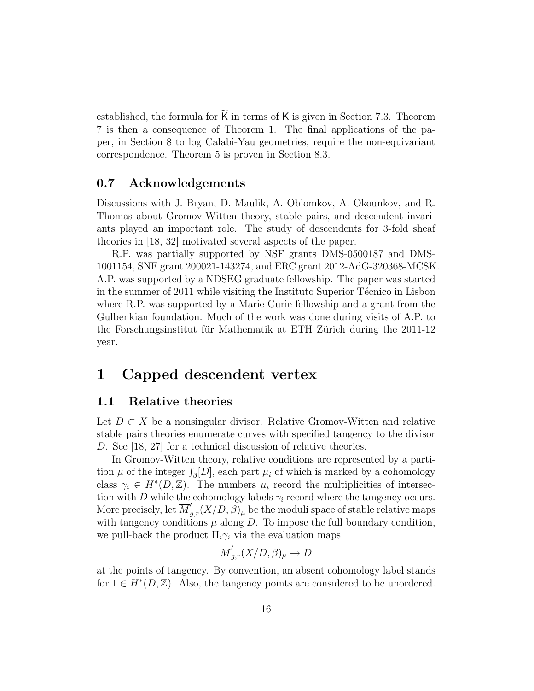established, the formula for  $K$  in terms of  $K$  is given in Section 7.3. Theorem 7 is then a consequence of Theorem 1. The final applications of the paper, in Section 8 to log Calabi-Yau geometries, require the non-equivariant correspondence. Theorem 5 is proven in Section 8.3.

### 0.7 Acknowledgements

Discussions with J. Bryan, D. Maulik, A. Oblomkov, A. Okounkov, and R. Thomas about Gromov-Witten theory, stable pairs, and descendent invariants played an important role. The study of descendents for 3-fold sheaf theories in [18, 32] motivated several aspects of the paper.

R.P. was partially supported by NSF grants DMS-0500187 and DMS-1001154, SNF grant 200021-143274, and ERC grant 2012-AdG-320368-MCSK. A.P. was supported by a NDSEG graduate fellowship. The paper was started in the summer of 2011 while visiting the Instituto Superior Técnico in Lisbon where R.P. was supported by a Marie Curie fellowship and a grant from the Gulbenkian foundation. Much of the work was done during visits of A.P. to the Forschungsinstitut für Mathematik at ETH Zürich during the 2011-12 year.

# 1 Capped descendent vertex

#### 1.1 Relative theories

Let  $D \subset X$  be a nonsingular divisor. Relative Gromov-Witten and relative stable pairs theories enumerate curves with specified tangency to the divisor D. See [18, 27] for a technical discussion of relative theories.

In Gromov-Witten theory, relative conditions are represented by a partition  $\mu$  of the integer  $\int_{\beta}[D]$ , each part  $\mu_i$  of which is marked by a cohomology class  $\gamma_i \in H^*(D, \mathbb{Z})$ . The numbers  $\mu_i$  record the multiplicities of intersection with D while the cohomology labels  $\gamma_i$  record where the tangency occurs. More precisely, let  $\overline{M}'_{g,r}(X/D, \beta)_{\mu}$  be the moduli space of stable relative maps with tangency conditions  $\mu$  along  $D$ . To impose the full boundary condition, we pull-back the product  $\Pi_i \gamma_i$  via the evaluation maps

$$
\overline{M}'_{g,r}(X/D,\beta)_{\mu} \to D
$$

at the points of tangency. By convention, an absent cohomology label stands for  $1 \in H^*(D, \mathbb{Z})$ . Also, the tangency points are considered to be unordered.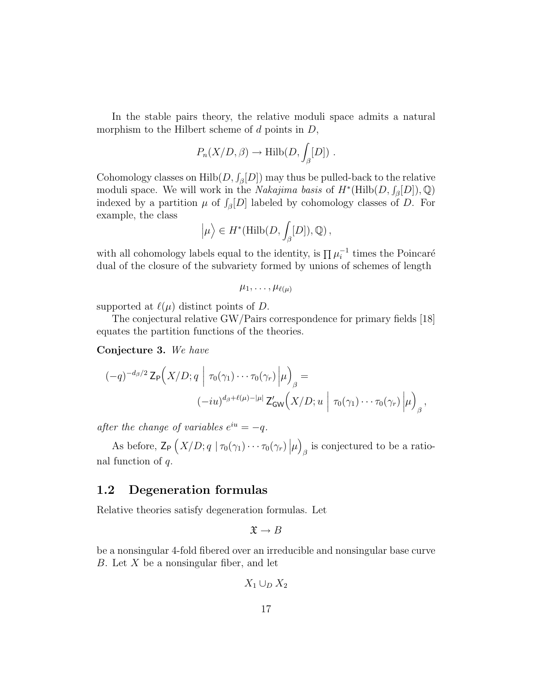In the stable pairs theory, the relative moduli space admits a natural morphism to the Hilbert scheme of  $d$  points in  $D$ ,

$$
P_n(X/D, \beta) \to \text{Hilb}(D, \int_{\beta} [D]) .
$$

Cohomology classes on  $\mathrm{Hilb}(D, \int_{\beta}[D])$  may thus be pulled-back to the relative moduli space. We will work in the *Nakajima basis* of  $H^*(\text{Hilb}(D, \mathcal{J}_\beta[D]), \mathbb{Q})$ indexed by a partition  $\mu$  of  $\int_{\beta}[D]$  labeled by cohomology classes of D. For example, the class

$$
\left|\mu\right\rangle \in H^*(\mathrm{Hilb}(D,\int_\beta [D]),\mathbb{Q})\,,
$$

with all cohomology labels equal to the identity, is  $\prod \mu_i^{-1}$  times the Poincaré dual of the closure of the subvariety formed by unions of schemes of length

$$
\mu_1,\ldots,\mu_{\ell(\mu)}
$$

supported at  $\ell(\mu)$  distinct points of D.

The conjectural relative GW/Pairs correspondence for primary fields [18] equates the partition functions of the theories.

Conjecture 3. We have

$$
(-q)^{-d_{\beta}/2} \mathsf{Z}_{\mathsf{P}}\Big(X/D; q \mid \tau_0(\gamma_1) \cdots \tau_0(\gamma_r) \Big| \mu \Big)_{\beta} =
$$
  

$$
(-iu)^{d_{\beta}+\ell(\mu)-|\mu|} \mathsf{Z}'_{\mathsf{GW}}\Big(X/D; u \mid \tau_0(\gamma_1) \cdots \tau_0(\gamma_r) \Big| \mu \Big)_{\beta},
$$

after the change of variables  $e^{iu} = -q$ .

As before,  $\mathsf{Z}_{\mathsf{P}}\left(X/D; q \mid \tau_0(\gamma_1)\cdots\tau_0(\gamma_r)\|\mu\right)$  $\beta$  is conjectured to be a rational function of q.

### 1.2 Degeneration formulas

Relative theories satisfy degeneration formulas. Let

$$
\mathfrak{X} \to B
$$

be a nonsingular 4-fold fibered over an irreducible and nonsingular base curve B. Let  $X$  be a nonsingular fiber, and let

$$
X_1 \cup_D X_2
$$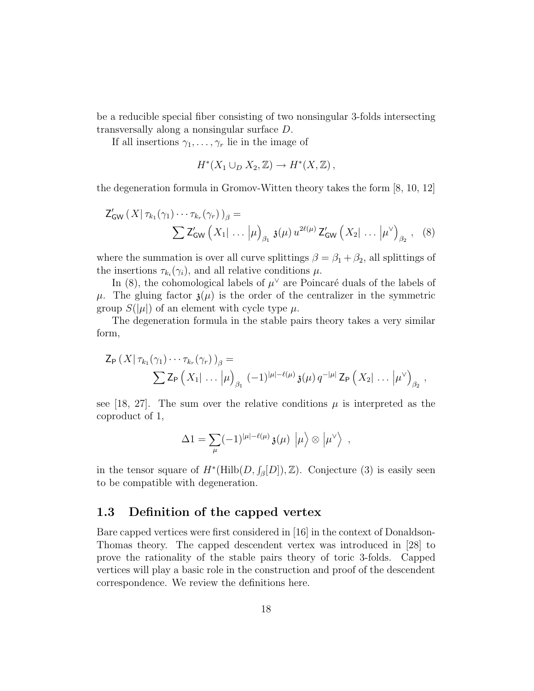be a reducible special fiber consisting of two nonsingular 3-folds intersecting transversally along a nonsingular surface D.

If all insertions  $\gamma_1, \ldots, \gamma_r$  lie in the image of

$$
H^*(X_1 \cup_D X_2, \mathbb{Z}) \to H^*(X, \mathbb{Z}),
$$

the degeneration formula in Gromov-Witten theory takes the form [8, 10, 12]

$$
\mathsf{Z}_{\mathsf{GW}}'(X|\tau_{k_1}(\gamma_1)\cdots\tau_{k_r}(\gamma_r))_{\beta} = \sum \mathsf{Z}_{\mathsf{GW}}'(X_1|\ldots|\mu)_{\beta_1} \mathfrak{z}(\mu) u^{2\ell(\mu)} \mathsf{Z}_{\mathsf{GW}}'(X_2|\ldots|\mu^{\vee})_{\beta_2}, \quad (8)
$$

where the summation is over all curve splittings  $\beta = \beta_1 + \beta_2$ , all splittings of the insertions  $\tau_{k_i}(\gamma_i)$ , and all relative conditions  $\mu$ .

In (8), the cohomological labels of  $\mu^{\vee}$  are Poincaré duals of the labels of  $\mu$ . The gluing factor  $\mathfrak{z}(\mu)$  is the order of the centralizer in the symmetric group  $S(|\mu|)$  of an element with cycle type  $\mu$ .

The degeneration formula in the stable pairs theory takes a very similar form,

$$
\mathsf{Z}_{\mathsf{P}}\left(X|\tau_{k_1}(\gamma_1)\cdots\tau_{k_r}(\gamma_r)\right)_{\beta}=\n\sum\mathsf{Z}_{\mathsf{P}}\left(X_1|\ldots|\mu\right)_{\beta_1}(-1)^{|\mu|-\ell(\mu)}\mathfrak{z}(\mu)\,q^{-|\mu|}\,\mathsf{Z}_{\mathsf{P}}\left(X_2|\ldots|\mu^{\vee}\right)_{\beta_2},
$$

see [18, 27]. The sum over the relative conditions  $\mu$  is interpreted as the coproduct of 1,

$$
\Delta 1 = \sum_{\mu} (-1)^{|\mu|-\ell(\mu)} \mathfrak{z}(\mu) \, \left| \mu \right> \otimes \left| \mu^{\vee} \right> ,
$$

in the tensor square of  $H^*(\text{Hilb}(D, \mathcal{J}_\beta[D]), \mathbb{Z})$ . Conjecture (3) is easily seen to be compatible with degeneration.

# 1.3 Definition of the capped vertex

Bare capped vertices were first considered in [16] in the context of Donaldson-Thomas theory. The capped descendent vertex was introduced in [28] to prove the rationality of the stable pairs theory of toric 3-folds. Capped vertices will play a basic role in the construction and proof of the descendent correspondence. We review the definitions here.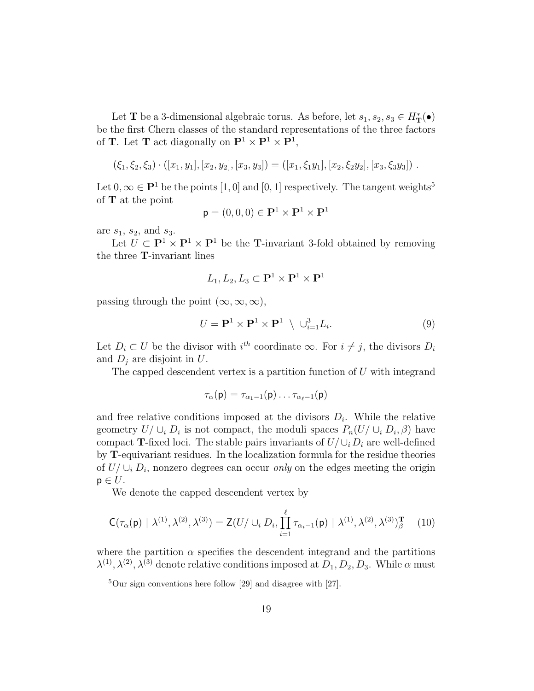Let **T** be a 3-dimensional algebraic torus. As before, let  $s_1, s_2, s_3 \in H^*_{\mathbf{T}}(\bullet)$ be the first Chern classes of the standard representations of the three factors of **T**. Let **T** act diagonally on  $\mathbf{P}^1 \times \mathbf{P}^1 \times \mathbf{P}^1$ ,

$$
(\xi_1,\xi_2,\xi_3)\cdot([x_1,y_1],[x_2,y_2],[x_3,y_3]) = ([x_1,\xi_1y_1],[x_2,\xi_2y_2],[x_3,\xi_3y_3])\ .
$$

Let  $0, \infty \in \mathbf{P}^1$  be the points  $[1, 0]$  and  $[0, 1]$  respectively. The tangent weights<sup>5</sup> of T at the point

$$
\mathbf{p} = (0,0,0) \in \mathbf{P}^1 \times \mathbf{P}^1 \times \mathbf{P}^1
$$

are  $s_1$ ,  $s_2$ , and  $s_3$ .

Let  $\overline{U} \subset \mathbf{P}^1 \times \mathbf{P}^1 \times \mathbf{P}^1$  be the **T**-invariant 3-fold obtained by removing the three T-invariant lines

$$
L_1,L_2,L_3\subset {\bf P}^1\times {\bf P}^1\times {\bf P}^1
$$

passing through the point  $(\infty, \infty, \infty)$ ,

$$
U = \mathbf{P}^1 \times \mathbf{P}^1 \times \mathbf{P}^1 \setminus \cup_{i=1}^3 L_i.
$$
 (9)

Let  $D_i \subset U$  be the divisor with  $i^{th}$  coordinate  $\infty$ . For  $i \neq j$ , the divisors  $D_i$ and  $D_i$  are disjoint in  $U$ .

The capped descendent vertex is a partition function of  $U$  with integrand

$$
\tau_\alpha(\mathsf{p})=\tau_{\alpha_1-1}(\mathsf{p})\ldots\tau_{\alpha_\ell-1}(\mathsf{p})
$$

and free relative conditions imposed at the divisors  $D_i$ . While the relative geometry  $U/\cup_i D_i$  is not compact, the moduli spaces  $P_n(U/\cup_i D_i, \beta)$  have compact T-fixed loci. The stable pairs invariants of  $U/\bigcup_i D_i$  are well-defined by T-equivariant residues. In the localization formula for the residue theories of  $U/\cup_i D_i$ , nonzero degrees can occur *only* on the edges meeting the origin  $p \in U$ .

We denote the capped descendent vertex by

$$
\mathsf{C}(\tau_{\alpha}(\mathsf{p}) \mid \lambda^{(1)}, \lambda^{(2)}, \lambda^{(3)}) = \mathsf{Z}(U/\cup_{i} D_{i}, \prod_{i=1}^{\ell} \tau_{\alpha_{i}-1}(\mathsf{p}) \mid \lambda^{(1)}, \lambda^{(2)}, \lambda^{(3)})_{\beta}^{\mathbf{T}} \tag{10}
$$

where the partition  $\alpha$  specifies the descendent integrand and the partitions  $\lambda^{(1)}, \lambda^{(2)}, \lambda^{(3)}$  denote relative conditions imposed at  $D_1, D_2, D_3$ . While  $\alpha$  must

 $5$ Our sign conventions here follow [29] and disagree with [27].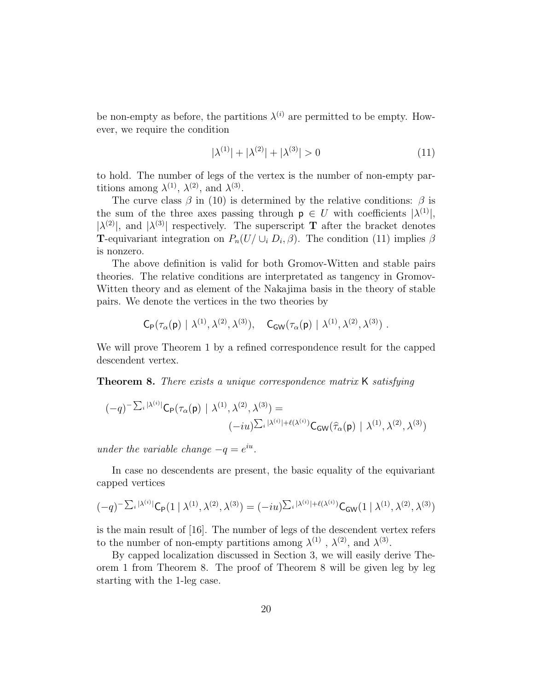be non-empty as before, the partitions  $\lambda^{(i)}$  are permitted to be empty. However, we require the condition

$$
|\lambda^{(1)}| + |\lambda^{(2)}| + |\lambda^{(3)}| > 0 \tag{11}
$$

to hold. The number of legs of the vertex is the number of non-empty partitions among  $\lambda^{(1)}$ ,  $\lambda^{(2)}$ , and  $\lambda^{(3)}$ .

The curve class  $\beta$  in (10) is determined by the relative conditions:  $\beta$  is the sum of the three axes passing through  $p \in U$  with coefficients  $|\lambda^{(1)}|$ ,  $|\lambda^{(2)}|$ , and  $|\lambda^{(3)}|$  respectively. The superscript **T** after the bracket denotes **T**-equivariant integration on  $P_n(U \cup_i D_i, \beta)$ . The condition (11) implies  $\beta$ is nonzero.

The above definition is valid for both Gromov-Witten and stable pairs theories. The relative conditions are interpretated as tangency in Gromov-Witten theory and as element of the Nakajima basis in the theory of stable pairs. We denote the vertices in the two theories by

$$
\mathsf{C}_{\mathsf{P}}(\tau_{\alpha}(\mathsf{p}) \mid \lambda^{(1)}, \lambda^{(2)}, \lambda^{(3)}), \quad \mathsf{C}_{\mathsf{GW}}(\tau_{\alpha}(\mathsf{p}) \mid \lambda^{(1)}, \lambda^{(2)}, \lambda^{(3)})\;.
$$

We will prove Theorem 1 by a refined correspondence result for the capped descendent vertex.

**Theorem 8.** There exists a unique correspondence matrix K satisfying

$$
(-q)^{-\sum_{i} |\lambda^{(i)}|} C_{\mathsf{P}}(\tau_{\alpha}(\mathsf{p}) | \lambda^{(1)}, \lambda^{(2)}, \lambda^{(3)}) =
$$

$$
(-iu)^{\sum_{i} |\lambda^{(i)}| + \ell(\lambda^{(i)})} C_{\mathsf{GW}}(\hat{\tau}_{\alpha}(\mathsf{p}) | \lambda^{(1)}, \lambda^{(2)}, \lambda^{(3)})
$$

under the variable change  $-q = e^{iu}$ .

In case no descendents are present, the basic equality of the equivariant capped vertices

$$
(-q)^{-\sum_{i} |\lambda^{(i)}|} C_{\mathsf{P}}(1 \mid \lambda^{(1)}, \lambda^{(2)}, \lambda^{(3)}) = (-iu)^{\sum_{i} |\lambda^{(i)}| + \ell(\lambda^{(i)})} C_{\mathsf{GW}}(1 \mid \lambda^{(1)}, \lambda^{(2)}, \lambda^{(3)})
$$

is the main result of [16]. The number of legs of the descendent vertex refers to the number of non-empty partitions among  $\lambda^{(1)}$ ,  $\lambda^{(2)}$ , and  $\lambda^{(3)}$ .

By capped localization discussed in Section 3, we will easily derive Theorem 1 from Theorem 8. The proof of Theorem 8 will be given leg by leg starting with the 1-leg case.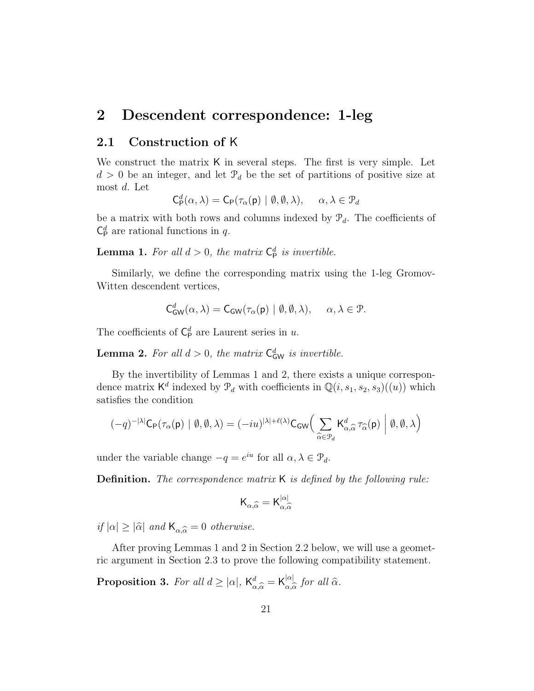# 2 Descendent correspondence: 1-leg

#### 2.1 Construction of K

We construct the matrix K in several steps. The first is very simple. Let  $d > 0$  be an integer, and let  $\mathcal{P}_d$  be the set of partitions of positive size at most d. Let

$$
\mathsf{C}_{\mathsf{P}}^d(\alpha,\lambda) = \mathsf{C}_{\mathsf{P}}(\tau_{\alpha}(\mathsf{p}) \mid \emptyset, \emptyset, \lambda), \quad \alpha, \lambda \in \mathcal{P}_d
$$

be a matrix with both rows and columns indexed by  $\mathcal{P}_d$ . The coefficients of  $\mathsf{C}_{\mathsf{P}}^d$  are rational functions in q.

**Lemma 1.** For all  $d > 0$ , the matrix  $C_p^d$  is invertible.

Similarly, we define the corresponding matrix using the 1-leg Gromov-Witten descendent vertices,

$$
C^d_{GW}(\alpha, \lambda) = C_{GW}(\tau_\alpha(\mathsf{p}) \mid \emptyset, \emptyset, \lambda), \quad \alpha, \lambda \in \mathcal{P}.
$$

The coefficients of  $C_{\mathsf{P}}^d$  are Laurent series in u.

**Lemma 2.** For all  $d > 0$ , the matrix  $C_{GW}^d$  is invertible.

By the invertibility of Lemmas 1 and 2, there exists a unique correspondence matrix  $\mathsf{K}^d$  indexed by  $\mathcal{P}_d$  with coefficients in  $\mathbb{Q}(i,s_1,s_2,s_3)((u))$  which satisfies the condition

$$
(-q)^{-|\lambda|} \mathsf{C}_{\mathsf{P}}(\tau_{\alpha}(\mathsf{p}) \mid \emptyset, \emptyset, \lambda) = (-iu)^{|\lambda| + \ell(\lambda)} \mathsf{C}_{\mathsf{GW}} \Big( \sum_{\widehat{\alpha} \in \mathcal{P}_d} \mathsf{K}_{\alpha, \widehat{\alpha}}^d \, \tau_{\widehat{\alpha}}(\mathsf{p}) \Big| \emptyset, \emptyset, \lambda \Big)
$$

under the variable change  $-q = e^{iu}$  for all  $\alpha, \lambda \in \mathcal{P}_d$ .

**Definition.** The correspondence matrix K is defined by the following rule:

$$
\mathsf{K}_{\alpha,\widehat{\alpha}} = \mathsf{K}_{\alpha,\widehat{\alpha}}^{|\alpha|}
$$

if  $|\alpha| \geq |\widehat{\alpha}|$  and  $\mathsf{K}_{\alpha,\widehat{\alpha}} = 0$  otherwise.

After proving Lemmas 1 and 2 in Section 2.2 below, we will use a geometric argument in Section 2.3 to prove the following compatibility statement.

**Proposition 3.** For all  $d \geq |\alpha|$ ,  $\mathsf{K}_{\alpha,\widehat{\alpha}}^d = \mathsf{K}_{\alpha,\widehat{\alpha}}^{|\alpha|}$  $\int_{\alpha,\widehat{\alpha}}^{\alpha}$  for all  $\widehat{\alpha}$ .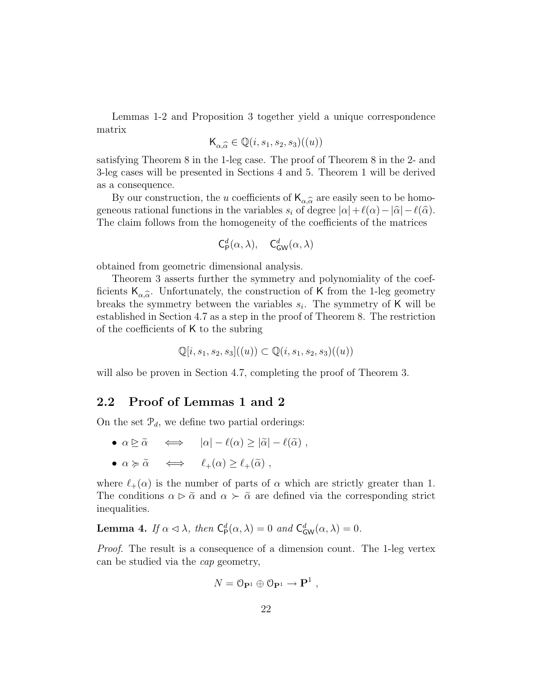Lemmas 1-2 and Proposition 3 together yield a unique correspondence matrix

$$
\mathsf{K}_{\alpha,\widehat{\alpha}} \in \mathbb{Q}(i,s_1,s_2,s_3)((u))
$$

satisfying Theorem 8 in the 1-leg case. The proof of Theorem 8 in the 2- and 3-leg cases will be presented in Sections 4 and 5. Theorem 1 will be derived as a consequence.

By our construction, the u coefficients of  $\mathsf{K}_{\alpha,\widehat{\alpha}}$  are easily seen to be homo-<br>agus rational functions in the variables  $\alpha$  of degree  $|\alpha| + \ell(\alpha) - |\widehat{\alpha}| - \ell(\widehat{\alpha})$ geneous rational functions in the variables  $s_i$  of degree  $|\alpha| + \ell(\alpha) - |\widehat{\alpha}| - \ell(\widehat{\alpha})$ . The claim follows from the homogeneity of the coefficients of the matrices

$$
\mathsf{C}^d_{\mathsf{P}}(\alpha,\lambda),\quad \mathsf{C}^d_{\mathsf{GW}}(\alpha,\lambda)
$$

obtained from geometric dimensional analysis.

Theorem 3 asserts further the symmetry and polynomiality of the coefficients  $K_{\alpha,\widehat{\alpha}}$ . Unfortunately, the construction of K from the 1-leg geometry<br>broaks the symmetry between the variables  $\varepsilon$ . The symmetry of K will be breaks the symmetry between the variables  $s_i$ . The symmetry of K will be established in Section 4.7 as a step in the proof of Theorem 8. The restriction of the coefficients of K to the subring

$$
\mathbb{Q}[i, s_1, s_2, s_3]((u)) \subset \mathbb{Q}(i, s_1, s_2, s_3)((u))
$$

will also be proven in Section 4.7, completing the proof of Theorem 3.

#### 2.2 Proof of Lemmas 1 and 2

On the set  $\mathcal{P}_d$ , we define two partial orderings:

- $\alpha \triangleright \tilde{\alpha} \quad \Longleftrightarrow \quad |\alpha| \ell(\alpha) > |\tilde{\alpha}| \ell(\tilde{\alpha})$ ,
- $\alpha \succcurlyeq \tilde{\alpha} \iff \ell_{+}(\alpha) \geq \ell_{+}(\tilde{\alpha}),$

where  $\ell_+(\alpha)$  is the number of parts of  $\alpha$  which are strictly greater than 1. The conditions  $\alpha \triangleright \tilde{\alpha}$  and  $\alpha \succ \tilde{\alpha}$  are defined via the corresponding strict inequalities.

**Lemma 4.** If  $\alpha \leq \lambda$ , then  $C^d_P(\alpha, \lambda) = 0$  and  $C^d_{GW}(\alpha, \lambda) = 0$ .

Proof. The result is a consequence of a dimension count. The 1-leg vertex can be studied via the cap geometry,

$$
N = \mathcal{O}_{\mathbf{P}^1} \oplus \mathcal{O}_{\mathbf{P}^1} \to \mathbf{P}^1 ,
$$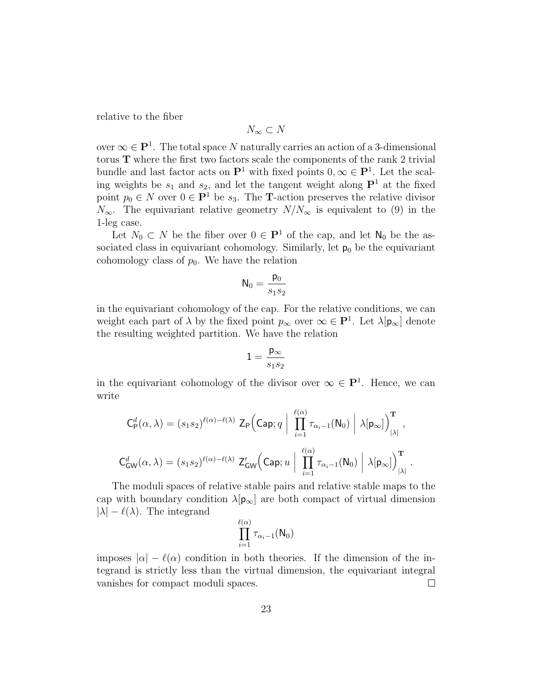relative to the fiber

$$
N_{\infty} \subset N
$$

over  $\infty \in \mathbf{P}^1$ . The total space N naturally carries an action of a 3-dimensional torus T where the first two factors scale the components of the rank 2 trivial bundle and last factor acts on  $\mathbf{P}^1$  with fixed points  $0, \infty \in \mathbf{P}^1$ . Let the scaling weights be  $s_1$  and  $s_2$ , and let the tangent weight along  $\mathbf{P}^1$  at the fixed point  $p_0 \in N$  over  $0 \in \mathbf{P}^1$  be  $s_3$ . The **T**-action preserves the relative divisor  $N_{\infty}$ . The equivariant relative geometry  $N/N_{\infty}$  is equivalent to (9) in the 1-leg case.

Let  $N_0 \subset N$  be the fiber over  $0 \in \mathbf{P}^1$  of the cap, and let  $\mathsf{N}_0$  be the associated class in equivariant cohomology. Similarly, let  $p_0$  be the equivariant cohomology class of  $p_0$ . We have the relation

$$
N_0 = \frac{p_0}{s_1 s_2}
$$

in the equivariant cohomology of the cap. For the relative conditions, we can weight each part of  $\lambda$  by the fixed point  $p_{\infty}$  over  $\infty \in \mathbf{P}^{1}$ . Let  $\lambda[\mathbf{p}_{\infty}]$  denote the resulting weighted partition. We have the relation

$$
1=\frac{\mathsf{p}_\infty}{s_1s_2}
$$

in the equivariant cohomology of the divisor over  $\infty \in \mathbf{P}^1$ . Hence, we can write

$$
C_P^d(\alpha, \lambda) = (s_1 s_2)^{\ell(\alpha) - \ell(\lambda)} \mathsf{Z}_P \Big( \mathsf{Cap}; q \mid \prod_{i=1}^{\ell(\alpha)} \tau_{\alpha_i - 1}(\mathsf{N}_0) \mid \lambda[\mathsf{p}_{\infty}]\Big)_{|\lambda|}^{\mathbf{T}},
$$

$$
C_{\mathsf{GW}}^d(\alpha, \lambda) = (s_1 s_2)^{\ell(\alpha) - \ell(\lambda)} \mathsf{Z}_{\mathsf{GW}}'\Big( \mathsf{Cap}; u \mid \prod_{i=1}^{\ell(\alpha)} \tau_{\alpha_i - 1}(\mathsf{N}_0) \mid \lambda[\mathsf{p}_{\infty}]\Big)_{|\lambda|}^{\mathbf{T}}.
$$

The moduli spaces of relative stable pairs and relative stable maps to the cap with boundary condition  $\lambda[\mathbf{p}_{\infty}]$  are both compact of virtual dimension  $|\lambda| - \ell(\lambda)$ . The integrand

$$
\prod_{i=1}^{\ell(\alpha)} \tau_{\alpha_i-1}(\mathsf{N}_0)
$$

imposes  $|\alpha| - \ell(\alpha)$  condition in both theories. If the dimension of the integrand is strictly less than the virtual dimension, the equivariant integral vanishes for compact moduli spaces.  $\Box$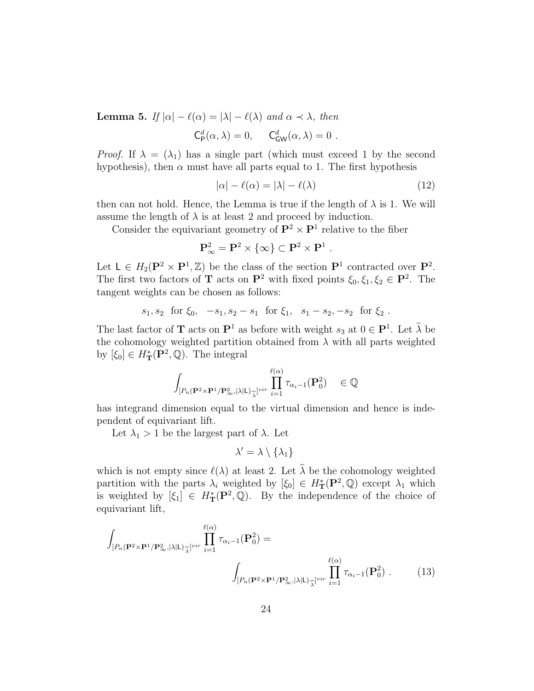**Lemma 5.** If  $|\alpha| - \ell(\alpha) = |\lambda| - \ell(\lambda)$  and  $\alpha \prec \lambda$ , then

$$
\mathsf{C}^d_{\mathsf{P}}(\alpha,\lambda) = 0, \quad \mathsf{C}^d_{\mathsf{GW}}(\alpha,\lambda) = 0.
$$

*Proof.* If  $\lambda = (\lambda_1)$  has a single part (which must exceed 1 by the second hypothesis), then  $\alpha$  must have all parts equal to 1. The first hypothesis

$$
|\alpha| - \ell(\alpha) = |\lambda| - \ell(\lambda)
$$
\n(12)

.

then can not hold. Hence, the Lemma is true if the length of  $\lambda$  is 1. We will assume the length of  $\lambda$  is at least 2 and proceed by induction.

Consider the equivariant geometry of  $\mathbf{P}^2 \times \mathbf{P}^1$  relative to the fiber

$$
\mathbf{P}_\infty^2 = \mathbf{P}^2 \times \{\infty\} \subset \mathbf{P}^2 \times \mathbf{P}^1
$$

Let  $L \in H_2(\mathbf{P}^2 \times \mathbf{P}^1, \mathbb{Z})$  be the class of the section  $\mathbf{P}^1$  contracted over  $\mathbf{P}^2$ . The first two factors of **T** acts on  $\mathbf{P}^2$  with fixed points  $\xi_0, \xi_1, \xi_2 \in \mathbf{P}^2$ . The tangent weights can be chosen as follows:

$$
s_1, s_2
$$
 for  $\xi_0$ ,  $-s_1, s_2 - s_1$  for  $\xi_1$ ,  $s_1 - s_2$ ,  $-s_2$  for  $\xi_2$ .

The last factor of **T** acts on  $\mathbf{P}^1$  as before with weight  $s_3$  at  $0 \in \mathbf{P}^1$ . Let  $\lambda$  be the cohomology weighted partition obtained from  $\lambda$  with all parts weighted by  $[\xi_0] \in H^*_{\mathbf{T}}(\mathbf{P}^2, \mathbb{Q})$ . The integral

$$
\int_{[P_n(\mathbf{P}^2 \times \mathbf{P}^1/\mathbf{P}^2_{\infty},|\lambda| \mathsf{L}) \underset{\lambda}{\sim}^{|\ell(\alpha)} } \prod_{i=1}^{\ell(\alpha)} \tau_{\alpha_i-1}(\mathbf{P}_0^2) \in \mathbb{Q}
$$

has integrand dimension equal to the virtual dimension and hence is independent of equivariant lift.

Let  $\lambda_1 > 1$  be the largest part of  $\lambda$ . Let

$$
\lambda' = \lambda \setminus \{\lambda_1\}
$$

which is not empty since  $\ell(\lambda)$  at least 2. Let  $\widehat{\lambda}$  be the cohomology weighted partition with the parts  $\lambda_i$  weighted by  $[\xi_0] \in H^*_{\mathbf{T}}(\mathbf{P}^2, \mathbb{Q})$  except  $\lambda_1$  which is weighted by  $[\xi_1] \in H^*_{\mathbf{T}}(\mathbf{P}^2, \mathbb{Q})$ . By the independence of the choice of equivariant lift,

$$
\int_{[P_n(\mathbf{P}^2 \times \mathbf{P}^1/\mathbf{P}_{\infty}^2, |\lambda|L)\widetilde{\lambda}^{vir}} \prod_{i=1}^{\ell(\alpha)} \tau_{\alpha_i-1}(\mathbf{P}_0^2) =
$$
\n
$$
\int_{[P_n(\mathbf{P}^2 \times \mathbf{P}^1/\mathbf{P}_{\infty}^2, |\lambda|L)\widetilde{\lambda}^{vir}} \prod_{i=1}^{\ell(\alpha)} \tau_{\alpha_i-1}(\mathbf{P}_0^2) . \tag{13}
$$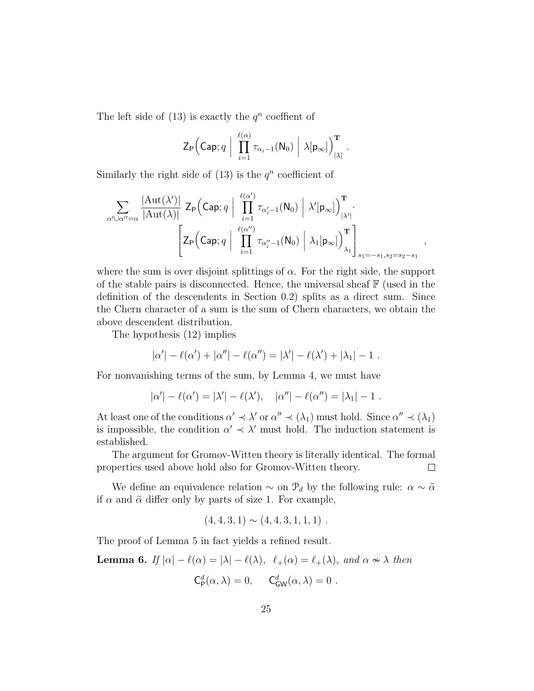The left side of  $(13)$  is exactly the  $q^n$  coeffient of

$$
\mathsf{Z}_{\mathsf{P}}\Big(\mathsf{Cap};q\;\Big|\;\prod_{i=1}^{\ell(\alpha)}\tau_{\alpha_i-1}(\mathsf{N}_0)\;\Big|\;\lambda[\mathsf{p}_{\infty}]\Big)_{|\lambda|}^{\mathbf{T}}\;.
$$

Similarly the right side of  $(13)$  is the  $q^n$  coefficient of

$$
\sum_{\alpha'\cup\alpha''=\alpha}\frac{|\mathrm{Aut}(\lambda')|}{|\mathrm{Aut}(\lambda)|}\mathsf{Z}_{\mathsf{P}}\Big(\mathsf{Cap};q\Big|\prod_{i=1}^{\ell(\alpha')}\tau_{\alpha_i'-1}(\mathsf{N}_0)\Big|\lambda'[\mathsf{p}_{\infty}]\Big)_{|\lambda'|}^{\mathbf{T}}.\hspace{5cm}\\ \left.\Bigg[\mathsf{Z}_{\mathsf{P}}\Big(\mathsf{Cap};q\Big|\prod_{i=1}^{\ell(\alpha'')}\tau_{\alpha_i''-1}(\mathsf{N}_0)\Big|\lambda_1[\mathsf{p}_{\infty}]\Big)_{\lambda_1}^{\mathbf{T}}\right]_{s_1=-s_1,s_2=s_2-s_1},
$$

where the sum is over disjoint splittings of  $\alpha$ . For the right side, the support of the stable pairs is disconnected. Hence, the universal sheaf  $\mathbb{F}$  (used in the definition of the descendents in Section 0.2) splits as a direct sum. Since the Chern character of a sum is the sum of Chern characters, we obtain the above descendent distribution.

The hypothesis (12) implies

$$
|\alpha'| - \ell(\alpha') + |\alpha''| - \ell(\alpha'') = |\lambda'| - \ell(\lambda') + |\lambda_1| - 1
$$
.

For nonvanishing terms of the sum, by Lemma 4, we must have

$$
|\alpha'| - \ell(\alpha') = |\lambda'| - \ell(\lambda'), \quad |\alpha''| - \ell(\alpha'') = |\lambda_1| - 1.
$$

At least one of the conditions  $\alpha' \prec \lambda'$  or  $\alpha'' \prec (\lambda_1)$  must hold. Since  $\alpha'' \prec (\lambda_1)$ is impossible, the condition  $\alpha' \prec \lambda'$  must hold. The induction statement is established.

The argument for Gromov-Witten theory is literally identical. The formal properties used above hold also for Gromov-Witten theory.  $\Box$ 

We define an equivalence relation  $\sim$  on  $\mathcal{P}_d$  by the following rule:  $\alpha \sim \tilde{\alpha}$ if  $\alpha$  and  $\tilde{\alpha}$  differ only by parts of size 1. For example,

$$
(4,4,3,1) \sim (4,4,3,1,1,1) \ .
$$

The proof of Lemma 5 in fact yields a refined result.

**Lemma 6.** If  $|\alpha| - \ell(\alpha) = |\lambda| - \ell(\lambda)$ ,  $\ell_+(\alpha) = \ell_+(\lambda)$ , and  $\alpha \nsim \lambda$  then

$$
\mathsf{C}_{\mathsf{P}}^d(\alpha,\lambda) = 0, \quad \mathsf{C}_{\mathsf{GW}}^d(\alpha,\lambda) = 0.
$$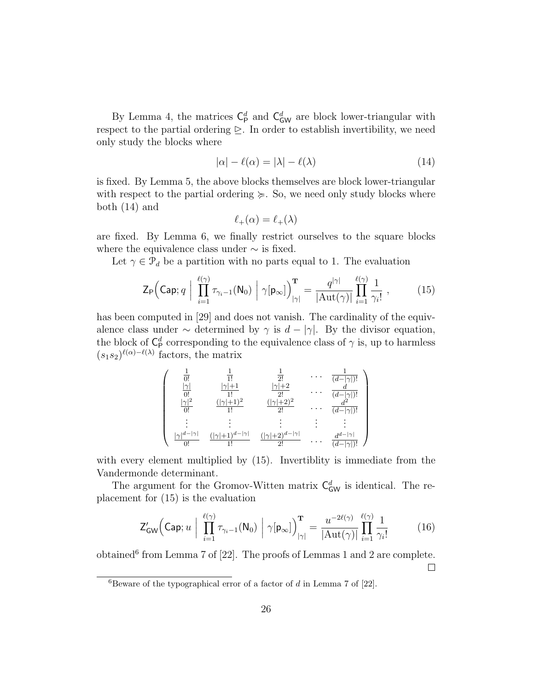By Lemma 4, the matrices  $C_p^d$  and  $C_{GW}^d$  are block lower-triangular with respect to the partial ordering  $\geq$ . In order to establish invertibility, we need only study the blocks where

$$
|\alpha| - \ell(\alpha) = |\lambda| - \ell(\lambda)
$$
\n(14)

is fixed. By Lemma 5, the above blocks themselves are block lower-triangular with respect to the partial ordering  $\succeq$ . So, we need only study blocks where both (14) and

$$
\ell_+(\alpha) = \ell_+(\lambda)
$$

are fixed. By Lemma 6, we finally restrict ourselves to the square blocks where the equivalence class under  $\sim$  is fixed.

Let  $\gamma \in \mathcal{P}_d$  be a partition with no parts equal to 1. The evaluation

$$
\mathsf{Z}_{\mathsf{P}}\Big(\mathsf{Cap};q \; \Big| \; \prod_{i=1}^{\ell(\gamma)} \tau_{\gamma_i-1}(\mathsf{N}_0) \; \Big| \; \gamma[\mathsf{p}_{\infty}]\Big)_{|\gamma|}^{\mathbf{T}} = \frac{q^{|\gamma|}}{|\mathrm{Aut}(\gamma)|} \prod_{i=1}^{\ell(\gamma)} \frac{1}{\gamma_i!} \; , \tag{15}
$$

has been computed in [29] and does not vanish. The cardinality of the equivalence class under  $\sim$  determined by  $\gamma$  is  $d - |\gamma|$ . By the divisor equation, the block of  $\mathsf{C}_{\mathsf{P}}^d$  corresponding to the equivalence class of  $\gamma$  is, up to harmless  $(s_1s_2)^{\ell(\alpha)-\ell(\lambda)}$  factors, the matrix

$$
\left(\begin{array}{ccccc} \frac{1}{0!} & \frac{1}{1!} & \frac{1}{2!} & \cdots & \frac{1}{(d-|\gamma|)!} \\ \frac{|\gamma|}{0!} & \frac{|\gamma|+1}{1!} & \frac{|\gamma|+2}{2!} & \cdots & \frac{d}{(d-|\gamma|)!} \\ \frac{|\gamma|^2}{0!} & \frac{(|\gamma|+1)^2}{1!} & \frac{(|\gamma|+2)^2}{2!} & \cdots & \frac{d^2}{(d-|\gamma|)!} \\ \vdots & \vdots & \vdots & \vdots & \vdots & \vdots \\ \frac{|\gamma|^{d-|\gamma|}}{0!} & \frac{(|\gamma|+1)^{d-|\gamma|}}{1!} & \frac{(|\gamma|+2)^{d-|\gamma|}}{2!} & \cdots & \frac{d^{d-|\gamma|}}{(d-|\gamma|)!} \end{array}\right)
$$

with every element multiplied by  $(15)$ . Invertiblity is immediate from the Vandermonde determinant.

The argument for the Gromov-Witten matrix  $C_{GW}^d$  is identical. The replacement for (15) is the evaluation

$$
Z'_{GW}\left(\text{Cap};u\mid \prod_{i=1}^{\ell(\gamma)}\tau_{\gamma_i-1}(N_0)\mid \gamma[p_{\infty}]\right)_{|\gamma|}^{\mathbf{T}} = \frac{u^{-2\ell(\gamma)}}{|\text{Aut}(\gamma)|}\prod_{i=1}^{\ell(\gamma)}\frac{1}{\gamma_i!}
$$
(16)

obtained<sup>6</sup> from Lemma 7 of  $[22]$ . The proofs of Lemmas 1 and 2 are complete.  $\Box$ 

<sup>6</sup>Beware of the typographical error of a factor of  $d$  in Lemma 7 of [22].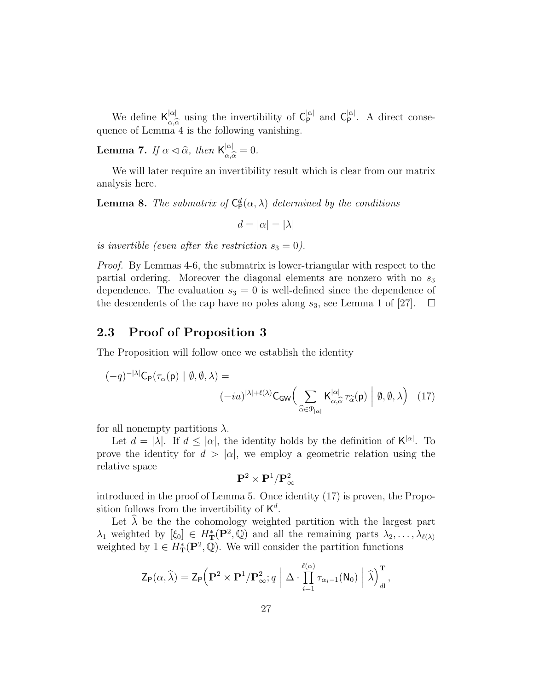We define  $\mathsf{K}_{\alpha\widehat{\alpha}}^{|\alpha|}$  using the invertibility of  $\mathsf{C}_{\mathsf{P}}^{|\alpha|}$  and  $\mathsf{C}_{\mathsf{P}}^{|\alpha|}$ . A direct conse- $\alpha_{\alpha,\alpha}$  and  $\alpha_{\alpha,\alpha}$  is the following vanishing.

**Lemma 7.** If  $\alpha \triangleleft \widehat{\alpha}$ , then  $\mathsf{K}_{\alpha, \widehat{\alpha}}^{|\alpha|}$  $\frac{d\alpha}{\alpha,\widehat{\alpha}}=0.$ 

We will later require an invertibility result which is clear from our matrix analysis here.

**Lemma 8.** The submatrix of  $C^d_{\mathsf{P}}(\alpha,\lambda)$  determined by the conditions

 $d = |\alpha| = |\lambda|$ 

is invertible (even after the restriction  $s_3 = 0$ ).

Proof. By Lemmas 4-6, the submatrix is lower-triangular with respect to the partial ordering. Moreover the diagonal elements are nonzero with no  $s_3$ dependence. The evaluation  $s_3 = 0$  is well-defined since the dependence of the descendents of the cap have no poles along  $s_3$ , see Lemma 1 of [27].  $\Box$ 

### 2.3 Proof of Proposition 3

The Proposition will follow once we establish the identity

$$
(-q)^{-|\lambda|} \mathsf{C}_{\mathsf{P}}(\tau_{\alpha}(\mathsf{p}) \mid \emptyset, \emptyset, \lambda) =
$$

$$
(-iu)^{|\lambda| + \ell(\lambda)} \mathsf{C}_{\mathsf{GW}} \Big( \sum_{\widehat{\alpha} \in \mathcal{P}_{|\alpha|}} \mathsf{K}_{\alpha, \widehat{\alpha}}^{|\alpha|} \tau_{\widehat{\alpha}}(\mathsf{p}) \mid \emptyset, \emptyset, \lambda \Big) \quad (17)
$$

for all nonempty partitions  $\lambda$ .

Let  $d = |\lambda|$ . If  $d \leq |\alpha|$ , the identity holds by the definition of  $K^{|\alpha|}$ . To prove the identity for  $d > |\alpha|$ , we employ a geometric relation using the relative space

$$
{\bf P}^2\times {\bf P}^1/{\bf P}^2_\infty
$$

introduced in the proof of Lemma 5. Once identity (17) is proven, the Proposition follows from the invertibility of  $K^d$ .

Let  $\lambda$  be the the cohomology weighted partition with the largest part  $\lambda_1$  weighted by  $[\xi_0] \in H^*_{\mathbf{T}}(\mathbf{P}^2, \mathbb{Q})$  and all the remaining parts  $\lambda_2, \ldots, \lambda_{\ell(\lambda)}$ weighted by  $1 \in H^*_{\mathbf{T}}(\mathbf{P}^2, \mathbb{Q})$ . We will consider the partition functions

$$
\mathsf{Z}_{\mathsf{P}}(\alpha, \widehat{\lambda}) = \mathsf{Z}_{\mathsf{P}}\Big(\mathbf{P}^2 \times \mathbf{P}^1/\mathbf{P}_{\infty}^2; q \; \Big| \; \Delta \cdot \prod_{i=1}^{\ell(\alpha)} \tau_{\alpha_i - 1}(\mathsf{N}_0) \; \Big| \; \widehat{\lambda} \Big)_{d\mathsf{L}}^{\mathbf{T}},
$$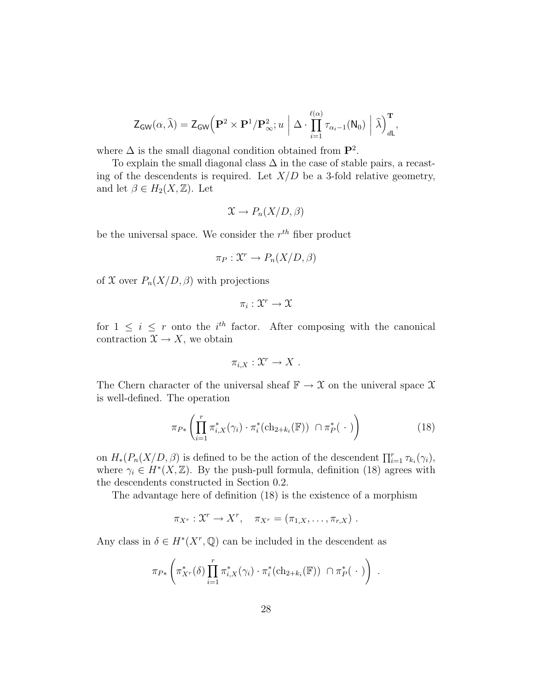$$
\mathsf{Z}_{\mathsf{GW}}(\alpha,\widehat{\lambda}) = \mathsf{Z}_{\mathsf{GW}}\Big(\mathbf{P}^2 \times \mathbf{P}^1/\mathbf{P}^2_{\infty}; u \mid \Delta \cdot \prod_{i=1}^{\ell(\alpha)} \tau_{\alpha_i-1}(\mathsf{N}_0) \mid \widehat{\lambda}\Big)_{d\mathsf{L}}^{\mathbf{T}},
$$

where  $\Delta$  is the small diagonal condition obtained from  $\mathbf{P}^2$ .

To explain the small diagonal class  $\Delta$  in the case of stable pairs, a recasting of the descendents is required. Let  $X/D$  be a 3-fold relative geometry, and let  $\beta \in H_2(X, \mathbb{Z})$ . Let

$$
\mathfrak{X} \to P_n(X/D, \beta)
$$

be the universal space. We consider the  $r^{th}$  fiber product

$$
\pi_P: \mathfrak{X}^r \to P_n(X/D, \beta)
$$

of X over  $P_n(X/D, \beta)$  with projections

$$
\pi_i: \mathfrak{X}^r \to \mathfrak{X}
$$

for  $1 \leq i \leq r$  onto the *i*<sup>th</sup> factor. After composing with the canonical contraction  $\mathfrak{X} \to X$ , we obtain

$$
\pi_{i,X}:\mathfrak{X}^r\to X.
$$

The Chern character of the universal sheaf  $\mathbb{F} \to \mathcal{X}$  on the univeral space  $\mathcal{X}$ is well-defined. The operation

$$
\pi_{P*}\left(\prod_{i=1}^r \pi_{i,X}^*(\gamma_i) \cdot \pi_i^*(\mathrm{ch}_{2+k_i}(\mathbb{F})) \cap \pi_P^*(\cdot)\right) \tag{18}
$$

on  $H_*(P_n(X/D, \beta)$  is defined to be the action of the descendent  $\prod_{i=1}^r \tau_{k_i}(\gamma_i)$ , where  $\gamma_i \in H^*(X,\mathbb{Z})$ . By the push-pull formula, definition (18) agrees with the descendents constructed in Section 0.2.

The advantage here of definition (18) is the existence of a morphism

 $\pi_{X^r}: \mathfrak{X}^r \to X^r, \quad \pi_{X^r} = (\pi_{1,X}, \ldots, \pi_{r,X}).$ 

Any class in  $\delta \in H^*(X^r, \mathbb{Q})$  can be included in the descendent as

$$
\pi_{P*}\left(\pi_{X^r}^*(\delta)\prod_{i=1}^r\pi_{i,X}^*(\gamma_i)\cdot\pi_i^*(\mathrm{ch}_{2+k_i}(\mathbb{F}))\cap\pi_P^*(\cdot)\right).
$$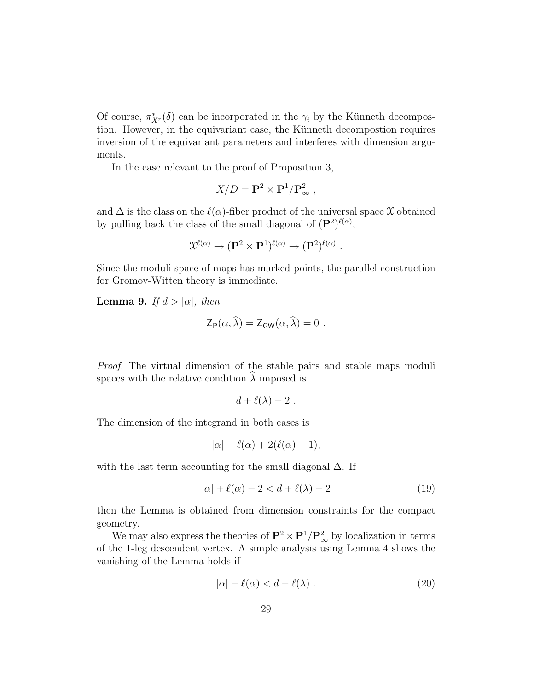Of course,  $\pi_{X}^*(\delta)$  can be incorporated in the  $\gamma_i$  by the Künneth decompostion. However, in the equivariant case, the Künneth decompostion requires inversion of the equivariant parameters and interferes with dimension arguments.

In the case relevant to the proof of Proposition 3,

$$
X/D = \mathbf{P}^2 \times \mathbf{P}^1 / \mathbf{P}^2_{\infty} ,
$$

and  $\Delta$  is the class on the  $\ell(\alpha)$ -fiber product of the universal space X obtained by pulling back the class of the small diagonal of  $(P^2)^{\ell(\alpha)}$ ,

$$
\mathfrak{X}^{\ell(\alpha)} \to (\mathbf{P}^2 \times \mathbf{P}^1)^{\ell(\alpha)} \to (\mathbf{P}^2)^{\ell(\alpha)}.
$$

Since the moduli space of maps has marked points, the parallel construction for Gromov-Witten theory is immediate.

**Lemma 9.** If  $d > |\alpha|$ , then

$$
\mathsf{Z}_{\mathsf{P}}(\alpha,\lambda)=\mathsf{Z}_{\mathsf{GW}}(\alpha,\lambda)=0.
$$

Proof. The virtual dimension of the stable pairs and stable maps moduli spaces with the relative condition  $\lambda$  imposed is

$$
d+\ell(\lambda)-2.
$$

The dimension of the integrand in both cases is

$$
|\alpha| - \ell(\alpha) + 2(\ell(\alpha) - 1),
$$

with the last term accounting for the small diagonal  $\Delta$ . If

$$
|\alpha| + \ell(\alpha) - 2 < d + \ell(\lambda) - 2 \tag{19}
$$

then the Lemma is obtained from dimension constraints for the compact geometry.

We may also express the theories of  $\mathbf{P}^2 \times \mathbf{P}^1 / \mathbf{P}^2_{\infty}$  by localization in terms of the 1-leg descendent vertex. A simple analysis using Lemma 4 shows the vanishing of the Lemma holds if

$$
|\alpha| - \ell(\alpha) < d - \ell(\lambda) \tag{20}
$$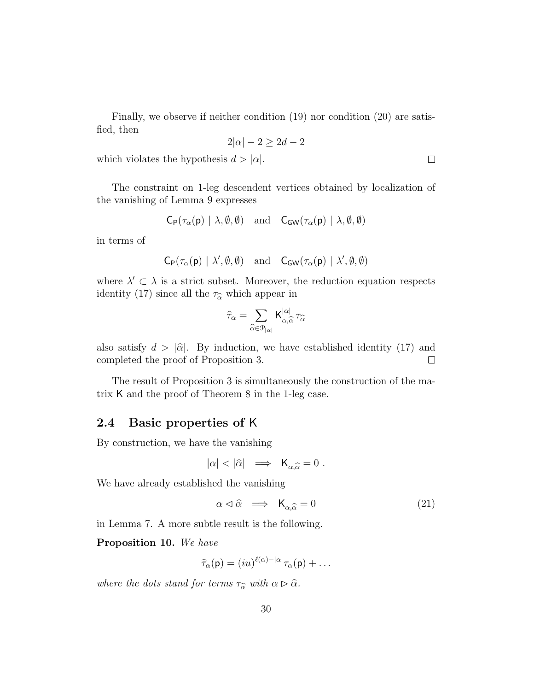Finally, we observe if neither condition (19) nor condition (20) are satisfied, then

$$
2|\alpha| - 2 \ge 2d - 2
$$

which violates the hypothesis  $d > |\alpha|$ .

The constraint on 1-leg descendent vertices obtained by localization of the vanishing of Lemma 9 expresses

$$
\mathsf{C}_{\mathsf{P}}(\tau_{\alpha}(\mathsf{p}) \mid \lambda, \emptyset, \emptyset) \quad \text{and} \quad \mathsf{C}_{\mathsf{GW}}(\tau_{\alpha}(\mathsf{p}) \mid \lambda, \emptyset, \emptyset)
$$

in terms of

$$
\mathsf{C}_{\mathsf{P}}(\tau_{\alpha}(\mathsf{p})\mid\lambda',\emptyset,\emptyset) \quad \text{and} \quad \mathsf{C}_{\mathsf{GW}}(\tau_{\alpha}(\mathsf{p})\mid\lambda',\emptyset,\emptyset)
$$

where  $\lambda' \subset \lambda$  is a strict subset. Moreover, the reduction equation respects identity (17) since all the  $\tau_{\hat{\alpha}}$  which appear in

$$
\widehat{\tau}_{\alpha} = \sum_{\widehat{\alpha} \in \mathcal{P}_{|\alpha|}} \mathsf{K}_{\alpha, \widehat{\alpha}}^{|\alpha|} \tau_{\widehat{\alpha}}
$$

also satisfy  $d > |\hat{\alpha}|$ . By induction, we have established identity (17) and completed the proof of Proposition 3. completed the proof of Proposition 3.

The result of Proposition 3 is simultaneously the construction of the matrix K and the proof of Theorem 8 in the 1-leg case.

### 2.4 Basic properties of K

By construction, we have the vanishing

$$
|\alpha| < |\hat{\alpha}| \implies \mathsf{K}_{\alpha,\hat{\alpha}} = 0 .
$$

We have already established the vanishing

$$
\alpha \lhd \hat{\alpha} \implies \mathsf{K}_{\alpha,\hat{\alpha}} = 0 \tag{21}
$$

in Lemma 7. A more subtle result is the following.

Proposition 10. We have

$$
\widehat{\tau}_{\alpha}(\mathsf{p}) = (iu)^{\ell(\alpha)-|\alpha|}\tau_{\alpha}(\mathsf{p}) + \dots
$$

where the dots stand for terms  $\tau_{\widehat{\alpha}}$  with  $\alpha \rhd \widehat{\alpha}$ .

 $\Box$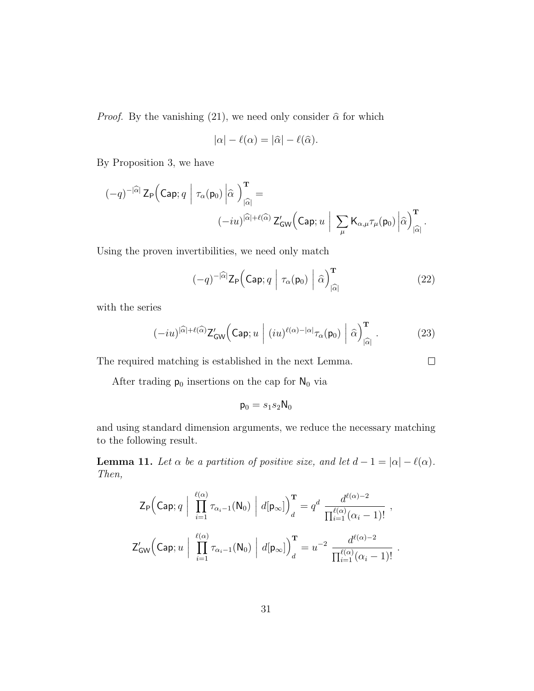*Proof.* By the vanishing (21), we need only consider  $\hat{\alpha}$  for which

$$
|\alpha| - \ell(\alpha) = |\widehat{\alpha}| - \ell(\widehat{\alpha}).
$$

By Proposition 3, we have

$$
\begin{aligned} (-q)^{-|\widehat{\alpha}|}\,\mathrm{Z}_{\mathsf{P}}\Big(\mathrm{Cap};q\;\Big|\;\tau_{\alpha}(\mathsf{p}_{0})\,\Big|\widehat{\alpha}\;\Big)_{|\widehat{\alpha}|}^{\mathbf{T}} & = \\ & (-iu)^{|\widehat{\alpha}|+\ell(\widehat{\alpha})}\,\mathrm{Z}'_{\mathsf{GW}}\Big(\mathrm{Cap};u\;\Big|\;\sum_{\mu} \mathrm{K}_{\alpha,\mu}\tau_{\mu}(\mathsf{p}_{0})\,\Big|\widehat{\alpha}\Big)_{|\widehat{\alpha}|}^{\mathbf{T}}\,. \end{aligned}
$$

Using the proven invertibilities, we need only match

$$
(-q)^{-|\widehat{\alpha}|} \mathsf{Z}_{\mathsf{P}} \Big( \mathsf{Cap}; q \; \Big| \; \tau_{\alpha}(\mathsf{p}_0) \; \Big| \; \widehat{\alpha} \Big)_{|\widehat{\alpha}|}^{\mathbf{T}} \tag{22}
$$

 $\Box$ 

with the series

$$
(-iu)^{|\widehat{\alpha}|+\ell(\widehat{\alpha})} \mathsf{Z}_{\mathsf{GW}}'\Big(\mathsf{Cap}; u \; \Big| \; (iu)^{\ell(\alpha)-|\alpha|} \tau_{\alpha}(\mathsf{p}_0) \; \Big| \; \widehat{\alpha}\Big)_{|\widehat{\alpha}|}^{\mathbf{T}} \; . \tag{23}
$$

The required matching is established in the next Lemma.

After trading  $\mathsf{p}_0$  insertions on the cap for  $\mathsf{N}_0$  via

$$
\mathsf{p}_0=s_1s_2\mathsf{N}_0
$$

and using standard dimension arguments, we reduce the necessary matching to the following result.

**Lemma 11.** Let  $\alpha$  be a partition of positive size, and let  $d-1 = |\alpha| - \ell(\alpha)$ . Then,

$$
Z_{\mathsf{P}}\Big(\mathsf{Cap};q\Big|\prod_{i=1}^{\ell(\alpha)}\tau_{\alpha_{i}-1}(\mathsf{N}_{0})\Big|d[\mathsf{p}_{\infty}]\Big)_{d}^{\mathbf{T}}=q^{d}\frac{d^{\ell(\alpha)-2}}{\prod_{i=1}^{\ell(\alpha)}(\alpha_{i}-1)!},
$$
  

$$
Z'_{\mathsf{GW}}\Big(\mathsf{Cap};u\Big|\prod_{i=1}^{\ell(\alpha)}\tau_{\alpha_{i}-1}(\mathsf{N}_{0})\Big|d[\mathsf{p}_{\infty}]\Big)_{d}^{\mathbf{T}}=u^{-2}\frac{d^{\ell(\alpha)-2}}{\prod_{i=1}^{\ell(\alpha)}(\alpha_{i}-1)!}.
$$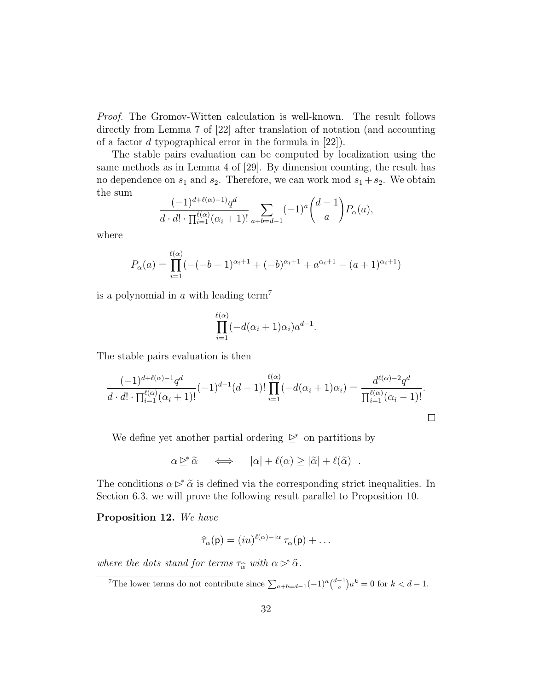Proof. The Gromov-Witten calculation is well-known. The result follows directly from Lemma 7 of [22] after translation of notation (and accounting of a factor d typographical error in the formula in [22]).

The stable pairs evaluation can be computed by localization using the same methods as in Lemma 4 of [29]. By dimension counting, the result has no dependence on  $s_1$  and  $s_2$ . Therefore, we can work mod  $s_1 + s_2$ . We obtain the sum

$$
\frac{(-1)^{d+\ell(\alpha)-1}q^d}{d \cdot d! \cdot \prod_{i=1}^{\ell(\alpha)} (\alpha_i+1)!} \sum_{a+b=d-1} (-1)^a \binom{d-1}{a} P_\alpha(a),
$$

where

$$
P_{\alpha}(a) = \prod_{i=1}^{\ell(\alpha)} (-(b-1)^{\alpha_i+1} + (-b)^{\alpha_i+1} + a^{\alpha_i+1} - (a+1)^{\alpha_i+1})
$$

is a polynomial in a with leading term<sup>7</sup>

$$
\prod_{i=1}^{\ell(\alpha)} (-d(\alpha_i+1)\alpha_i)a^{d-1}.
$$

The stable pairs evaluation is then

$$
\frac{(-1)^{d+\ell(\alpha)-1}q^d}{d \cdot d! \cdot \prod_{i=1}^{\ell(\alpha)} (\alpha_i+1)!} (-1)^{d-1} (d-1)! \prod_{i=1}^{\ell(\alpha)} (-d(\alpha_i+1)\alpha_i) = \frac{d^{\ell(\alpha)-2}q^d}{\prod_{i=1}^{\ell(\alpha)} (\alpha_i-1)!}.
$$

We define yet another partial ordering  $\trianglerighteq^*$  on partitions by

$$
\alpha \trianglerighteq^* \widetilde{\alpha} \quad \iff \quad |\alpha| + \ell(\alpha) \ge |\widetilde{\alpha}| + \ell(\widetilde{\alpha}) \quad .
$$

The conditions  $\alpha \triangleright^* \tilde{\alpha}$  is defined via the corresponding strict inequalities. In Section 6.3, we will prove the following result parallel to Proposition 10.

Proposition 12. We have

$$
\widehat{\tau}_{\alpha}(\mathsf{p}) = (iu)^{\ell(\alpha)-|\alpha|}\tau_{\alpha}(\mathsf{p}) + \ldots
$$

where the dots stand for terms  $\tau_{\widehat{\alpha}}$  with  $\alpha \rhd^* \widehat{\alpha}$ .

<sup>&</sup>lt;sup>7</sup>The lower terms do not contribute since  $\sum_{a+b=d-1} (-1)^a \binom{d-1}{a} a^k = 0$  for  $k < d-1$ .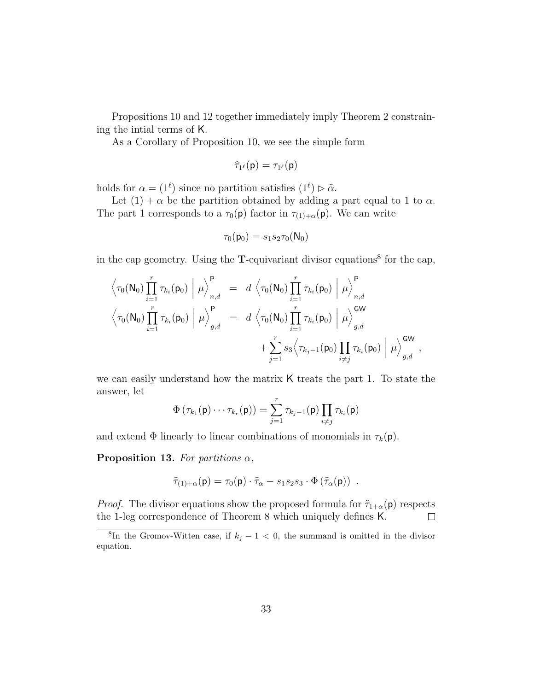Propositions 10 and 12 together immediately imply Theorem 2 constraining the intial terms of K.

As a Corollary of Proposition 10, we see the simple form

$$
\widehat{\tau}_{1^{\ell}}(\mathsf{p})=\tau_{1^{\ell}}(\mathsf{p})
$$

holds for  $\alpha = (1^{\ell})$  since no partition satisfies  $(1^{\ell}) \triangleright \hat{\alpha}$ .

Let  $(1) + \alpha$  be the partition obtained by adding a part equal to 1 to  $\alpha$ . The part 1 corresponds to a  $\tau_0(\mathsf{p})$  factor in  $\tau_{(1)+\alpha}(\mathsf{p})$ . We can write

$$
\tau_0(\mathsf{p}_0)=s_1s_2\tau_0(\mathsf{N}_0)
$$

in the cap geometry. Using the  $T$ -equivariant divisor equations<sup>8</sup> for the cap,

$$
\left\langle \tau_0(\mathsf{N}_0) \prod_{i=1}^r \tau_{k_i}(\mathsf{p}_0) \middle| \mu \right\rangle_{n,d}^{\mathsf{P}} = d \left\langle \tau_0(\mathsf{N}_0) \prod_{i=1}^r \tau_{k_i}(\mathsf{p}_0) \middle| \mu \right\rangle_{n,d}^{\mathsf{P}} \n\left\langle \tau_0(\mathsf{N}_0) \prod_{i=1}^r \tau_{k_i}(\mathsf{p}_0) \middle| \mu \right\rangle_{g,d}^{\mathsf{P}} = d \left\langle \tau_0(\mathsf{N}_0) \prod_{i=1}^r \tau_{k_i}(\mathsf{p}_0) \middle| \mu \right\rangle_{g,d}^{\mathsf{GW}} \n+ \sum_{j=1}^r s_3 \left\langle \tau_{k_j-1}(\mathsf{p}_0) \prod_{i \neq j} \tau_{k_i}(\mathsf{p}_0) \middle| \mu \right\rangle_{g,d}^{\mathsf{GW}},
$$

we can easily understand how the matrix K treats the part 1. To state the answer, let

$$
\Phi\left(\tau_{k_1}(\mathsf{p})\cdots\tau_{k_r}(\mathsf{p})\right)=\sum_{j=1}^r\tau_{k_j-1}(\mathsf{p})\prod_{i\neq j}\tau_{k_i}(\mathsf{p})
$$

and extend  $\Phi$  linearly to linear combinations of monomials in  $\tau_k(\mathbf{p})$ .

**Proposition 13.** For partitions  $\alpha$ ,

$$
\widehat{\tau}_{(1)+\alpha}(\mathsf{p}) = \tau_0(\mathsf{p}) \cdot \widehat{\tau}_{\alpha} - s_1 s_2 s_3 \cdot \Phi\left(\widehat{\tau}_{\alpha}(\mathsf{p})\right) \ .
$$

*Proof.* The divisor equations show the proposed formula for  $\hat{\tau}_{1+\alpha}(\mathsf{p})$  respects the 1-leg correspondence of Theorem 8 which uniquely defines **K**. the 1-leg correspondence of Theorem 8 which uniquely defines K.

<sup>&</sup>lt;sup>8</sup>In the Gromov-Witten case, if  $k_j - 1 < 0$ , the summand is omitted in the divisor equation.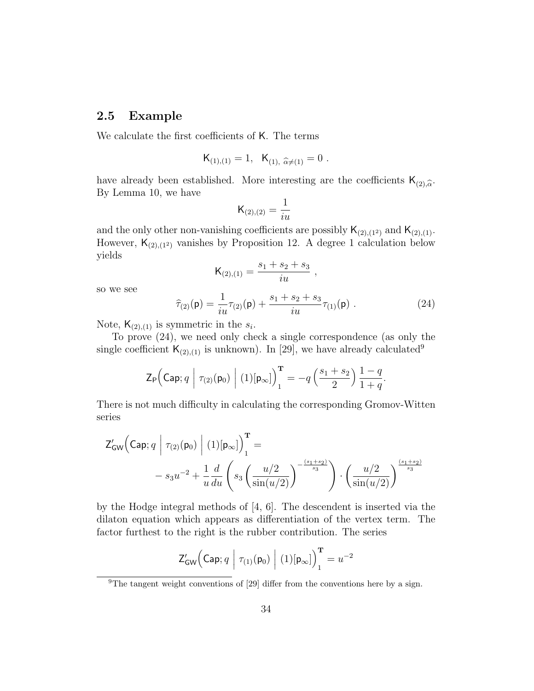### 2.5 Example

We calculate the first coefficients of K. The terms

$$
K_{(1),(1)} = 1, \ \ K_{(1),\ \widehat{\alpha} \neq (1)} = 0 \ .
$$

have already been established. More interesting are the coefficients  $\mathsf{K}_{(2),\hat{\alpha}}$ .<br>By Lemma 10, we have By Lemma 10, we have

$$
\mathsf{K}_{(2),(2)} = \frac{1}{iu}
$$

and the only other non-vanishing coefficients are possibly  $\mathsf{K}_{(2),(1^2)}$  and  $\mathsf{K}_{(2),(1)}$ . However,  $\mathsf{K}_{(2),(1^2)}$  vanishes by Proposition 12. A degree 1 calculation below yields

$$
\mathsf{K}_{(2),(1)} = \frac{s_1 + s_2 + s_3}{i u} ,
$$

so we see

$$
\widehat{\tau}_{(2)}(\mathsf{p}) = \frac{1}{iu}\tau_{(2)}(\mathsf{p}) + \frac{s_1 + s_2 + s_3}{iu}\tau_{(1)}(\mathsf{p}) . \tag{24}
$$

Note,  $\mathsf{K}_{(2),(1)}$  is symmetric in the  $s_i$ .

To prove (24), we need only check a single correspondence (as only the single coefficient  $\mathsf{K}_{(2),(1)}$  is unknown). In [29], we have already calculated<sup>9</sup>

$$
\mathsf{Z}_{\mathsf{P}}\Big(\mathsf{Cap};q\;\Big|\;\tau_{(2)}(\mathsf{p}_0)\;\Big|\; (1) [\mathsf{p}_{\infty}]\Big)_{1}^{\mathbf{T}}=-q\left(\frac{s_1+s_2}{2}\right)\frac{1-q}{1+q}.
$$

There is not much difficulty in calculating the corresponding Gromov-Witten series

$$
Z'_{GW}\left(\text{Cap}; q \mid \tau_{(2)}(\mathbf{p}_0) \mid (1)[\mathbf{p}_{\infty}]\right)_1^{\mathbf{T}} =
$$
  
- s<sub>3</sub>u<sup>-2</sup> +  $\frac{1}{u} \frac{d}{du} \left(s_3 \left(\frac{u/2}{\sin(u/2)}\right)^{-\frac{(s_1+s_2)}{s_3}}\right) \cdot \left(\frac{u/2}{\sin(u/2)}\right)^{\frac{(s_1+s_2)}{s_3}}$ 

by the Hodge integral methods of [4, 6]. The descendent is inserted via the dilaton equation which appears as differentiation of the vertex term. The factor furthest to the right is the rubber contribution. The series

$$
\mathsf{Z}_{\mathsf{GW}}'\Big(\mathsf{Cap};q \ \Big|\ \tau_{(1)}(\mathsf{p}_0)\ \Big|\ (1)[\mathsf{p}_\infty]\Big)^{\mathbf{T}}_1 = u^{-2}
$$

<sup>&</sup>lt;sup>9</sup>The tangent weight conventions of [29] differ from the conventions here by a sign.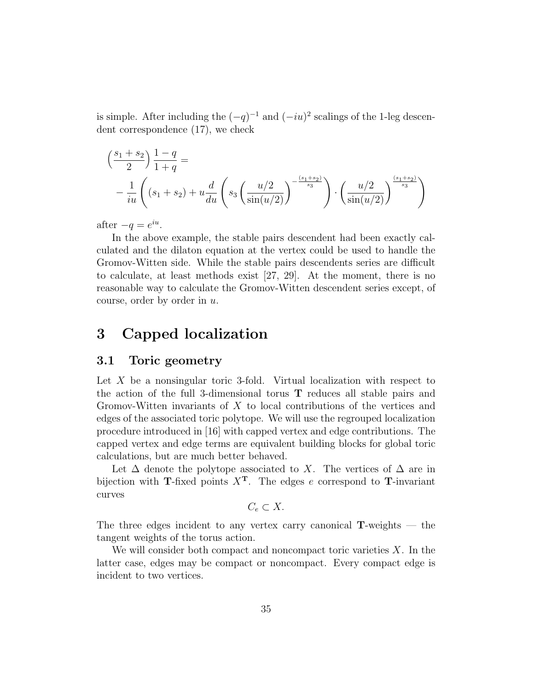is simple. After including the  $(-q)^{-1}$  and  $(-iu)^2$  scalings of the 1-leg descendent correspondence (17), we check

$$
\left(\frac{s_1 + s_2}{2}\right) \frac{1 - q}{1 + q} =
$$
\n
$$
- \frac{1}{iu} \left( (s_1 + s_2) + u \frac{d}{du} \left( s_3 \left( \frac{u/2}{\sin(u/2)} \right)^{-\frac{(s_1 + s_2)}{s_3}} \right) \cdot \left( \frac{u/2}{\sin(u/2)} \right)^{\frac{(s_1 + s_2)}{s_3}} \right)
$$

after  $-q = e^{iu}$ .

In the above example, the stable pairs descendent had been exactly calculated and the dilaton equation at the vertex could be used to handle the Gromov-Witten side. While the stable pairs descendents series are difficult to calculate, at least methods exist [27, 29]. At the moment, there is no reasonable way to calculate the Gromov-Witten descendent series except, of course, order by order in u.

# 3 Capped localization

#### 3.1 Toric geometry

Let  $X$  be a nonsingular toric 3-fold. Virtual localization with respect to the action of the full 3-dimensional torus T reduces all stable pairs and Gromov-Witten invariants of X to local contributions of the vertices and edges of the associated toric polytope. We will use the regrouped localization procedure introduced in [16] with capped vertex and edge contributions. The capped vertex and edge terms are equivalent building blocks for global toric calculations, but are much better behaved.

Let  $\Delta$  denote the polytope associated to X. The vertices of  $\Delta$  are in bijection with T-fixed points  $X<sup>T</sup>$ . The edges e correspond to T-invariant curves

$$
C_e \subset X.
$$

The three edges incident to any vertex carry canonical  $T$ -weights — the tangent weights of the torus action.

We will consider both compact and noncompact toric varieties  $X$ . In the latter case, edges may be compact or noncompact. Every compact edge is incident to two vertices.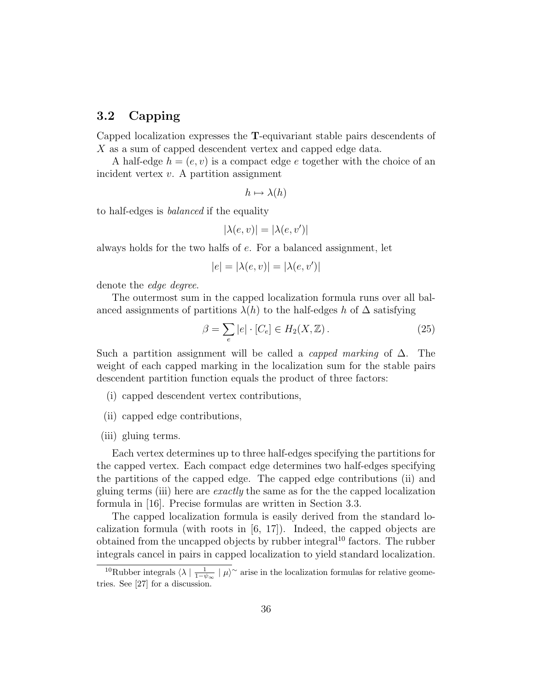### 3.2 Capping

Capped localization expresses the T-equivariant stable pairs descendents of X as a sum of capped descendent vertex and capped edge data.

A half-edge  $h = (e, v)$  is a compact edge e together with the choice of an incident vertex  $v$ . A partition assignment

$$
h \mapsto \lambda(h)
$$

to half-edges is balanced if the equality

$$
|\lambda(e,v)|=|\lambda(e,v')|
$$

always holds for the two halfs of e. For a balanced assignment, let

$$
|e|=|\lambda(e,v)|=|\lambda(e,v')|
$$

denote the *edge* degree.

The outermost sum in the capped localization formula runs over all balanced assignments of partitions  $\lambda(h)$  to the half-edges h of  $\Delta$  satisfying

$$
\beta = \sum_{e} |e| \cdot [C_e] \in H_2(X, \mathbb{Z}). \tag{25}
$$

Such a partition assignment will be called a *capped marking* of  $\Delta$ . The weight of each capped marking in the localization sum for the stable pairs descendent partition function equals the product of three factors:

- (i) capped descendent vertex contributions,
- (ii) capped edge contributions,
- (iii) gluing terms.

Each vertex determines up to three half-edges specifying the partitions for the capped vertex. Each compact edge determines two half-edges specifying the partitions of the capped edge. The capped edge contributions (ii) and gluing terms (iii) here are exactly the same as for the the capped localization formula in [16]. Precise formulas are written in Section 3.3.

The capped localization formula is easily derived from the standard localization formula (with roots in [6, 17]). Indeed, the capped objects are obtained from the uncapped objects by rubber integral<sup>10</sup> factors. The rubber integrals cancel in pairs in capped localization to yield standard localization.

<sup>&</sup>lt;sup>10</sup>Rubber integrals  $\langle \lambda | \frac{1}{1-\psi_{\infty}} | \mu \rangle^{\sim}$  arise in the localization formulas for relative geometries. See [27] for a discussion.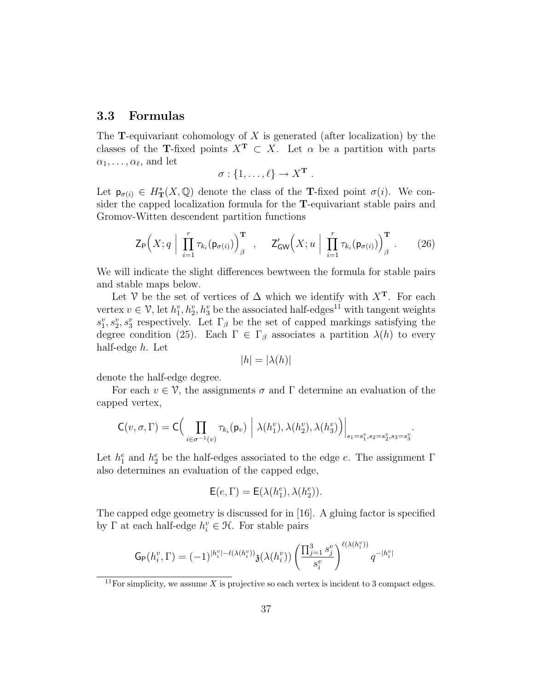### 3.3 Formulas

The **T**-equivariant cohomology of X is generated (after localization) by the classes of the T-fixed points  $X^T \subset X$ . Let  $\alpha$  be a partition with parts  $\alpha_1, \ldots, \alpha_{\ell}$ , and let

$$
\sigma: \{1,\ldots,\ell\} \to X^{\mathbf{T}}.
$$

Let  $p_{\sigma(i)} \in H^*_{\mathbf{T}}(X,\mathbb{Q})$  denote the class of the **T**-fixed point  $\sigma(i)$ . We consider the capped localization formula for the T-equivariant stable pairs and Gromov-Witten descendent partition functions

$$
\mathsf{Z}_{\mathsf{P}}\Big(X;q\Big|\prod_{i=1}^r\tau_{k_i}(\mathsf{p}_{\sigma(i)})\Big)_{\beta}^{\mathbf{T}}\quad,\quad \mathsf{Z}'_{\mathsf{GW}}\Big(X;u\Big|\prod_{i=1}^r\tau_{k_i}(\mathsf{p}_{\sigma(i)})\Big)_{\beta}^{\mathbf{T}}.\qquad(26)
$$

We will indicate the slight differences bewtween the formula for stable pairs and stable maps below.

Let V be the set of vertices of  $\Delta$  which we identify with  $X^T$ . For each vertex  $v \in V$ , let  $h_1^v, h_2^v, h_3^v$  be the associated half-edges<sup>11</sup> with tangent weights  $s_1^v, s_2^v, s_3^v$  respectively. Let  $\Gamma_\beta$  be the set of capped markings satisfying the degree condition (25). Each  $\Gamma \in \Gamma_\beta$  associates a partition  $\lambda(h)$  to every half-edge h. Let

$$
|h| = |\lambda(h)|
$$

denote the half-edge degree.

For each  $v \in \mathcal{V}$ , the assignments  $\sigma$  and  $\Gamma$  determine an evaluation of the capped vertex,

$$
\mathsf{C}(v,\sigma,\Gamma)=\mathsf{C}\Big(\prod_{i\in\sigma^{-1}(v)}\tau_{k_i}(\mathsf{p}_v)\Big|\lambda(h_1^v),\lambda(h_2^v),\lambda(h_3^v)\Big)\Big|_{s_1=s_1^v,s_2=s_2^v,s_3=s_3^v}.
$$

Let  $h_1^e$  and  $h_2^e$  be the half-edges associated to the edge e. The assignment  $\Gamma$ also determines an evaluation of the capped edge,

$$
\mathsf{E}(e,\Gamma)=\mathsf{E}(\lambda(h_1^e),\lambda(h_2^e)).
$$

The capped edge geometry is discussed for in [16]. A gluing factor is specified by  $\Gamma$  at each half-edge  $h_i^v \in \mathcal{H}$ . For stable pairs

$$
\mathsf{G}_{\mathsf{P}}(h_i^v,\Gamma) = (-1)^{|h_i^v|-\ell(\lambda(h_i^v))} \mathfrak{z}(\lambda(h_i^v)) \left( \frac{\prod_{j=1}^3 s_j^v}{s_i^v} \right)^{\ell(\lambda(h_i^v))} q^{-|h_i^v|}
$$

<sup>&</sup>lt;sup>11</sup>For simplicity, we assume X is projective so each vertex is incident to 3 compact edges.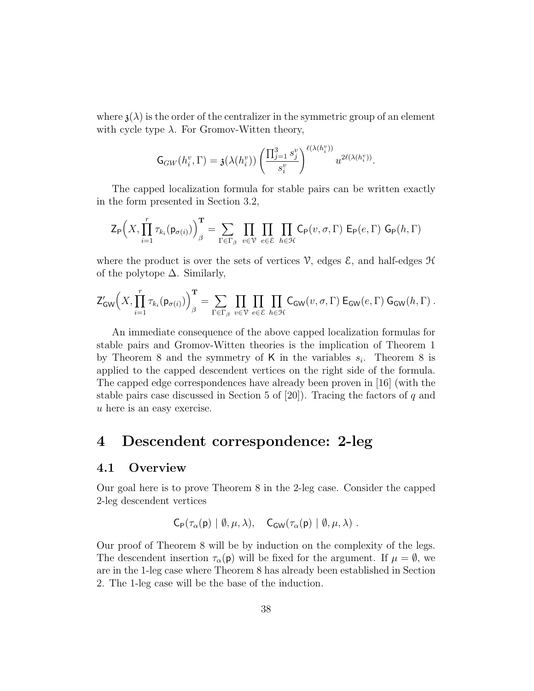where  $\mathfrak{z}(\lambda)$  is the order of the centralizer in the symmetric group of an element with cycle type  $\lambda$ . For Gromov-Witten theory,

$$
\mathsf{G}_{GW}(h_i^v, \Gamma) = \mathfrak{z}(\lambda(h_i^v)) \left( \frac{\prod_{j=1}^3 s_j^v}{s_i^v} \right)^{\ell(\lambda(h_i^v))} u^{2\ell(\lambda(h_i^v))}.
$$

The capped localization formula for stable pairs can be written exactly in the form presented in Section 3.2,

$$
\mathsf{Z}_{\mathsf{P}}\Big(X,\prod_{i=1}^r\tau_{k_i}(\mathsf{p}_{\sigma(i)})\Big)_{\beta}^{\mathbf{T}}=\sum_{\Gamma\in\Gamma_{\beta}}\prod_{v\in\mathcal{V}}\prod_{e\in\mathcal{E}}\prod_{h\in\mathcal{H}}\mathsf{C}_{\mathsf{P}}(v,\sigma,\Gamma)\ \mathsf{E}_{\mathsf{P}}(e,\Gamma)\ \mathsf{G}_{\mathsf{P}}(h,\Gamma)
$$

where the product is over the sets of vertices  $\mathcal{V}$ , edges  $\mathcal{E}$ , and half-edges  $\mathcal{H}$ of the polytope  $\Delta$ . Similarly,

$$
\mathsf{Z}_{\mathsf{GW}}'\Bigl(X, \prod_{i=1}^r\tau_{k_i}(\mathsf{p}_{\sigma(i)})\Bigr)_{\beta}^{\mathbf{T}} = \sum_{\Gamma \in \Gamma_{\beta}} \prod_{v \in \mathcal{V}} \prod_{e \in \mathcal{E}} \prod_{h \in \mathcal{H}} \mathsf{C}_{\mathsf{GW}}(v, \sigma, \Gamma) \, \mathsf{E}_{\mathsf{GW}}(e, \Gamma) \, \mathsf{G}_{\mathsf{GW}}(h, \Gamma) \, .
$$

An immediate consequence of the above capped localization formulas for stable pairs and Gromov-Witten theories is the implication of Theorem 1 by Theorem 8 and the symmetry of K in the variables  $s_i$ . Theorem 8 is applied to the capped descendent vertices on the right side of the formula. The capped edge correspondences have already been proven in [16] (with the stable pairs case discussed in Section 5 of  $[20]$ ). Tracing the factors of q and u here is an easy exercise.

# 4 Descendent correspondence: 2-leg

#### 4.1 Overview

Our goal here is to prove Theorem 8 in the 2-leg case. Consider the capped 2-leg descendent vertices

$$
\mathsf{C}_{\mathsf{P}}(\tau_{\alpha}(\mathsf{p}) \mid \emptyset, \mu, \lambda), \quad \mathsf{C}_{\mathsf{GW}}(\tau_{\alpha}(\mathsf{p}) \mid \emptyset, \mu, \lambda) \ .
$$

Our proof of Theorem 8 will be by induction on the complexity of the legs. The descendent insertion  $\tau_{\alpha}(\mathbf{p})$  will be fixed for the argument. If  $\mu = \emptyset$ , we are in the 1-leg case where Theorem 8 has already been established in Section 2. The 1-leg case will be the base of the induction.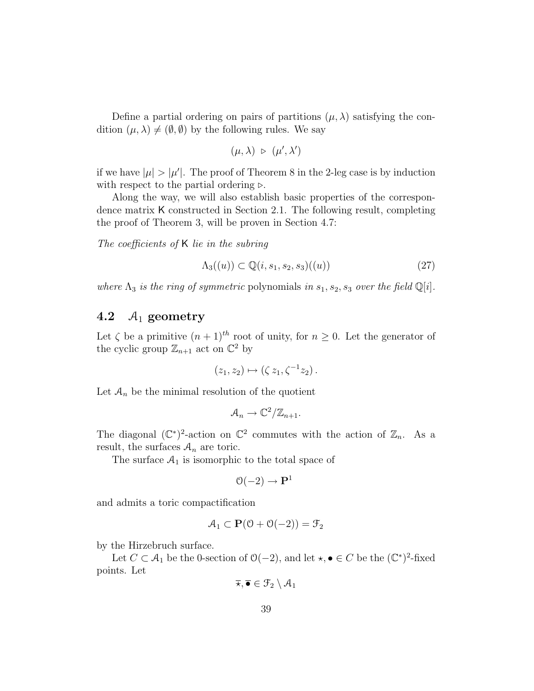Define a partial ordering on pairs of partitions  $(\mu, \lambda)$  satisfying the condition  $(\mu, \lambda) \neq (\emptyset, \emptyset)$  by the following rules. We say

$$
(\mu,\lambda) \;\triangleright\; (\mu',\lambda')
$$

if we have  $|\mu| > |\mu'|$ . The proof of Theorem 8 in the 2-leg case is by induction with respect to the partial ordering  $\triangleright$ .

Along the way, we will also establish basic properties of the correspondence matrix K constructed in Section 2.1. The following result, completing the proof of Theorem 3, will be proven in Section 4.7:

The coefficients of K lie in the subring

$$
\Lambda_3((u)) \subset \mathbb{Q}(i, s_1, s_2, s_3)((u)) \tag{27}
$$

where  $\Lambda_3$  is the ring of symmetric polynomials in  $s_1, s_2, s_3$  over the field  $\mathbb{Q}[i]$ .

# 4.2  $A_1$  geometry

Let  $\zeta$  be a primitive  $(n + 1)^{th}$  root of unity, for  $n \geq 0$ . Let the generator of the cyclic group  $\mathbb{Z}_{n+1}$  act on  $\mathbb{C}^2$  by

$$
(z_1, z_2) \mapsto (\zeta z_1, \zeta^{-1} z_2).
$$

Let  $A_n$  be the minimal resolution of the quotient

$$
\mathcal{A}_n \to \mathbb{C}^2/\mathbb{Z}_{n+1}.
$$

The diagonal  $(\mathbb{C}^*)^2$ -action on  $\mathbb{C}^2$  commutes with the action of  $\mathbb{Z}_n$ . As a result, the surfaces  $A_n$  are toric.

The surface  $A_1$  is isomorphic to the total space of

$$
\mathcal{O}(-2) \to \mathbf{P}^1
$$

and admits a toric compactification

$$
\mathcal{A}_1 \subset \mathbf{P}(\mathcal{O} + \mathcal{O}(-2)) = \mathcal{F}_2
$$

by the Hirzebruch surface.

Let  $C \subset A_1$  be the 0-section of  $\mathcal{O}(-2)$ , and let  $\star, \bullet \in C$  be the  $(\mathbb{C}^*)^2$ -fixed points. Let

$$
\overline{\star}, \overline{\bullet} \in \mathcal{F}_2 \setminus \mathcal{A}_1
$$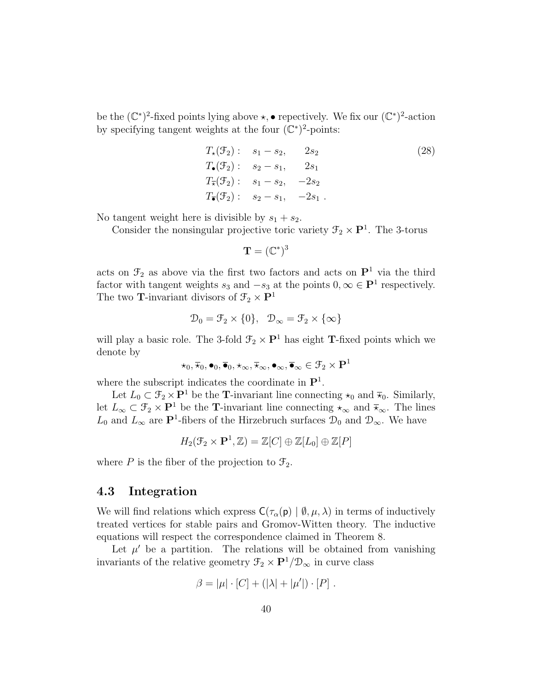be the  $(\mathbb{C}^*)^2$ -fixed points lying above  $\star$ , • repectively. We fix our  $(\mathbb{C}^*)^2$ -action by specifying tangent weights at the four  $(\mathbb{C}^*)^2$ -points:

$$
T_{\star}(\mathcal{F}_{2}): \quad s_{1} - s_{2}, \qquad 2s_{2} T_{\bullet}(\mathcal{F}_{2}): \quad s_{2} - s_{1}, \qquad 2s_{1} T_{\star}(\mathcal{F}_{2}): \quad s_{1} - s_{2}, \qquad -2s_{2} T_{\bullet}(\mathcal{F}_{2}): \quad s_{2} - s_{1}, \qquad -2s_{1} .
$$
\n(28)

No tangent weight here is divisible by  $s_1 + s_2$ .

Consider the nonsingular projective toric variety  $\mathcal{F}_2 \times \mathbf{P}^1$ . The 3-torus

$$
\mathbf{T}=(\mathbb{C}^*)^3
$$

acts on  $\mathcal{F}_2$  as above via the first two factors and acts on  $\mathbf{P}^1$  via the third factor with tangent weights  $s_3$  and  $-s_3$  at the points  $0, \infty \in \mathbf{P}^1$  respectively. The two **T**-invariant divisors of  $\mathcal{F}_2 \times \mathbf{P}^1$ 

$$
\mathcal{D}_0 = \mathcal{F}_2 \times \{0\}, \quad \mathcal{D}_{\infty} = \mathcal{F}_2 \times \{\infty\}
$$

will play a basic role. The 3-fold  $\mathcal{F}_2 \times \mathbf{P}^1$  has eight **T**-fixed points which we denote by

$$
\star_0,\overline{\star}_0, \bullet_0,\overline{\bullet}_0,\star_{\infty},\overline{\star}_{\infty},\bullet_{\infty},\overline{\bullet}_{\infty}\in\mathfrak{F}_2\times\mathbf{P}^1
$$

where the subscript indicates the coordinate in  $\mathbf{P}^1$ .

Let  $L_0 \subset \mathcal{F}_2 \times \mathbf{P}^1$  be the **T**-invariant line connecting  $\star_0$  and  $\overline{\star}_0$ . Similarly, let  $L_{\infty} \subset \mathcal{F}_2 \times \mathbf{P}^1$  be the **T**-invariant line connecting  $\star_{\infty}$  and  $\bar{\star}_{\infty}$ . The lines  $L_0$  and  $L_{\infty}$  are P<sup>1</sup>-fibers of the Hirzebruch surfaces  $\mathcal{D}_0$  and  $\mathcal{D}_{\infty}$ . We have

$$
H_2(\mathcal{F}_2 \times \mathbf{P}^1, \mathbb{Z}) = \mathbb{Z}[C] \oplus \mathbb{Z}[L_0] \oplus \mathbb{Z}[P]
$$

where P is the fiber of the projection to  $\mathcal{F}_2$ .

### 4.3 Integration

We will find relations which express  $C(\tau_{\alpha}(\mathsf{p}) \mid \emptyset, \mu, \lambda)$  in terms of inductively treated vertices for stable pairs and Gromov-Witten theory. The inductive equations will respect the correspondence claimed in Theorem 8.

Let  $\mu'$  be a partition. The relations will be obtained from vanishing invariants of the relative geometry  $\mathcal{F}_2 \times \mathbf{P}^1/\mathcal{D}_\infty$  in curve class

$$
\beta = |\mu| \cdot [C] + (|\lambda| + |\mu'|) \cdot [P].
$$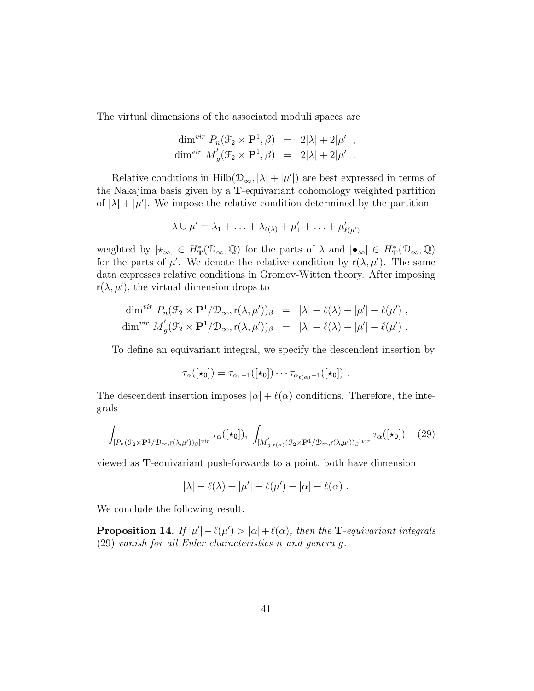The virtual dimensions of the associated moduli spaces are

$$
\dim^{vir} P_n(\mathcal{F}_2 \times \mathbf{P}^1, \beta) = 2|\lambda| + 2|\mu'| ,
$$
  

$$
\dim^{vir} \overline{M}'_g(\mathcal{F}_2 \times \mathbf{P}^1, \beta) = 2|\lambda| + 2|\mu'| .
$$

Relative conditions in  $\text{Hilb}(\mathcal{D}_{\infty}, |\lambda| + |\mu'|)$  are best expressed in terms of the Nakajima basis given by a T-equivariant cohomology weighted partition of  $|\lambda| + |\mu'|$ . We impose the relative condition determined by the partition

$$
\lambda \cup \mu' = \lambda_1 + \ldots + \lambda_{\ell(\lambda)} + \mu'_1 + \ldots + \mu'_{\ell(\mu')}
$$

weighted by  $[\star_{\infty}] \in H^*_{\mathbf{T}}(\mathcal{D}_{\infty}, \mathbb{Q})$  for the parts of  $\lambda$  and  $[\bullet_{\infty}] \in H^*_{\mathbf{T}}(\mathcal{D}_{\infty}, \mathbb{Q})$ for the parts of  $\mu'$ . We denote the relative condition by  $r(\lambda, \mu')$ . The same data expresses relative conditions in Gromov-Witten theory. After imposing  $r(\lambda, \mu')$ , the virtual dimension drops to

$$
\dim^{vir} P_n(\mathcal{F}_2 \times \mathbf{P}^1/\mathcal{D}_{\infty}, \mathsf{r}(\lambda, \mu'))_\beta = |\lambda| - \ell(\lambda) + |\mu'| - \ell(\mu') ,
$$
  

$$
\dim^{vir} \overline{M}'_g(\mathcal{F}_2 \times \mathbf{P}^1/\mathcal{D}_{\infty}, \mathsf{r}(\lambda, \mu'))_\beta = |\lambda| - \ell(\lambda) + |\mu'| - \ell(\mu') .
$$

To define an equivariant integral, we specify the descendent insertion by

$$
\tau_{\alpha}([\star_0]) = \tau_{\alpha_1-1}([\star_0]) \cdots \tau_{\alpha_{\ell(\alpha)}-1}([\star_0]) \ .
$$

The descendent insertion imposes  $|\alpha| + \ell(\alpha)$  conditions. Therefore, the integrals

$$
\int_{[P_n(\mathcal{F}_2 \times \mathbf{P}^1/\mathcal{D}_{\infty}, \mathbf{r}(\lambda, \mu'))_{\beta}]^{vir}} \tau_{\alpha}([\star_0]), \ \int_{[\overline{M}'_{g, \ell(\alpha)}(\mathcal{F}_2 \times \mathbf{P}^1/\mathcal{D}_{\infty}, \mathbf{r}(\lambda, \mu'))_{\beta}]^{vir}} \tau_{\alpha}([\star_0]) \tag{29}
$$

viewed as T-equivariant push-forwards to a point, both have dimension

$$
|\lambda| - \ell(\lambda) + |\mu'| - \ell(\mu') - |\alpha| - \ell(\alpha) .
$$

We conclude the following result.

**Proposition 14.** If  $|\mu'| - \ell(\mu') > |\alpha| + \ell(\alpha)$ , then the **T**-equivariant integrals (29) vanish for all Euler characteristics n and genera g.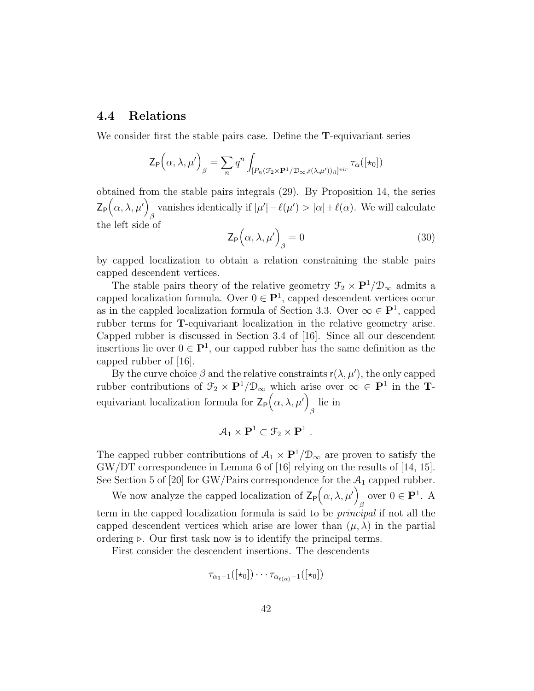### 4.4 Relations

We consider first the stable pairs case. Define the T-equivariant series

$$
\mathsf{Z}_{\mathsf{P}}\Big(\alpha,\lambda,\mu'\Big)_{\beta} = \sum_{n} q^{n} \int_{[P_{n}(\mathcal{F}_{2} \times \mathbf{P}^{1}/\mathcal{D}_{\infty}, \mathsf{r}(\lambda,\mu'))_{\beta}]^{vir}} \tau_{\alpha}([\star_{0}])
$$

obtained from the stable pairs integrals (29). By Proposition 14, the series  $Z_{\mathsf{P}}\big(\alpha,\lambda,\mu'\big)$ vanishes identically if  $|\mu'| - \ell(\mu') > |\alpha| + \ell(\alpha)$ . We will calculate the left side of

$$
\mathsf{Z}_{\mathsf{P}}\left(\alpha,\lambda,\mu'\right)_{\beta}=0\tag{30}
$$

by capped localization to obtain a relation constraining the stable pairs capped descendent vertices.

The stable pairs theory of the relative geometry  $\mathcal{F}_2 \times \mathbf{P}^1/\mathcal{D}_{\infty}$  admits a capped localization formula. Over  $0 \in \mathbf{P}^1$ , capped descendent vertices occur as in the cappled localization formula of Section 3.3. Over  $\infty \in \mathbf{P}^1$ , capped rubber terms for T-equivariant localization in the relative geometry arise. Capped rubber is discussed in Section 3.4 of [16]. Since all our descendent insertions lie over  $0 \in \mathbf{P}^1$ , our capped rubber has the same definition as the capped rubber of [16].

By the curve choice  $\beta$  and the relative constraints  $r(\lambda, \mu')$ , the only capped rubber contributions of  $\mathfrak{T}_2 \times \mathbf{P}^1/\mathfrak{D}_{\infty}$  which arise over  $\infty \in \mathbf{P}^1$  in the **T**equivariant localization formula for  $\mathsf{Z}_{\mathsf{P}}\big(\alpha,\lambda,\mu'\big)$ lie in

$$
\mathcal{A}_1 \times \mathbf{P}^1 \subset \mathcal{F}_2 \times \mathbf{P}^1 \ .
$$

The capped rubber contributions of  $A_1 \times \mathbf{P}^1/\mathcal{D}_{\infty}$  are proven to satisfy the GW/DT correspondence in Lemma 6 of [16] relying on the results of [14, 15]. See Section 5 of [20] for GW/Pairs correspondence for the  $A_1$  capped rubber.

We now analyze the capped localization of  $\mathsf{Z}_{\mathsf{P}}(\alpha,\lambda,\mu')$ <sub>β</sub> over  $0 \in \mathbf{P}^1$ . A term in the capped localization formula is said to be principal if not all the capped descendent vertices which arise are lower than  $(\mu, \lambda)$  in the partial ordering  $\triangleright$ . Our first task now is to identify the principal terms.

First consider the descendent insertions. The descendents

$$
\tau_{\alpha_1 - 1}([\star_0]) \cdots \tau_{\alpha_{\ell(\alpha)} - 1}([\star_0])
$$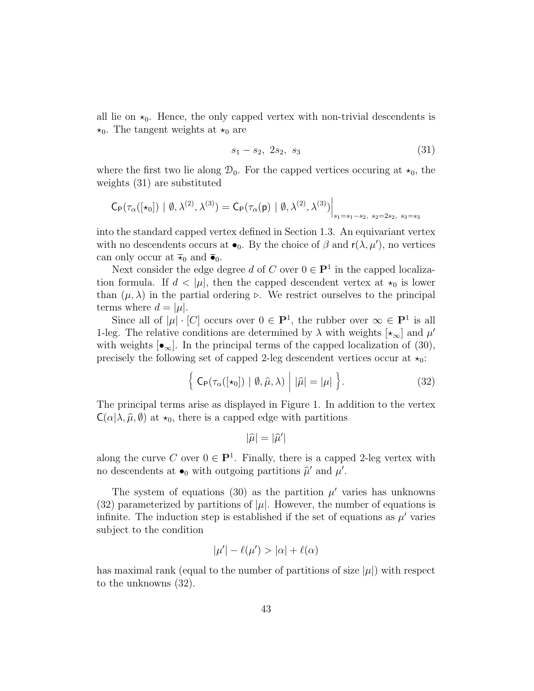all lie on  $\star_0$ . Hence, the only capped vertex with non-trivial descendents is  $\star_0$ . The tangent weights at  $\star_0$  are

$$
s_1 - s_2, \ 2s_2, \ s_3 \tag{31}
$$

where the first two lie along  $\mathcal{D}_0$ . For the capped vertices occuring at  $\star_0$ , the weights (31) are substituted

$$
\mathsf{C}_{\mathsf{P}}(\tau_{\alpha}([\star_0]) \mid \emptyset, \lambda^{(2)}, \lambda^{(3)}) = \mathsf{C}_{\mathsf{P}}(\tau_{\alpha}(\mathsf{p}) \mid \emptyset, \lambda^{(2)}, \lambda^{(3)})\Big|_{s_1 = s_1 - s_2, \ s_2 = 2s_2, \ s_3 = s_3}
$$

into the standard capped vertex defined in Section 1.3. An equivariant vertex with no descendents occurs at  $\bullet_0$ . By the choice of  $\beta$  and  $r(\lambda, \mu')$ , no vertices can only occur at  $\overline{\star}_0$  and  $\overline{\bullet}_0$ .

Next consider the edge degree d of C over  $0 \in \mathbf{P}^1$  in the capped localization formula. If  $d < |\mu|$ , then the capped descendent vertex at  $\star_0$  is lower than  $(\mu, \lambda)$  in the partial ordering ⊳. We restrict ourselves to the principal terms where  $d = |\mu|$ .

Since all of  $|\mu| \cdot [C]$  occurs over  $0 \in \mathbf{P}^1$ , the rubber over  $\infty \in \mathbf{P}^1$  is all 1-leg. The relative conditions are determined by  $\lambda$  with weights  $\left[\star_{\infty}\right]$  and  $\mu'$ with weights  $[\bullet_\infty]$ . In the principal terms of the capped localization of (30), precisely the following set of capped 2-leg descendent vertices occur at  $\star_0$ :

$$
\left\{ \mathsf{C}_{\mathsf{P}}(\tau_{\alpha}([\star_0]) \mid \emptyset, \widehat{\mu}, \lambda) \middle| \, |\widehat{\mu}| = |\mu| \, \right\}.
$$
 (32)

The principal terms arise as displayed in Figure 1. In addition to the vertex  $C(\alpha | \lambda, \hat{\mu}, \emptyset)$  at  $\star_0$ , there is a capped edge with partitions

$$
|\widehat{\mu}|=|\widehat{\mu}'|
$$

along the curve C over  $0 \in \mathbf{P}^1$ . Finally, there is a capped 2-leg vertex with no descendents at  $\bullet_0$  with outgoing partitions  $\hat{\mu}'$  and  $\mu'$ .

The system of equations (30) as the partition  $\mu'$  varies has unknowns (32) parameterized by partitions of  $|\mu|$ . However, the number of equations is infinite. The induction step is established if the set of equations as  $\mu'$  varies subject to the condition

$$
|\mu'| - \ell(\mu') > |\alpha| + \ell(\alpha)
$$

has maximal rank (equal to the number of partitions of size  $|\mu|$ ) with respect to the unknowns (32).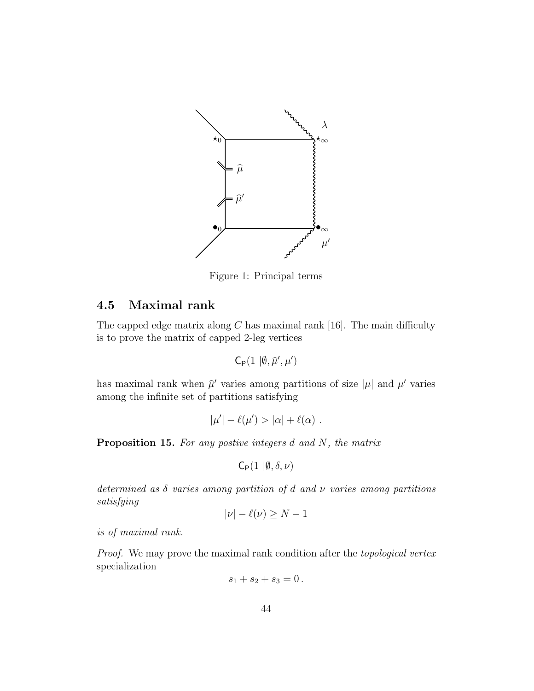

Figure 1: Principal terms

# 4.5 Maximal rank

The capped edge matrix along  $C$  has maximal rank [16]. The main difficulty is to prove the matrix of capped 2-leg vertices

$$
\mathsf{C}_{\mathsf{P}}(1\,\,|\emptyset,\widehat{\mu}',\mu')
$$

has maximal rank when  $\hat{\mu}'$  varies among partitions of size  $|\mu|$  and  $\mu'$  varies among the infinite set of partitions satisfying

$$
|\mu'| - \ell(\mu') > |\alpha| + \ell(\alpha) .
$$

**Proposition 15.** For any postive integers  $d$  and  $N$ , the matrix

 $C_P(1 | \emptyset, \delta, \nu)$ 

determined as  $\delta$  varies among partition of d and  $\nu$  varies among partitions satisfying

$$
|\nu| - \ell(\nu) \ge N - 1
$$

is of maximal rank.

Proof. We may prove the maximal rank condition after the topological vertex specialization

$$
s_1 + s_2 + s_3 = 0.
$$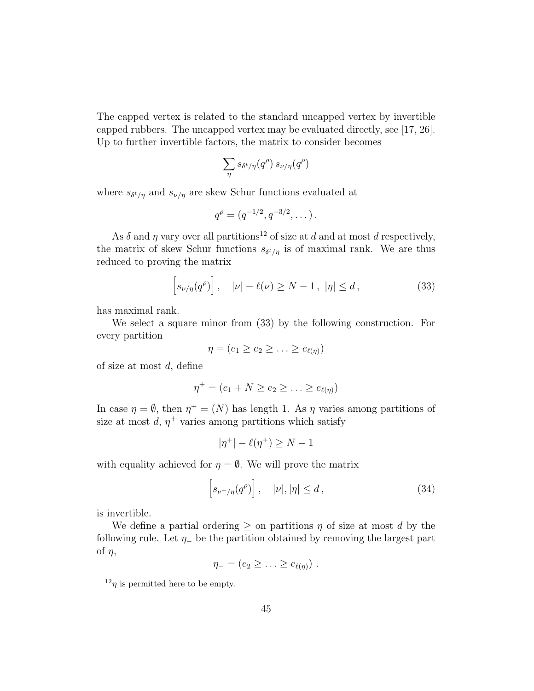The capped vertex is related to the standard uncapped vertex by invertible capped rubbers. The uncapped vertex may be evaluated directly, see [17, 26]. Up to further invertible factors, the matrix to consider becomes

$$
\sum_{\eta} s_{\delta^t/\eta}(q^{\rho}) s_{\nu/\eta}(q^{\rho})
$$

where  $s_{\delta^t/\eta}$  and  $s_{\nu/\eta}$  are skew Schur functions evaluated at

$$
q^{\rho} = (q^{-1/2}, q^{-3/2}, \dots).
$$

As  $\delta$  and  $\eta$  vary over all partitions<sup>12</sup> of size at d and at most d respectively, the matrix of skew Schur functions  $s_{\delta^t/\eta}$  is of maximal rank. We are thus reduced to proving the matrix

$$
\[s_{\nu/\eta}(q^{\rho})\], \quad |\nu| - \ell(\nu) \ge N - 1, \ |\eta| \le d, \tag{33}
$$

has maximal rank.

We select a square minor from (33) by the following construction. For every partition

$$
\eta=(e_1\geq e_2\geq\ldots\geq e_{\ell(\eta)})
$$

of size at most  $d$ , define

$$
\eta^+ = (e_1 + N \ge e_2 \ge \ldots \ge e_{\ell(\eta)})
$$

In case  $\eta = \emptyset$ , then  $\eta^+ = (N)$  has length 1. As  $\eta$  varies among partitions of size at most  $d, \eta^+$  varies among partitions which satisfy

$$
|\eta^+|-\ell(\eta^+)\geq N-1
$$

with equality achieved for  $\eta = \emptyset$ . We will prove the matrix

$$
\[s_{\nu^+/\eta}(q^{\rho})\], \quad |\nu|, |\eta| \le d\,,\tag{34}
$$

is invertible.

We define a partial ordering  $\geq$  on partitions  $\eta$  of size at most d by the following rule. Let  $\eta$  be the partition obtained by removing the largest part of  $\eta$ ,

$$
\eta_- = (e_2 \geq \ldots \geq e_{\ell(\eta)}) \ .
$$

 $\frac{12}{\eta}$  is permitted here to be empty.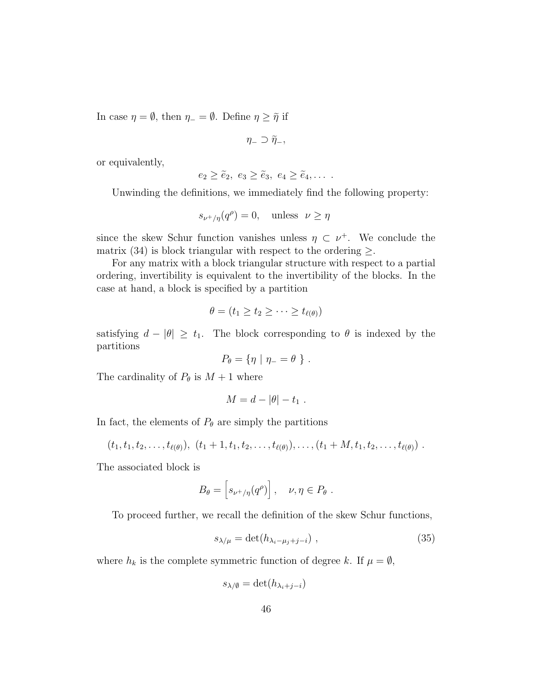In case  $\eta = \emptyset$ , then  $\eta = \emptyset$ . Define  $\eta \geq \tilde{\eta}$  if

 $\eta_-\supset\widetilde{\eta}_-,$ 

or equivalently,

$$
e_2 \geq \tilde{e}_2, e_3 \geq \tilde{e}_3, e_4 \geq \tilde{e}_4, \ldots
$$

Unwinding the definitions, we immediately find the following property:

$$
s_{\nu^+/\eta}(q^{\rho}) = 0, \quad \text{unless} \quad \nu \ge \eta
$$

since the skew Schur function vanishes unless  $\eta \subset \nu^+$ . We conclude the matrix (34) is block triangular with respect to the ordering  $\geq$ .

For any matrix with a block triangular structure with respect to a partial ordering, invertibility is equivalent to the invertibility of the blocks. In the case at hand, a block is specified by a partition

$$
\theta = (t_1 \geq t_2 \geq \cdots \geq t_{\ell(\theta)})
$$

satisfying  $d - |\theta| \geq t_1$ . The block corresponding to  $\theta$  is indexed by the partitions

$$
P_{\theta} = \{ \eta \mid \eta_- = \theta \} .
$$

The cardinality of  $P_{\theta}$  is  $M + 1$  where

$$
M=d-|\theta|-t_1.
$$

In fact, the elements of  $P_{\theta}$  are simply the partitions

$$
(t_1,t_1,t_2,\ldots,t_{\ell(\theta)}),\ (t_1+1,t_1,t_2,\ldots,t_{\ell(\theta)}),\ldots,(t_1+M,t_1,t_2,\ldots,t_{\ell(\theta)})\;.
$$

The associated block is

$$
B_{\theta} = \left[ s_{\nu^+/\eta}(q^{\rho}) \right], \quad \nu, \eta \in P_{\theta} .
$$

To proceed further, we recall the definition of the skew Schur functions,

$$
s_{\lambda/\mu} = \det(h_{\lambda_i - \mu_j + j - i}) \tag{35}
$$

where  $h_k$  is the complete symmetric function of degree k. If  $\mu = \emptyset$ ,

$$
s_{\lambda/\emptyset} = \det(h_{\lambda_i+j-i})
$$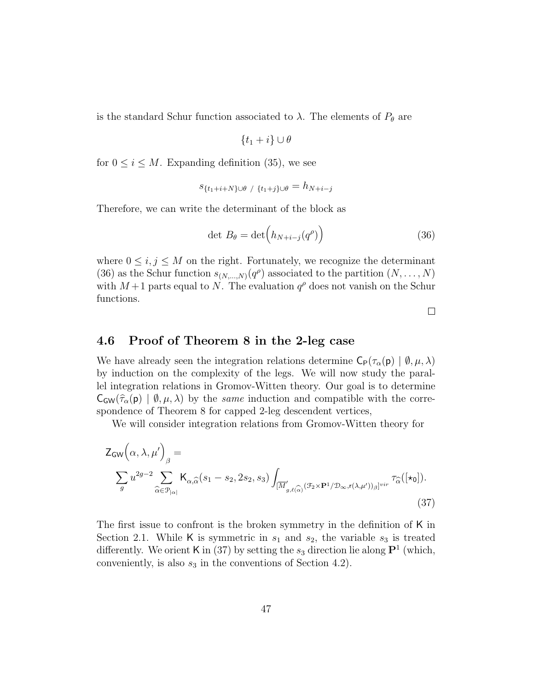is the standard Schur function associated to  $\lambda$ . The elements of  $P_{\theta}$  are

$$
\{t_1+i\}\cup\theta
$$

for  $0 \leq i \leq M$ . Expanding definition (35), we see

$$
s_{\{t_1+i+N\}\cup\theta\ / \ \{t_1+j\}\cup\theta} = h_{N+i-j}
$$

Therefore, we can write the determinant of the block as

$$
\det B_{\theta} = \det \left( h_{N+i-j}(q^{\rho}) \right) \tag{36}
$$

where  $0 \leq i, j \leq M$  on the right. Fortunately, we recognize the determinant (36) as the Schur function  $s_{(N,\ldots,N)}(q^{\rho})$  associated to the partition  $(N,\ldots,N)$ with  $M+1$  parts equal to N. The evaluation  $q^{\rho}$  does not vanish on the Schur functions.

 $\Box$ 

### 4.6 Proof of Theorem 8 in the 2-leg case

We have already seen the integration relations determine  $C_P(\tau_\alpha(\mathbf{p}) \mid \emptyset, \mu, \lambda)$ by induction on the complexity of the legs. We will now study the parallel integration relations in Gromov-Witten theory. Our goal is to determine  $\mathsf{C}_{\mathsf{GW}}(\hat{\tau}_{\alpha}(\mathsf{p}) \mid \emptyset, \mu, \lambda)$  by the same induction and compatible with the correspondence of Theorem 8 for capped 2-leg descendent vertices,

We will consider integration relations from Gromov-Witten theory for

$$
\mathsf{Z}_{\mathsf{GW}}\Big(\alpha,\lambda,\mu'\Big)_{\beta} = \sum_{\widehat{\alpha} \in \mathcal{P}_{|\alpha|}} \mathsf{K}_{\alpha,\widehat{\alpha}}(s_1 - s_2, 2s_2, s_3) \int_{[\overline{M}'_{g,\ell(\widehat{\alpha})}(\mathcal{F}_2 \times \mathbf{P}^1/\mathcal{D}_{\infty}, \mathsf{r}(\lambda,\mu'))_{\beta}]^{vir}} \tau_{\widehat{\alpha}}([\star_0]).
$$
\n(37)

The first issue to confront is the broken symmetry in the definition of K in Section 2.1. While K is symmetric in  $s_1$  and  $s_2$ , the variable  $s_3$  is treated differently. We orient K in (37) by setting the  $s_3$  direction lie along  $\mathbf{P}^1$  (which, conveniently, is also  $s_3$  in the conventions of Section 4.2).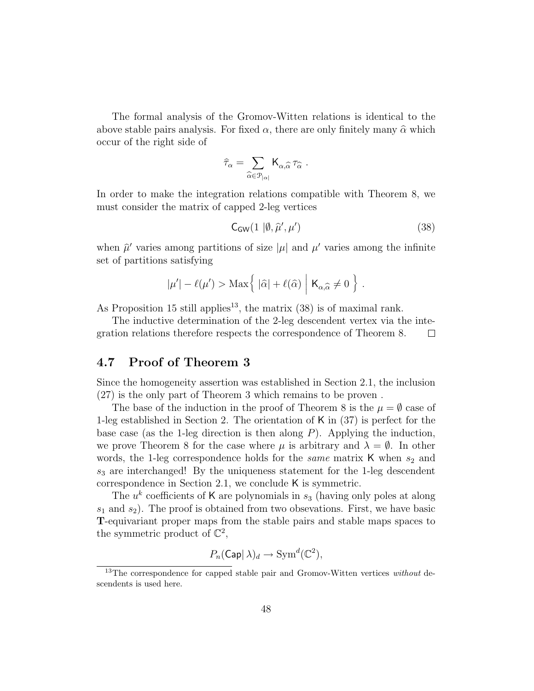The formal analysis of the Gromov-Witten relations is identical to the above stable pairs analysis. For fixed  $\alpha$ , there are only finitely many  $\hat{\alpha}$  which occur of the right side of

$$
\widehat{\tau}_{\alpha} = \sum_{\widehat{\alpha} \in \mathcal{P}_{|\alpha|}} \mathsf{K}_{\alpha, \widehat{\alpha}} \, \tau_{\widehat{\alpha}} \ .
$$

In order to make the integration relations compatible with Theorem 8, we must consider the matrix of capped 2-leg vertices

$$
C_{\text{GW}}(1 \mid \emptyset, \hat{\mu}', \mu') \tag{38}
$$

when  $\hat{\mu}'$  varies among partitions of size  $|\mu|$  and  $\mu'$  varies among the infinite set of partitions satisfying

$$
|\mu'| - \ell(\mu') > \text{Max}\Big\{ |\widehat{\alpha}| + \ell(\widehat{\alpha}) \mid \mathsf{K}_{\alpha,\widehat{\alpha}} \neq 0 \Big\} .
$$

As Proposition 15 still applies<sup>13</sup>, the matrix  $(38)$  is of maximal rank.

The inductive determination of the 2-leg descendent vertex via the integration relations therefore respects the correspondence of Theorem 8.  $\Box$ 

### 4.7 Proof of Theorem 3

Since the homogeneity assertion was established in Section 2.1, the inclusion (27) is the only part of Theorem 3 which remains to be proven .

The base of the induction in the proof of Theorem 8 is the  $\mu = \emptyset$  case of 1-leg established in Section 2. The orientation of K in (37) is perfect for the base case (as the 1-leg direction is then along  $P$ ). Applying the induction, we prove Theorem 8 for the case where  $\mu$  is arbitrary and  $\lambda = \emptyset$ . In other words, the 1-leg correspondence holds for the *same* matrix  $\boldsymbol{K}$  when  $s_2$  and  $s_3$  are interchanged! By the uniqueness statement for the 1-leg descendent correspondence in Section 2.1, we conclude K is symmetric.

The  $u^k$  coefficients of K are polynomials in  $s_3$  (having only poles at along  $s_1$  and  $s_2$ ). The proof is obtained from two obsevations. First, we have basic T-equivariant proper maps from the stable pairs and stable maps spaces to the symmetric product of  $\mathbb{C}^2$ ,

$$
P_n(\mathsf{Cap}|\lambda)_d \to \operatorname{Sym}^d(\mathbb{C}^2),
$$

 $13$ The correspondence for capped stable pair and Gromov-Witten vertices without descendents is used here.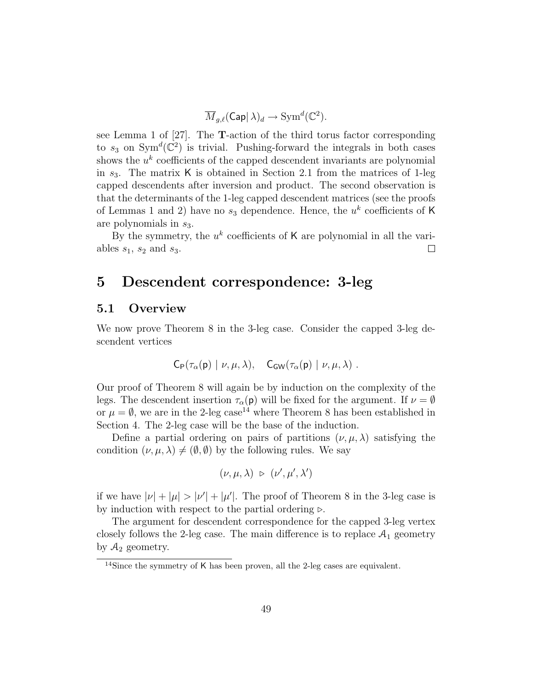$$
\overline{M}_{g,\ell}(\mathsf{Cap}|\,\lambda)_d \to \text{Sym}^d(\mathbb{C}^2).
$$

see Lemma 1 of [27]. The T-action of the third torus factor corresponding to  $s_3$  on Sym<sup>d</sup>( $\mathbb{C}^2$ ) is trivial. Pushing-forward the integrals in both cases shows the  $u^k$  coefficients of the capped descendent invariants are polynomial in  $s_3$ . The matrix K is obtained in Section 2.1 from the matrices of 1-leg capped descendents after inversion and product. The second observation is that the determinants of the 1-leg capped descendent matrices (see the proofs of Lemmas 1 and 2) have no  $s_3$  dependence. Hence, the  $u^k$  coefficients of K are polynomials in  $s_3$ .

By the symmetry, the  $u^k$  coefficients of K are polynomial in all the variables  $s_1$ ,  $s_2$  and  $s_3$ .  $\Box$ 

# 5 Descendent correspondence: 3-leg

#### 5.1 Overview

We now prove Theorem 8 in the 3-leg case. Consider the capped 3-leg descendent vertices

$$
C_{\mathsf{P}}(\tau_{\alpha}(\mathsf{p}) \mid \nu, \mu, \lambda), \quad C_{\mathsf{GW}}(\tau_{\alpha}(\mathsf{p}) \mid \nu, \mu, \lambda) \ .
$$

Our proof of Theorem 8 will again be by induction on the complexity of the legs. The descendent insertion  $\tau_{\alpha}(\mathbf{p})$  will be fixed for the argument. If  $\nu = \emptyset$ or  $\mu = \emptyset$ , we are in the 2-leg case<sup>14</sup> where Theorem 8 has been established in Section 4. The 2-leg case will be the base of the induction.

Define a partial ordering on pairs of partitions  $(\nu, \mu, \lambda)$  satisfying the condition  $(\nu, \mu, \lambda) \neq (\emptyset, \emptyset)$  by the following rules. We say

$$
(\nu,\mu,\lambda)\;\triangleright\;(\nu',\mu',\lambda')
$$

if we have  $|\nu| + |\mu| > |\nu'| + |\mu'|$ . The proof of Theorem 8 in the 3-leg case is by induction with respect to the partial ordering  $\triangleright$ .

The argument for descendent correspondence for the capped 3-leg vertex closely follows the 2-leg case. The main difference is to replace  $A_1$  geometry by  $A_2$  geometry.

<sup>14</sup>Since the symmetry of K has been proven, all the 2-leg cases are equivalent.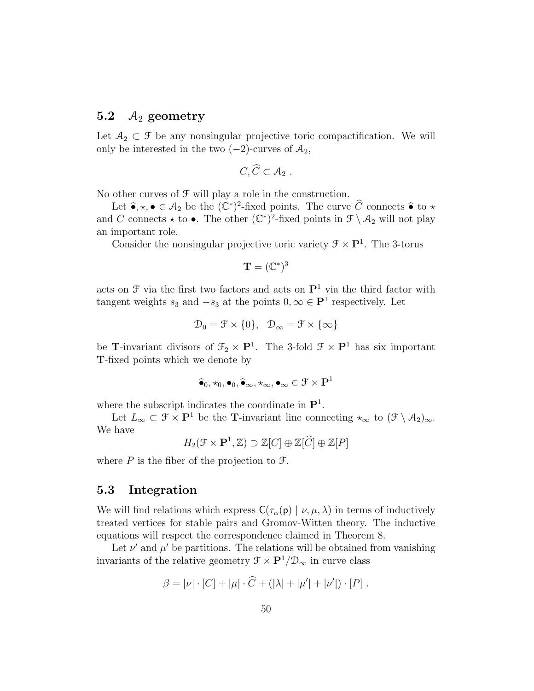### 5.2  $\mathcal{A}_2$  geometry

Let  $A_2 \subset \mathcal{F}$  be any nonsingular projective toric compactification. We will only be interested in the two  $(-2)$ -curves of  $A_2$ ,

$$
C,\widehat{C}\subset \mathcal{A}_2.
$$

No other curves of  $\mathcal F$  will play a role in the construction.

Let  $\hat{\bullet}, \star, \bullet \in \mathcal{A}_2$  be the  $(\mathbb{C}^*)^2$ -fixed points. The curve  $\widehat{C}$  connects  $\hat{\bullet}$  to  $\star$ and C connects  $\star$  to  $\bullet$ . The other  $(\mathbb{C}^*)^2$ -fixed points in  $\mathcal{F}\setminus\mathcal{A}_2$  will not play an important role.

Consider the nonsingular projective toric variety  $\mathcal{F} \times \mathbf{P}^1$ . The 3-torus

$$
\mathbf{T}=(\mathbb{C}^*)^3
$$

acts on  $\mathfrak F$  via the first two factors and acts on  $\mathbf P^1$  via the third factor with tangent weights  $s_3$  and  $-s_3$  at the points  $0, \infty \in \mathbf{P}^1$  respectively. Let

$$
\mathcal{D}_0 = \mathcal{F} \times \{0\}, \quad \mathcal{D}_{\infty} = \mathcal{F} \times \{\infty\}
$$

be **T**-invariant divisors of  $\mathcal{F}_2 \times \mathbf{P}^1$ . The 3-fold  $\mathcal{F} \times \mathbf{P}^1$  has six important T-fixed points which we denote by

$$
\widehat{\bullet}_0, \star_0, \bullet_0, \widehat{\bullet}_\infty, \star_\infty, \bullet_\infty \in \mathfrak{F} \times \mathbf{P}^1
$$

where the subscript indicates the coordinate in  $\mathbf{P}^1$ .

Let  $L_{\infty} \subset \mathcal{F} \times \mathbf{P}^1$  be the T-invariant line connecting  $\star_{\infty}$  to  $(\mathcal{F} \setminus A_2)_{\infty}$ . We have

 $H_2(\mathfrak{F}\times\mathbf{P}^1,\mathbb{Z})\supset\mathbb{Z}[C]\oplus\mathbb{Z}[\widehat{C}]\oplus\mathbb{Z}[P]$ 

where  $P$  is the fiber of the projection to  $\mathcal{F}$ .

#### 5.3 Integration

We will find relations which express  $C(\tau_{\alpha}(\mathsf{p}) \mid \nu, \mu, \lambda)$  in terms of inductively treated vertices for stable pairs and Gromov-Witten theory. The inductive equations will respect the correspondence claimed in Theorem 8.

Let  $\nu'$  and  $\mu'$  be partitions. The relations will be obtained from vanishing invariants of the relative geometry  $\mathcal{F} \times \mathbf{P}^1/\mathcal{D}_{\infty}$  in curve class

$$
\beta = |\nu| \cdot [C] + |\mu| \cdot \widehat{C} + (|\lambda| + |\mu'| + |\nu'|) \cdot [P] .
$$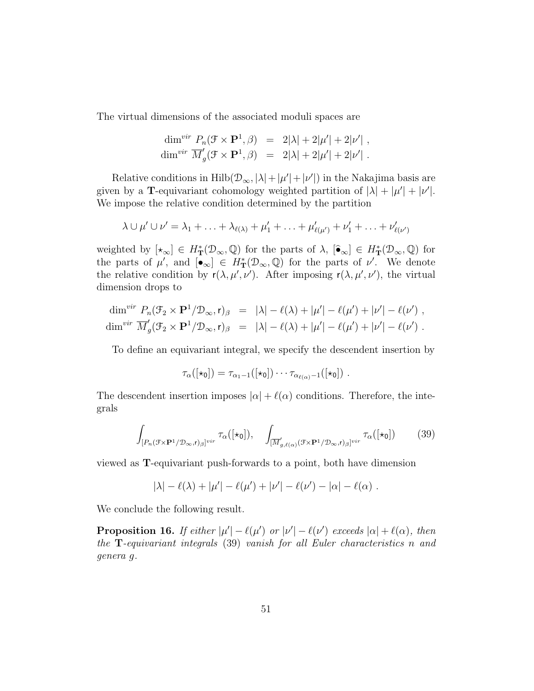The virtual dimensions of the associated moduli spaces are

$$
\dim^{vir} P_n(\mathcal{F} \times \mathbf{P}^1, \beta) = 2|\lambda| + 2|\mu'| + 2|\nu'| ,
$$
  

$$
\dim^{vir} \overline{M}'_g(\mathcal{F} \times \mathbf{P}^1, \beta) = 2|\lambda| + 2|\mu'| + 2|\nu'| .
$$

Relative conditions in  $\text{Hilb}(\mathcal{D}_{\infty}, |\lambda| + |\mu'| + |\nu'|)$  in the Nakajima basis are given by a T-equivariant cohomology weighted partition of  $|\lambda| + |\mu'| + |\nu'|$ . We impose the relative condition determined by the partition

$$
\lambda \cup \mu' \cup \nu' = \lambda_1 + \ldots + \lambda_{\ell(\lambda)} + \mu'_1 + \ldots + \mu'_{\ell(\mu')} + \nu'_1 + \ldots + \nu'_{\ell(\nu')}
$$

weighted by  $[\star_{\infty}] \in H^*_{\mathbf{T}}(\mathcal{D}_{\infty}, \mathbb{Q})$  for the parts of  $\lambda$ ,  $[\hat{\bullet}_{\infty}] \in H^*_{\mathbf{T}}(\mathcal{D}_{\infty}, \mathbb{Q})$  for the parts of  $\mu'$ , and  $[\bullet_\infty] \in H^*_{\mathbf{T}}(\mathcal{D}_\infty,\mathbb{Q})$  for the parts of  $\nu'$ . We denote the relative condition by  $r(\lambda, \mu', \nu')$ . After imposing  $r(\lambda, \mu', \nu')$ , the virtual dimension drops to

$$
\dim^{vir} P_n(\mathcal{F}_2 \times \mathbf{P}^1/\mathcal{D}_{\infty}, \mathbf{r})_{\beta} = |\lambda| - \ell(\lambda) + |\mu'| - \ell(\mu') + |\nu'| - \ell(\nu') ,
$$
  

$$
\dim^{vir} \overline{M}'_g(\mathcal{F}_2 \times \mathbf{P}^1/\mathcal{D}_{\infty}, \mathbf{r})_{\beta} = |\lambda| - \ell(\lambda) + |\mu'| - \ell(\mu') + |\nu'| - \ell(\nu') .
$$

To define an equivariant integral, we specify the descendent insertion by

$$
\tau_{\alpha}([\star_0]) = \tau_{\alpha_1-1}([\star_0]) \cdots \tau_{\alpha_{\ell(\alpha)}-1}([\star_0]) \ .
$$

The descendent insertion imposes  $|\alpha| + \ell(\alpha)$  conditions. Therefore, the integrals

$$
\int_{[P_n(\mathcal{F}\times\mathbf{P}^1/\mathcal{D}_{\infty},\mathbf{r})_{\beta}]^{vir}} \tau_{\alpha}([\star_0]), \quad \int_{[\overline{M}'_{g,\ell(\alpha)}(\mathcal{F}\times\mathbf{P}^1/\mathcal{D}_{\infty},\mathbf{r})_{\beta}]^{vir}} \tau_{\alpha}([\star_0]) \tag{39}
$$

viewed as T-equivariant push-forwards to a point, both have dimension

$$
|\lambda| - \ell(\lambda) + |\mu'| - \ell(\mu') + |\nu'| - \ell(\nu') - |\alpha| - \ell(\alpha) .
$$

We conclude the following result.

**Proposition 16.** If either  $|\mu'| - \ell(\mu')$  or  $|\nu'| - \ell(\nu')$  exceeds  $|\alpha| + \ell(\alpha)$ , then the T-equivariant integrals (39) vanish for all Euler characteristics n and genera g.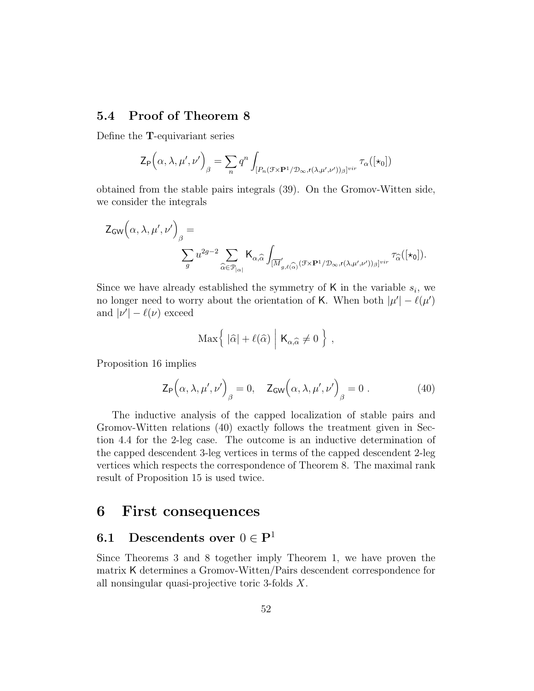# 5.4 Proof of Theorem 8

Define the T-equivariant series

$$
\mathsf{Z}_{\mathsf{P}}\Big(\alpha,\lambda,\mu',\nu'\Big)_{\beta} = \sum_{n} q^{n} \int_{[P_{n}(\mathcal{F} \times \mathbf{P}^{1}/\mathcal{D}_{\infty}, \mathsf{r}(\lambda,\mu',\nu'))_{\beta}]^{vir}} \tau_{\alpha}([\star_{0}])
$$

obtained from the stable pairs integrals (39). On the Gromov-Witten side, we consider the integrals

$$
\begin{split} \mathsf{Z}_{\mathsf{GW}}\Big(\alpha, \lambda, \mu', \nu'\Big)_{\beta} &= \\ &\qquad \qquad \sum_g u^{2g-2} \sum_{\widehat{\alpha} \in \mathcal{P}_{|\alpha|}} \mathsf{K}_{\alpha, \widehat{\alpha}} \int_{[\overline{M}'_{g, \ell(\widehat{\alpha})}(\mathcal{F} \times \mathbf{P}^1/\mathcal{D}_{\infty}, \mathsf{r}(\lambda, \mu', \nu'))_{\beta}]^{vir}} \tau_{\widehat{\alpha}}([\star_{\mathbf{0}}]). \end{split}
$$

Since we have already established the symmetry of  $\mathsf{K}$  in the variable  $s_i$ , we no longer need to worry about the orientation of K. When both  $|\mu'| - \ell(\mu')$ and  $|\nu'| - \ell(\nu)$  exceed

$$
\text{Max}\Big\{\;|\widehat{\alpha}|+\ell(\widehat{\alpha})\;\Big|\;{\sf K}_{\alpha,\widehat{\alpha}}\neq 0\;\Big\}\;,
$$

Proposition 16 implies

$$
\mathsf{Z}_{\mathsf{P}}\Big(\alpha,\lambda,\mu',\nu'\Big)_{\beta} = 0, \quad \mathsf{Z}_{\mathsf{GW}}\Big(\alpha,\lambda,\mu',\nu'\Big)_{\beta} = 0 \tag{40}
$$

The inductive analysis of the capped localization of stable pairs and Gromov-Witten relations (40) exactly follows the treatment given in Section 4.4 for the 2-leg case. The outcome is an inductive determination of the capped descendent 3-leg vertices in terms of the capped descendent 2-leg vertices which respects the correspondence of Theorem 8. The maximal rank result of Proposition 15 is used twice.

# 6 First consequences

# 6.1 Descendents over  $0 \in \mathbf{P}^1$

Since Theorems 3 and 8 together imply Theorem 1, we have proven the matrix K determines a Gromov-Witten/Pairs descendent correspondence for all nonsingular quasi-projective toric 3-folds X.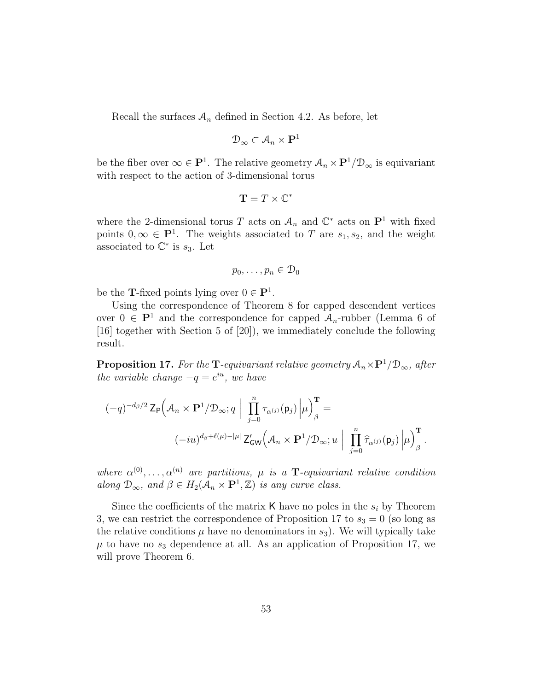Recall the surfaces  $A_n$  defined in Section 4.2. As before, let

$$
\mathcal{D}_{\infty} \subset \mathcal{A}_n \times \mathbf{P}^1
$$

be the fiber over  $\infty \in \mathbf{P}^1$ . The relative geometry  $\mathcal{A}_n \times \mathbf{P}^1/\mathcal{D}_\infty$  is equivariant with respect to the action of 3-dimensional torus

$$
\mathbf{T}=T\times\mathbb{C}^*
$$

where the 2-dimensional torus T acts on  $\mathcal{A}_n$  and  $\mathbb{C}^*$  acts on  $\mathbb{P}^1$  with fixed points  $0, \infty \in \mathbf{P}^1$ . The weights associated to T are  $s_1, s_2$ , and the weight associated to  $\mathbb{C}^*$  is  $s_3$ . Let

$$
p_0,\ldots,p_n\in\mathcal{D}_0
$$

be the **T**-fixed points lying over  $0 \in \mathbf{P}^1$ .

Using the correspondence of Theorem 8 for capped descendent vertices over  $0 \in \mathbf{P}^1$  and the correspondence for capped  $\mathcal{A}_n$ -rubber (Lemma 6 of [16] together with Section 5 of [20]), we immediately conclude the following result.

**Proposition 17.** For the T-equivariant relative geometry  $A_n \times P^1/\mathcal{D}_{\infty}$ , after the variable change  $-q = e^{iu}$ , we have

$$
\begin{aligned} (-q)^{-d_{\beta}/2}\,\mathrm{Z}_{\mathsf{P}}\Big(\mathcal{A}_n\times\mathbf{P}^1/\mathcal{D}_{\infty};q\;\Big|\;\prod_{j=0}^n\tau_{\alpha^{(j)}}(\mathsf{p}_j)\,\Big|\mu\Big)^{\mathbf{T}}_{\beta} = \\ \left(-iu\right)^{d_{\beta}+\ell(\mu)-|\mu|}\,\mathrm{Z}'_{\mathsf{GW}}\Big(\mathcal{A}_n\times\mathbf{P}^1/\mathcal{D}_{\infty};u\;\Big|\;\prod_{j=0}^n\widehat{\tau}_{\alpha^{(j)}}(\mathsf{p}_j)\,\Big|\mu\Big)^{\mathbf{T}}_{\beta}\,. \end{aligned}
$$

where  $\alpha^{(0)}, \ldots, \alpha^{(n)}$  are partitions,  $\mu$  is a **T**-equivariant relative condition along  $\mathcal{D}_{\infty}$ , and  $\beta \in H_2(\mathcal{A}_n \times \mathbf{P}^1, \mathbb{Z})$  is any curve class.

Since the coefficients of the matrix  $\mathsf K$  have no poles in the  $s_i$  by Theorem 3, we can restrict the correspondence of Proposition 17 to  $s_3 = 0$  (so long as the relative conditions  $\mu$  have no denominators in  $s_3$ ). We will typically take  $\mu$  to have no  $s_3$  dependence at all. As an application of Proposition 17, we will prove Theorem 6.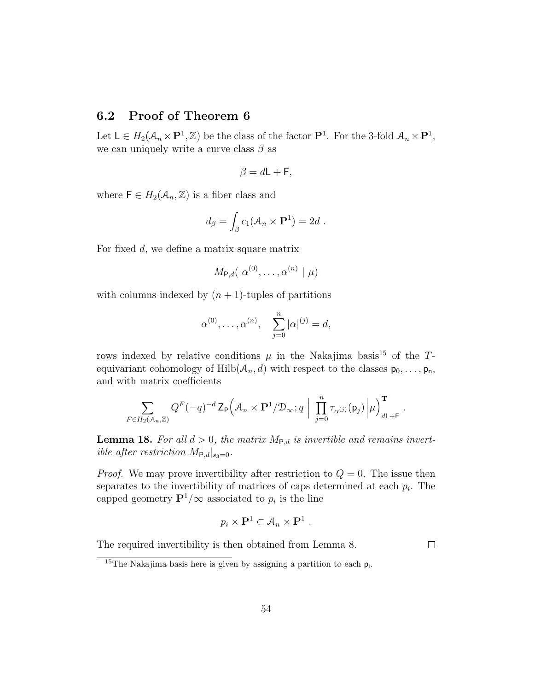# 6.2 Proof of Theorem 6

Let  $\mathsf{L} \in H_2(\mathcal{A}_n \times \mathbf{P}^1, \mathbb{Z})$  be the class of the factor  $\mathbf{P}^1$ . For the 3-fold  $\mathcal{A}_n \times \mathbf{P}^1$ , we can uniquely write a curve class  $\beta$  as

$$
\beta = d\mathsf{L} + \mathsf{F},
$$

where  $\mathsf{F} \in H_2(\mathcal{A}_n, \mathbb{Z})$  is a fiber class and

$$
d_{\beta} = \int_{\beta} c_1(\mathcal{A}_n \times \mathbf{P}^1) = 2d.
$$

For fixed d, we define a matrix square matrix

$$
M_{\mathsf{P},d}(\alpha^{(0)},\ldots,\alpha^{(n)}\mid\mu)
$$

with columns indexed by  $(n + 1)$ -tuples of partitions

$$
\alpha^{(0)}, \ldots, \alpha^{(n)}, \quad \sum_{j=0}^{n} |\alpha|^{(j)} = d,
$$

rows indexed by relative conditions  $\mu$  in the Nakajima basis<sup>15</sup> of the Tequivariant cohomology of  $Hilb(\mathcal{A}_n,d)$  with respect to the classes  $p_0,\ldots,p_n$ , and with matrix coefficients

$$
\sum_{F \in H_2(\mathcal{A}_n,\mathbb{Z})} Q^F(-q)^{-d} \mathsf{Z}_{\mathsf{P}}\Big(\mathcal{A}_n\times\mathbf{P}^1/\mathfrak{D}_{\infty};q\Big|\Big|\prod_{j=0}^n\tau_{\alpha^{(j)}}(\mathsf{p}_j)\Big|\mu\Big)_{d\mathsf{L}+\mathsf{F}}^{\mathbf{T}}.
$$

**Lemma 18.** For all  $d > 0$ , the matrix  $M_{P,d}$  is invertible and remains invertible after restriction  $M_{\text{P},d}|_{s_3=0}$ .

*Proof.* We may prove invertibility after restriction to  $Q = 0$ . The issue then separates to the invertibility of matrices of caps determined at each  $p_i$ . The capped geometry  $\mathbf{P}^1/\infty$  associated to  $p_i$  is the line

$$
p_i \times \mathbf{P}^1 \subset \mathcal{A}_n \times \mathbf{P}^1 \ .
$$

The required invertibility is then obtained from Lemma 8.

 $\Box$ 

<sup>&</sup>lt;sup>15</sup>The Nakajima basis here is given by assigning a partition to each  $p_i$ .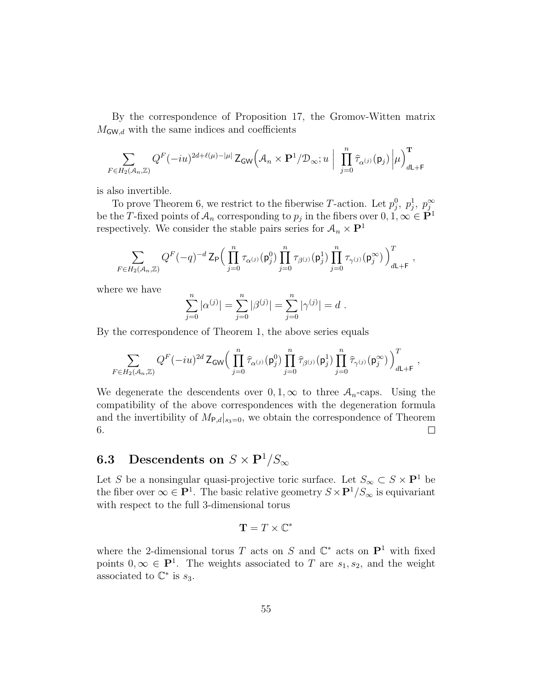By the correspondence of Proposition 17, the Gromov-Witten matrix  $M_{\mathsf{GW},d}$  with the same indices and coefficients

$$
\sum_{F \in H_2(\mathcal{A}_n,\mathbb{Z})} Q^F(-iu)^{2d+\ell(\mu)-|\mu|} \mathsf{Z}_\mathsf{GW}\Big(\mathcal{A}_n\times\mathbf{P}^1/\mathcal{D}_\infty;u\ \Big|\ \prod_{j=0}^n\widehat{\tau}_{\alpha^{(j)}}(\mathsf{p}_j)\left|\mu\right>_{d\mathsf{L}+\mathsf{F}}^{\mathbf{T}}
$$

is also invertible.

To prove Theorem 6, we restrict to the fiberwise T-action. Let  $p_j^0$ ,  $p_j^1$ ,  $p_j^{\infty}$ be the T-fixed points of  $A_n$  corresponding to  $p_j$  in the fibers over  $0, 1, \infty \in \mathbb{P}^1$ respectively. We consider the stable pairs series for  $\mathcal{A}_n \times \mathbf{P}^1$ 

$$
\sum_{F\in H_2(\mathcal{A}_n,\mathbb{Z})} Q^F(-q)^{-d}\,\mathsf{Z}_{\mathsf{P}}\Big(\prod_{j=0}^n\tau_{\alpha^{(j)}}(\mathsf{p}^0_j)\prod_{j=0}^n\tau_{\beta^{(j)}}(\mathsf{p}^1_j)\prod_{j=0}^n\tau_{\gamma^{(j)}}(\mathsf{p}^\infty_j)\Big)^T_{d\mathsf{L}+\mathsf{F}}\;,
$$

where we have

$$
\sum_{j=0}^{n} |\alpha^{(j)}| = \sum_{j=0}^{n} |\beta^{(j)}| = \sum_{j=0}^{n} |\gamma^{(j)}| = d.
$$

By the correspondence of Theorem 1, the above series equals

$$
\sum_{F\in H_2(\mathcal{A}_n,\mathbb{Z})} Q^F(-iu)^{2d}\,\mathsf{Z}_{\mathsf{GW}}\Big(\prod_{j=0}^n\widehat{\tau}_{\alpha^{(j)}}(\mathsf{p}^0_j)\prod_{j=0}^n\widehat{\tau}_{\beta^{(j)}}(\mathsf{p}^1_j)\prod_{j=0}^n\widehat{\tau}_{\gamma^{(j)}}(\mathsf{p}^\infty_j)\,\Big)^T_{d\mathsf{L}+\mathsf{F}}\;,
$$

We degenerate the descendents over  $0, 1, \infty$  to three  $A_n$ -caps. Using the compatibility of the above correspondences with the degeneration formula and the invertibility of  $M_{P,d}|_{s_3=0}$ , we obtain the correspondence of Theorem 6.  $\Box$ 

# **6.3** Descendents on  $S \times \mathbf{P}^1/S_{\infty}$

Let S be a nonsingular quasi-projective toric surface. Let  $S_{\infty} \subset S \times \mathbf{P}^1$  be the fiber over  $\infty \in \mathbf{P}^1$ . The basic relative geometry  $S \times \mathbf{P}^1/S_{\infty}$  is equivariant with respect to the full 3-dimensional torus

$$
\mathbf{T}=T\times\mathbb{C}^*
$$

where the 2-dimensional torus T acts on S and  $\mathbb{C}^*$  acts on  $\mathbb{P}^1$  with fixed points  $0, \infty \in \mathbf{P}^1$ . The weights associated to T are  $s_1, s_2$ , and the weight associated to  $\mathbb{C}^*$  is  $s_3$ .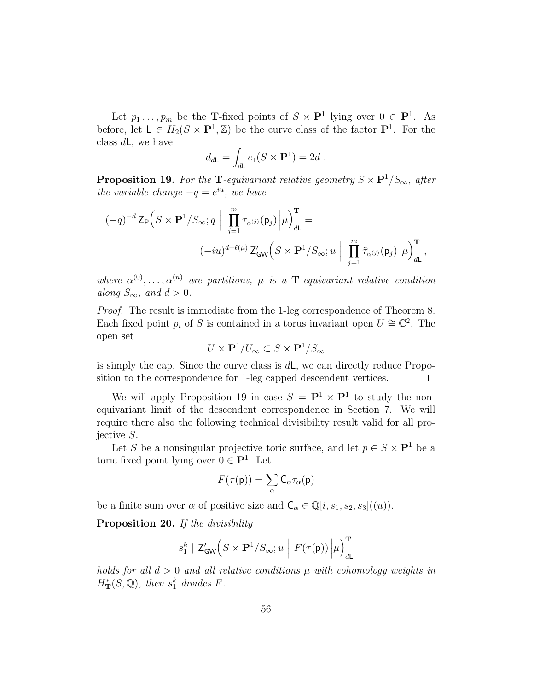Let  $p_1 \ldots, p_m$  be the **T**-fixed points of  $S \times \mathbf{P}^1$  lying over  $0 \in \mathbf{P}^1$ . As before, let  $L \in H_2(S \times \mathbf{P}^1, \mathbb{Z})$  be the curve class of the factor  $\mathbf{P}^1$ . For the class  $d\mathsf{L}$ , we have

$$
d_{d\mathsf{L}} = \int_{d\mathsf{L}} c_1(S \times \mathbf{P}^1) = 2d.
$$

**Proposition 19.** For the T-equivariant relative geometry  $S \times P^1/S_{\infty}$ , after the variable change  $-q = e^{iu}$ , we have

$$
\begin{aligned} (-q)^{-d}\,\mathsf{Z}_{\mathsf{P}}&\Big(S\times\mathbf{P}^1/S_\infty;q\ \Big|\ \prod_{j=1}^m\tau_{\alpha^{(j)}}(\mathsf{p}_j)\,\Big|\mu\Big)_{d\mathsf{L}}^{\mathbf{T}}=\\ &(-iu)^{d+\ell(\mu)}\,\mathsf{Z}'_\mathsf{GW}\Big(S\times\mathbf{P}^1/S_\infty;u\ \Big|\ \prod_{j=1}^m\widehat{\tau}_{\alpha^{(j)}}(\mathsf{p}_j)\,\Big|\mu\Big)_{d\mathsf{L}}^{\mathbf{T}}\,, \end{aligned}
$$

where  $\alpha^{(0)}, \ldots, \alpha^{(n)}$  are partitions,  $\mu$  is a **T**-equivariant relative condition along  $S_{\infty}$ , and  $d > 0$ .

Proof. The result is immediate from the 1-leg correspondence of Theorem 8. Each fixed point  $p_i$  of S is contained in a torus invariant open  $U \cong \mathbb{C}^2$ . The open set

$$
U\times{\bf P}^1/U_\infty\subset S\times{\bf P}^1/S_\infty
$$

is simply the cap. Since the curve class is  $d\mathsf{L}$ , we can directly reduce Proposition to the correspondence for 1-leg capped descendent vertices.  $\Box$ 

We will apply Proposition 19 in case  $S = \mathbf{P}^1 \times \mathbf{P}^1$  to study the nonequivariant limit of the descendent correspondence in Section 7. We will require there also the following technical divisibility result valid for all projective S.

Let S be a nonsingular projective toric surface, and let  $p \in S \times \mathbf{P}^1$  be a toric fixed point lying over  $0 \in \mathbf{P}^1$ . Let

$$
F(\tau(\mathsf{p})) = \sum_{\alpha} \mathsf{C}_{\alpha} \tau_{\alpha}(\mathsf{p})
$$

be a finite sum over  $\alpha$  of positive size and  $\mathsf{C}_{\alpha} \in \mathbb{Q}[i, s_1, s_2, s_3]((u)).$ 

Proposition 20. If the divisibility

$$
s_1^k \mid \mathsf{Z}^{\prime}_{\mathsf{GW}}\Big(S \times \mathbf{P}^1/S_{\infty}; u \; \Big\lvert \; F(\tau(\mathsf{p})) \left\lvert \mu \right\rangle^{\mathbf{T}}_{d\mathsf{L}}
$$

holds for all  $d > 0$  and all relative conditions  $\mu$  with cohomology weights in  $H_{\mathbf{T}}^{*}(S,\mathbb{Q})$ , then  $s_{1}^{k}$  divides  $F$ .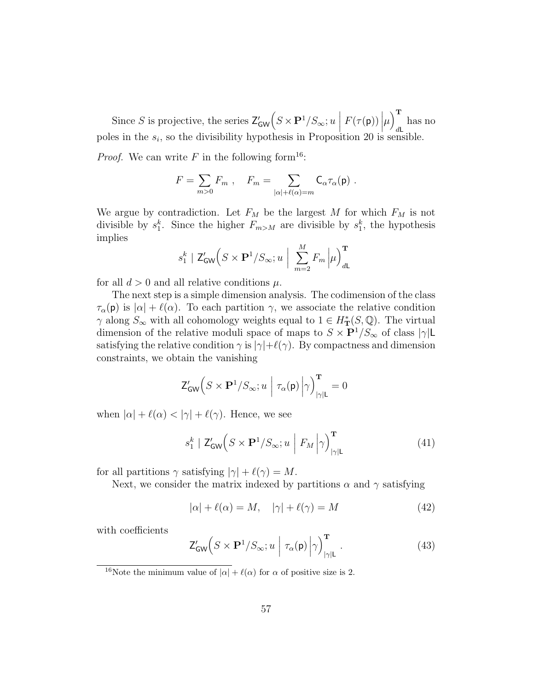Since S is projective, the series  $\mathsf{Z}'_{\mathsf{GW}}\left(S \times \mathbf{P}^1/S_\infty; u \mid F(\tau(\mathsf{p}))\middle|\mu\right)$  $\sqrt{T}$ has no<br>  $dL_{1,1}$ poles in the  $s_i$ , so the divisibility hypothesis in Proposition 20 is sensible.

*Proof.* We can write F in the following form<sup>16</sup>:

$$
F = \sum_{m>0} F_m , \quad F_m = \sum_{|\alpha|+\ell(\alpha)=m} \mathsf{C}_{\alpha}\tau_{\alpha}(\mathsf{p}) .
$$

We argue by contradiction. Let  $F_M$  be the largest M for which  $F_M$  is not divisible by  $s_1^k$ . Since the higher  $F_{m>M}$  are divisible by  $s_1^k$ , the hypothesis implies

$$
s_1^k \mid \mathsf{Z}_{\mathsf{GW}}'\Big(S\times \mathbf{P}^1/S_{\infty};u\ \Big|\ \sum_{m=2}^M F_m\left|\mu\right)^{\mathbf{T}}_{d\mathsf{L}}
$$

for all  $d > 0$  and all relative conditions  $\mu$ .

The next step is a simple dimension analysis. The codimension of the class  $\tau_{\alpha}(\mathbf{p})$  is  $|\alpha| + \ell(\alpha)$ . To each partition  $\gamma$ , we associate the relative condition  $\gamma$  along  $S_{\infty}$  with all cohomology weights equal to  $1 \in H^*_{\mathbf{T}}(S, \mathbb{Q})$ . The virtual dimension of the relative moduli space of maps to  $S \times \mathbf{P}^{1}/S_{\infty}$  of class  $|\gamma| \mathsf{L}$ satisfying the relative condition  $\gamma$  is  $|\gamma|+\ell(\gamma)$ . By compactness and dimension constraints, we obtain the vanishing

$$
\mathsf{Z}^{\prime}_{\mathsf{GW}}\Big(S\times\mathbf{P}^1/S_{\infty};u\ \Big|\ \tau_{\alpha}(\mathsf{p})\left|\gamma\right)^{\mathbf{T}}_{|\gamma|\mathsf{L}}=0
$$

when  $|\alpha| + \ell(\alpha) < |\gamma| + \ell(\gamma)$ . Hence, we see

$$
s_1^k \mid \mathsf{Z}_{\mathsf{GW}}'(S \times \mathbf{P}^1 / S_{\infty}; u \mid F_M \left| \gamma \right)_{|\gamma| \mathsf{L}}^{\mathbf{T}} \tag{41}
$$

for all partitions  $\gamma$  satisfying  $|\gamma| + \ell(\gamma) = M$ .

Next, we consider the matrix indexed by partitions  $\alpha$  and  $\gamma$  satisfying

$$
|\alpha| + \ell(\alpha) = M, \quad |\gamma| + \ell(\gamma) = M \tag{42}
$$

with coefficients

$$
\mathsf{Z}_{\mathsf{GW}}'\!\left(S \times \mathbf{P}^1/S_{\infty}; u \mid \tau_{\alpha}(\mathsf{p}) \middle| \gamma \right)_{|\gamma| \mathsf{L}}^{\mathbf{T}}.
$$
\n(43)

<sup>&</sup>lt;sup>16</sup>Note the minimum value of  $|\alpha| + \ell(\alpha)$  for  $\alpha$  of positive size is 2.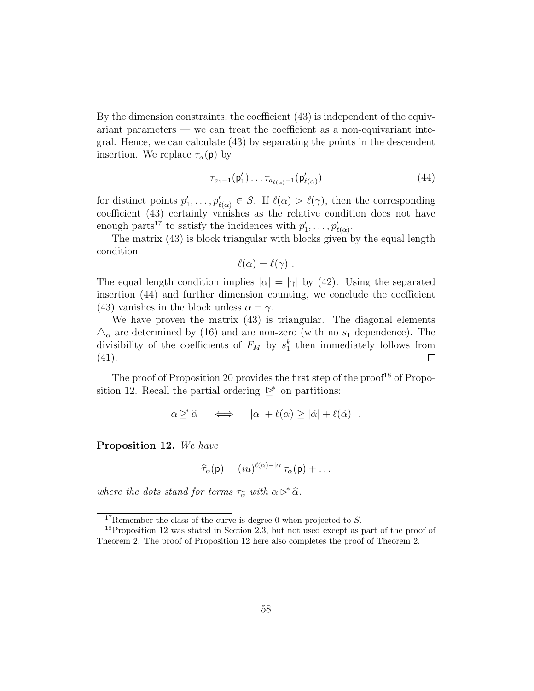By the dimension constraints, the coefficient (43) is independent of the equivariant parameters — we can treat the coefficient as a non-equivariant integral. Hence, we can calculate (43) by separating the points in the descendent insertion. We replace  $\tau_{\alpha}(\mathbf{p})$  by

$$
\tau_{a_1-1}(\mathsf{p}'_1)\ldots\tau_{a_{\ell(\alpha)}-1}(\mathsf{p}'_{\ell(\alpha)})\tag{44}
$$

for distinct points  $p'_1, \ldots, p'_{\ell(\alpha)} \in S$ . If  $\ell(\alpha) > \ell(\gamma)$ , then the corresponding coefficient (43) certainly vanishes as the relative condition does not have enough parts<sup>17</sup> to satisfy the incidences with  $p'_1, \ldots, p'_{\ell(\alpha)}$ .

The matrix (43) is block triangular with blocks given by the equal length condition

$$
\ell(\alpha)=\ell(\gamma)\,\,.
$$

The equal length condition implies  $|\alpha| = |\gamma|$  by (42). Using the separated insertion (44) and further dimension counting, we conclude the coefficient (43) vanishes in the block unless  $\alpha = \gamma$ .

We have proven the matrix (43) is triangular. The diagonal elements  $\Delta_{\alpha}$  are determined by (16) and are non-zero (with no  $s_1$  dependence). The divisibility of the coefficients of  $F_M$  by  $s_1^k$  then immediately follows from (41).  $\Box$ 

The proof of Proposition 20 provides the first step of the proof<sup>18</sup> of Proposition 12. Recall the partial ordering  $\trianglerighteq^*$  on partitions:

$$
\alpha \trianglerighteq^* \widetilde{\alpha} \quad \iff \quad |\alpha| + \ell(\alpha) \ge |\widetilde{\alpha}| + \ell(\widetilde{\alpha}) \quad .
$$

Proposition 12. We have

$$
\widehat{\tau}_{\alpha}(\mathsf{p}) = (iu)^{\ell(\alpha)-|\alpha|}\tau_{\alpha}(\mathsf{p}) + \dots
$$

where the dots stand for terms  $\tau_{\widehat{\alpha}}$  with  $\alpha \triangleright^* \widehat{\alpha}$ .

<sup>&</sup>lt;sup>17</sup>Remember the class of the curve is degree 0 when projected to  $S$ .

<sup>&</sup>lt;sup>18</sup>Proposition 12 was stated in Section 2.3, but not used except as part of the proof of Theorem 2. The proof of Proposition 12 here also completes the proof of Theorem 2.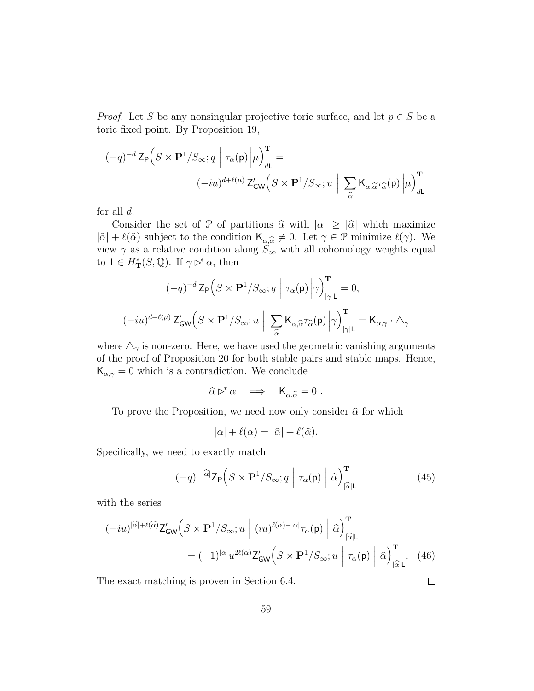*Proof.* Let S be any nonsingular projective toric surface, and let  $p \in S$  be a toric fixed point. By Proposition 19,

$$
(-q)^{-d} \mathsf{Z}_{\mathsf{P}} \Big( S \times \mathbf{P}^1 / S_{\infty}; q \middle| \tau_{\alpha}(\mathsf{p}) \middle| \mu \Big)_{d\mathsf{L}}^{\mathsf{T}} =
$$

$$
(-iu)^{d + \ell(\mu)} \mathsf{Z}_{\mathsf{GW}}' \Big( S \times \mathbf{P}^1 / S_{\infty}; u \middle| \sum_{\widehat{\alpha}} \mathsf{K}_{\alpha, \widehat{\alpha}} \tau_{\widehat{\alpha}}(\mathsf{p}) \middle| \mu \Big)_{d\mathsf{L}}^{\mathsf{T}}
$$

for all  $d$ .

Consider the set of P of partitions  $\hat{\alpha}$  with  $|\alpha| \geq |\hat{\alpha}|$  which maximize  $|\hat{\alpha}| + \ell(\hat{\alpha})$  subject to the condition  $\mathsf{K}_{\alpha,\hat{\alpha}} \neq 0$ . Let  $\gamma \in \mathcal{P}$  minimize  $\ell(\gamma)$ . We view  $\gamma$  as a relative condition along  $S_{\infty}$  with all cohomology weights equal to  $1 \in H^*_{\mathbf{T}}(S, \mathbb{Q})$ . If  $\gamma \triangleright^* \alpha$ , then

$$
(-q)^{-d} \mathsf{Z}_{\mathsf{P}} \Big( S \times \mathbf{P}^1 / S_{\infty}; q \Big| \tau_{\alpha}(\mathsf{p}) \Big| \gamma \Big)_{|\gamma| \mathsf{L}}^{\mathbf{T}} = 0,
$$
  

$$
(-iu)^{d + \ell(\mu)} \mathsf{Z}_{\mathsf{GW}}' \Big( S \times \mathbf{P}^1 / S_{\infty}; u \Big| \sum_{\widehat{\alpha}} \mathsf{K}_{\alpha, \widehat{\alpha}} \tau_{\widehat{\alpha}}(\mathsf{p}) \Big| \gamma \Big)_{|\gamma| \mathsf{L}}^{\mathbf{T}} = \mathsf{K}_{\alpha, \gamma} \cdot \Delta_{\gamma}
$$

where  $\Delta_{\gamma}$  is non-zero. Here, we have used the geometric vanishing arguments of the proof of Proposition 20 for both stable pairs and stable maps. Hence,  $\mathsf{K}_{\alpha,\gamma}=0$  which is a contradiction. We conclude

$$
\widehat{\alpha} \rhd^* \alpha \quad \Longrightarrow \quad \mathsf{K}_{\alpha,\widehat{\alpha}} = 0 \ .
$$

To prove the Proposition, we need now only consider  $\hat{\alpha}$  for which

$$
|\alpha| + \ell(\alpha) = |\widehat{\alpha}| + \ell(\widehat{\alpha}).
$$

Specifically, we need to exactly match

$$
(-q)^{-|\widehat{\alpha}|} \mathsf{Z}_{\mathsf{P}}\Big(S \times \mathbf{P}^1 / S_{\infty}; q \mid \tau_{\alpha}(\mathsf{p}) \mid \widehat{\alpha}\Big)_{|\widehat{\alpha}| \mathsf{L}}^{\mathbf{T}} \tag{45}
$$

 $\Box$ 

with the series

$$
(-iu)^{|\widehat{\alpha}|+\ell(\widehat{\alpha})} Z'_{GW} \Big( S \times \mathbf{P}^1 / S_{\infty}; u \mid (iu)^{\ell(\alpha)-|\alpha|} \tau_{\alpha}(\mathbf{p}) \mid \widehat{\alpha} \Big)_{|\widehat{\alpha}|L}^{\mathbf{T}}
$$

$$
= (-1)^{|\alpha|} u^{2\ell(\alpha)} Z'_{GW} \Big( S \times \mathbf{P}^1 / S_{\infty}; u \mid \tau_{\alpha}(\mathbf{p}) \mid \widehat{\alpha} \Big)_{|\widehat{\alpha}|L}^{\mathbf{T}}. \tag{46}
$$

The exact matching is proven in Section 6.4.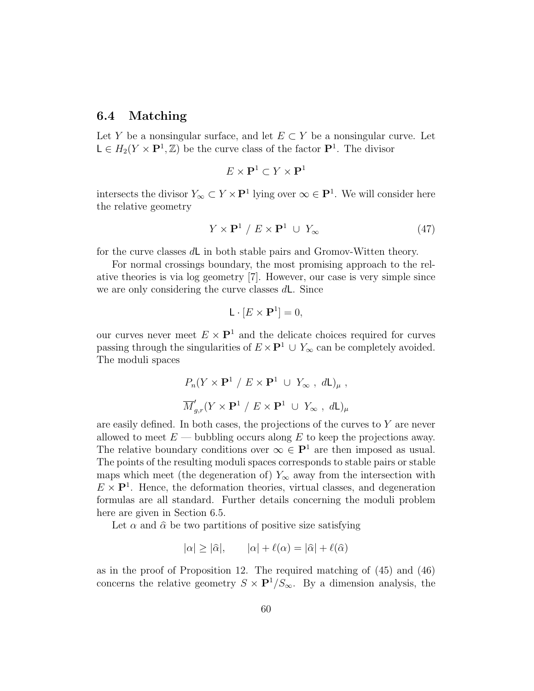### 6.4 Matching

Let Y be a nonsingular surface, and let  $E \subset Y$  be a nonsingular curve. Let  $\mathsf{L} \in H_2(Y \times \mathbf{P}^1, \mathbb{Z})$  be the curve class of the factor  $\mathbf{P}^1$ . The divisor

$$
E \times \mathbf{P}^1 \subset Y \times \mathbf{P}^1
$$

intersects the divisor  $Y_{\infty} \subset Y \times \mathbf{P}^1$  lying over  $\infty \in \mathbf{P}^1$ . We will consider here the relative geometry

$$
Y \times \mathbf{P}^1 / E \times \mathbf{P}^1 \cup Y_{\infty} \tag{47}
$$

for the curve classes dL in both stable pairs and Gromov-Witten theory.

For normal crossings boundary, the most promising approach to the relative theories is via log geometry [7]. However, our case is very simple since we are only considering the curve classes dL. Since

$$
\mathsf{L} \cdot [E \times \mathbf{P}^1] = 0,
$$

our curves never meet  $E \times \mathbf{P}^1$  and the delicate choices required for curves passing through the singularities of  $E \times \mathbf{P}^1 \cup Y_\infty$  can be completely avoided. The moduli spaces

$$
P_n(Y \times \mathbf{P}^1 / E \times \mathbf{P}^1 \cup Y_{\infty}, dL)_{\mu},
$$
  
 $\overline{M}'_{g,r}(Y \times \mathbf{P}^1 / E \times \mathbf{P}^1 \cup Y_{\infty}, dL)_{\mu}$ 

are easily defined. In both cases, the projections of the curves to  $Y$  are never allowed to meet  $E$  — bubbling occurs along E to keep the projections away. The relative boundary conditions over  $\infty \in \mathbf{P}^1$  are then imposed as usual. The points of the resulting moduli spaces corresponds to stable pairs or stable maps which meet (the degeneration of)  $Y_{\infty}$  away from the intersection with  $E \times \mathbf{P}^1$ . Hence, the deformation theories, virtual classes, and degeneration formulas are all standard. Further details concerning the moduli problem here are given in Section 6.5.

Let  $\alpha$  and  $\hat{\alpha}$  be two partitions of positive size satisfying

$$
|\alpha| \ge |\widehat{\alpha}|, \qquad |\alpha| + \ell(\alpha) = |\widehat{\alpha}| + \ell(\widehat{\alpha})
$$

as in the proof of Proposition 12. The required matching of (45) and (46) concerns the relative geometry  $S \times \mathbf{P}^{1}/S_{\infty}$ . By a dimension analysis, the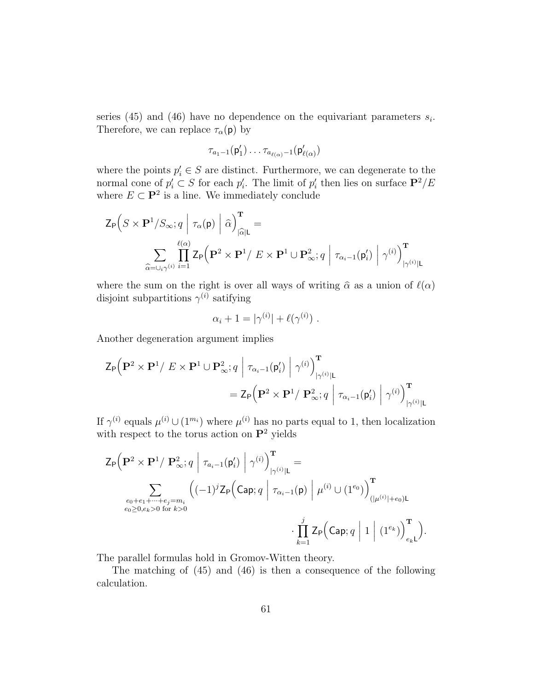series (45) and (46) have no dependence on the equivariant parameters  $s_i$ . Therefore, we can replace  $\tau_{\alpha}(\mathbf{p})$  by

$$
\tau_{a_1-1}(\mathsf{p}'_1)\ldots \tau_{a_{\ell(\alpha)}-1}(\mathsf{p}'_{\ell(\alpha)})
$$

where the points  $p'_i \in S$  are distinct. Furthermore, we can degenerate to the normal cone of  $p_i' \subset S$  for each  $p_i'$ . The limit of  $p_i'$  then lies on surface  $\mathbf{P}^2/E$ where  $E \subset \mathbf{P}^2$  is a line. We immediately conclude

$$
\begin{aligned} \mathsf{Z}_{\mathsf{P}}&\Big(S\times\mathbf{P}^1/S_\infty;q\ \Big|\ \tau_\alpha(\mathsf{p})\ \Big|\ \widehat{\alpha}\Big)_{|\widehat{\alpha}|\mathsf{L}}^{\mathbf{T}}= \\ &\sum_{\widehat{\alpha}=\cup_i\gamma^{(i)}}\prod_{i=1}^{\ell(\alpha)}\mathsf{Z}_{\mathsf{P}}\Big(\mathbf{P}^2\times\mathbf{P}^1/\ E\times\mathbf{P}^1\cup\mathbf{P}_\infty^2;q\ \Big|\ \tau_{\alpha_i-1}(\mathsf{p}_i')\ \Big|\ \gamma^{(i)}\Big)_{|\gamma^{(i)}|\mathsf{L}} \end{aligned}
$$

where the sum on the right is over all ways of writing  $\hat{\alpha}$  as a union of  $\ell(\alpha)$ disjoint subpartitions  $\gamma^{(i)}$  satifying

$$
\alpha_i + 1 = |\gamma^{(i)}| + \ell(\gamma^{(i)}) \ .
$$

Another degeneration argument implies

$$
\begin{aligned} \mathsf{Z}_{\mathsf{P}}\Big(\mathbf{P}^2\times\mathbf{P}^1/\ E\times\mathbf{P}^1\cup\mathbf{P}^2_\infty;q\ \Big|\ \tau_{\alpha_i-1}(\mathsf{p}_i')\ \Big|\ \gamma^{(i)}\Big|_\mathsf{T}^{\mathsf{T}} \\ = \mathsf{Z}_{\mathsf{P}}\Big(\mathbf{P}^2\times\mathbf{P}^1/\ \mathbf{P}^2_\infty;q\ \Big|\ \tau_{\alpha_i-1}(\mathsf{p}_i')\ \Big|\ \gamma^{(i)}\Big|_\mathsf{T}^{\mathsf{T}} \\ \end{aligned}
$$

If  $\gamma^{(i)}$  equals  $\mu^{(i)} \cup (1^{m_i})$  where  $\mu^{(i)}$  has no parts equal to 1, then localization with respect to the torus action on  $\mathbf{P}^2$  yields

$$
\begin{split} \mathsf{Z}_{\mathsf{P}}\Big(\mathbf{P}^2\times\mathbf{P}^1/\;\mathbf{P}_\infty^2; q\;\Big|\;\tau_{a_i-1}(\mathsf{p}_i')\;\Big|\;\gamma^{(i)}\Big)_{|\gamma^{(i)}|\mathsf{L}}^{\mathbf{T}} = \\ &\sum_{\substack{e_0+e_1+\cdots+e_j=m_i\\ e_0\geq 0,e_k>0\text{ for }k>0}}\left((-1)^j\mathsf{Z}_{\mathsf{P}}\Big(\mathsf{Cap};q\;\Big|\;\tau_{\alpha_i-1}(\mathsf{p})\;\Big|\;\mu^{(i)}\cup(1^{e_0})\Big)_{(|\mu^{(i)}|+e_0)\mathsf{L}}^{\mathbf{T}} \right. \\ &\qquad\qquad\cdot\prod_{k=1}^j\mathsf{Z}_{\mathsf{P}}\Big(\mathsf{Cap};q\;\Big|\;1\;\Big|\;(1^{e_k})\Big)_{e_k\mathsf{L}}^{\mathbf{T}}\Big). \end{split}
$$

The parallel formulas hold in Gromov-Witten theory.

The matching of (45) and (46) is then a consequence of the following calculation.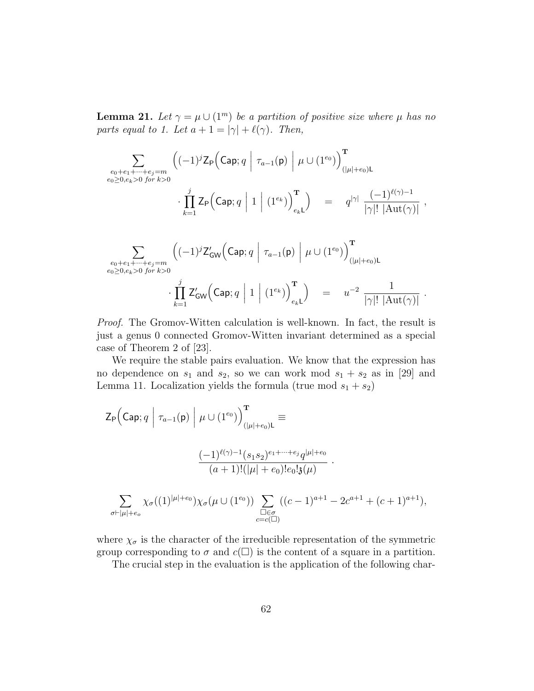**Lemma 21.** Let  $\gamma = \mu \cup (1^m)$  be a partition of positive size where  $\mu$  has no parts equal to 1. Let  $a + 1 = |\gamma| + \ell(\gamma)$ . Then,

$$
\sum_{\substack{e_0+e_1+\cdots+e_j=m\\e_0\geq 0,e_k>0 \text{ for }k>0}} \left((-1)^j \mathsf{Z}_{\mathsf{P}}\left(\mathsf{Cap};q \mid \tau_{a-1}(\mathsf{p}) \mid \mu \cup (1^{e_0})\right)_{(|\mu|+e_0)\mathsf{L}}^{\mathbf{T}} \right) \\
\cdot \prod_{k=1}^j \mathsf{Z}_{\mathsf{P}}\left(\mathsf{Cap};q \mid 1 \mid (1^{e_k})\right)_{e_k\mathsf{L}}^{\mathsf{T}}\right) = q^{|\gamma|} \frac{(-1)^{\ell(\gamma)-1}}{|\gamma|! \; |\mathrm{Aut}(\gamma)|} ,
$$
\n
$$
\sum_{\substack{e_0+e_1+\cdots+e_j=m\\e_0\geq 0,e_k>0 \text{ for }k>0}} \left((-1)^j \mathsf{Z}_{\mathsf{GW}}'\left(\mathsf{Cap};q \mid \tau_{a-1}(\mathsf{p}) \mid \mu \cup (1^{e_0})\right)_{(|\mu|+e_0)\mathsf{L}}^{\mathbf{T}} \right) \\
\cdot \prod_{k=1}^j \mathsf{Z}_{\mathsf{GW}}'\left(\mathsf{Cap};q \mid 1 \mid (1^{e_k})\right)_{e_k\mathsf{L}}^{\mathsf{T}}\right) = u^{-2} \frac{1}{|\gamma|! \; |\mathrm{Aut}(\gamma)|} .
$$

Proof. The Gromov-Witten calculation is well-known. In fact, the result is just a genus 0 connected Gromov-Witten invariant determined as a special case of Theorem 2 of [23].

We require the stable pairs evaluation. We know that the expression has no dependence on  $s_1$  and  $s_2$ , so we can work mod  $s_1 + s_2$  as in [29] and Lemma 11. Localization yields the formula (true mod  $s_1 + s_2$ )

$$
\begin{split} \mathsf{Z}_{\mathsf{P}} \Big( \mathsf{Cap}; q \Bigm| \tau_{a-1}(\mathsf{p}) \Biggm| \mu \cup (1^{e_0}) \Big)_{(|\mu|+e_0)\mathsf{L}}^{\mathbf{T}} \equiv \\ & \frac{(-1)^{\ell(\gamma)-1}(s_1s_2)^{e_1+\dots+e_j}q^{|\mu|+e_0}}{(a+1)!(|\mu|+e_0)!e_0! \mathfrak{z}(\mu)} \ . \\ & \sum_{\sigma \vdash |\mu|+e_o} \chi_{\sigma}((1)^{|\mu|+e_0}) \chi_{\sigma}(\mu \cup (1^{e_0})) \sum_{\substack{\square \in \sigma \\ c=c(\square)}} ((c-1)^{a+1} - 2c^{a+1} + (c+1)^{a+1}), \end{split}
$$

where  $\chi_{\sigma}$  is the character of the irreducible representation of the symmetric group corresponding to  $\sigma$  and  $c(\square)$  is the content of a square in a partition.

The crucial step in the evaluation is the application of the following char-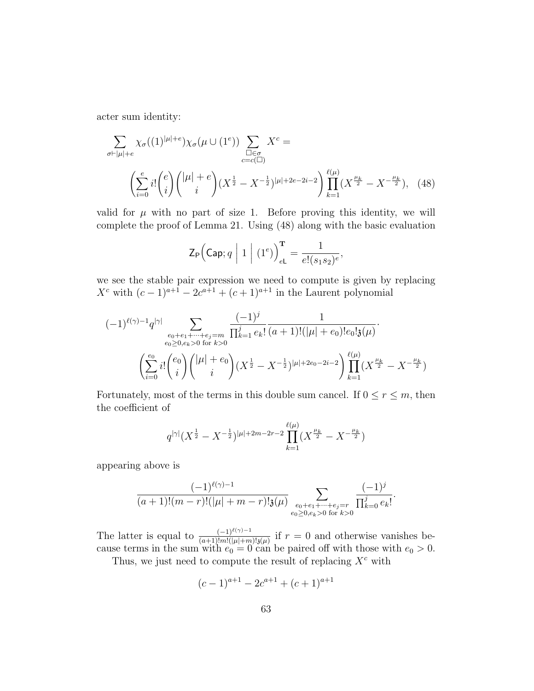acter sum identity:

$$
\sum_{\sigma \vdash |\mu| + e} \chi_{\sigma}((1)^{|\mu| + e}) \chi_{\sigma}(\mu \cup (1^e)) \sum_{\square \in \sigma} X^c =
$$
\n
$$
\left( \sum_{i=0}^e i! \binom{e}{i} \binom{|\mu| + e}{i} (X^{\frac{1}{2}} - X^{-\frac{1}{2}})^{|\mu| + 2e - 2i - 2} \right) \prod_{k=1}^{\ell(\mu)} (X^{\frac{\mu_k}{2}} - X^{-\frac{\mu_k}{2}}), \quad (48)
$$

valid for  $\mu$  with no part of size 1. Before proving this identity, we will complete the proof of Lemma 21. Using (48) along with the basic evaluation

$$
\mathsf{Z}_{\mathsf{P}}\Big(\mathsf{Cap};q \ \bigg|\ 1 \ \bigg|\ (1^e)\Big)_{e\mathsf{L}}^{\mathbf{T}} = \frac{1}{e!(s_1s_2)^e},
$$

we see the stable pair expression we need to compute is given by replacing  $X^{c}$  with  $(c-1)^{a+1} - 2c^{a+1} + (c+1)^{a+1}$  in the Laurent polynomial

$$
(-1)^{\ell(\gamma)-1}q^{|\gamma|}\sum_{\substack{e_0+e_1+\cdots+e_j=m\\e_0\geq 0,e_k>0\text{ for }k>0}}\frac{(-1)^j}{\prod_{k=1}^j e_k!}\frac{1}{(a+1)!(|\mu|+e_0)!e_0!3(\mu)}.
$$

$$
\left(\sum_{i=0}^{e_0}i!\binom{e_0}{i}\binom{|\mu|+e_0}{i}(X^{\frac{1}{2}}-X^{-\frac{1}{2}})^{|\mu|+2e_0-2i-2}\right)\prod_{k=1}^{\ell(\mu)}(X^{\frac{\mu_k}{2}}-X^{-\frac{\mu_k}{2}})
$$

Fortunately, most of the terms in this double sum cancel. If  $0 \le r \le m$ , then the coefficient of

$$
q^{|\gamma|}(X^{\frac{1}{2}} - X^{-\frac{1}{2}})^{|\mu|+2m-2r-2} \prod_{k=1}^{\ell(\mu)} (X^{\frac{\mu_k}{2}} - X^{-\frac{\mu_k}{2}})
$$

appearing above is

$$
\frac{(-1)^{\ell(\gamma)-1}}{(a+1)!(m-r)!(|\mu|+m-r)!\mathfrak{z}(\mu)}\sum_{\substack{e_0+e_1+\cdots+e_j=r\\e_0\geq 0,e_k>0\text{ for }k>0}}\frac{(-1)^j}{\prod_{k=0}^j e_k!}.
$$

The latter is equal to  $\frac{(-1)^{\ell(\gamma)-1}}{(a+1)!m!(\mu+m)!_3(\mu)}$  if  $r=0$  and otherwise vanishes because terms in the sum with  $e_0 = 0$  can be paired off with those with  $e_0 > 0$ .

Thus, we just need to compute the result of replacing  $X^c$  with

$$
(c-1)^{a+1} - 2c^{a+1} + (c+1)^{a+1}
$$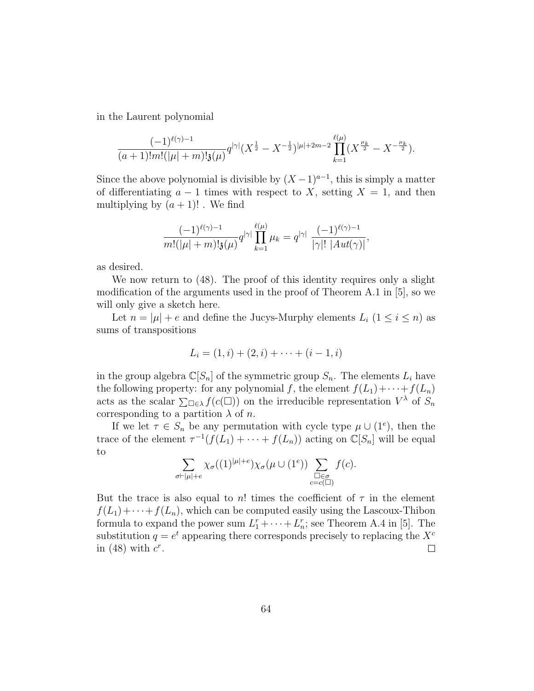in the Laurent polynomial

$$
\frac{(-1)^{\ell(\gamma)-1}}{(a+1)!m!(|\mu|+m)! \mathfrak{z}(\mu)} q^{|\gamma|}(X^{\frac{1}{2}} - X^{-\frac{1}{2}})^{|\mu|+2m-2} \prod_{k=1}^{\ell(\mu)} (X^{\frac{\mu_k}{2}} - X^{-\frac{\mu_k}{2}}).
$$

Since the above polynomial is divisible by  $(X-1)^{a-1}$ , this is simply a matter of differentiating  $a - 1$  times with respect to X, setting  $X = 1$ , and then multiplying by  $(a + 1)!$ . We find

$$
\frac{(-1)^{\ell(\gamma)-1}}{m!(|\mu|+m)! \mathfrak{z}(\mu)} q^{|\gamma|} \prod_{k=1}^{\ell(\mu)} \mu_k = q^{|\gamma|} \frac{(-1)^{\ell(\gamma)-1}}{|\gamma|! |Aut(\gamma)|},
$$

as desired.

We now return to  $(48)$ . The proof of this identity requires only a slight modification of the arguments used in the proof of Theorem A.1 in [5], so we will only give a sketch here.

Let  $n = |\mu| + e$  and define the Jucys-Murphy elements  $L_i$   $(1 \leq i \leq n)$  as sums of transpositions

$$
L_i = (1, i) + (2, i) + \cdots + (i - 1, i)
$$

in the group algebra  $\mathbb{C}[S_n]$  of the symmetric group  $S_n$ . The elements  $L_i$  have the following property: for any polynomial f, the element  $f(L_1)+\cdots+f(L_n)$ acts as the scalar  $\sum_{\square \in \lambda} f(c(\square))$  on the irreducible representation  $V^{\lambda}$  of  $S_n$ corresponding to a partition  $\lambda$  of n.

If we let  $\tau \in S_n$  be any permutation with cycle type  $\mu \cup (1^e)$ , then the trace of the element  $\tau^{-1}(f(L_1) + \cdots + f(L_n))$  acting on  $\mathbb{C}[S_n]$  will be equal to

$$
\sum_{\sigma \vdash |\mu| + e} \chi_{\sigma}((1)^{|\mu| + e}) \chi_{\sigma}(\mu \cup (1^e)) \sum_{\substack{\square \in \sigma \\ c = c(\square)}} f(c).
$$

But the trace is also equal to n! times the coefficient of  $\tau$  in the element  $f(L_1)+\cdots+f(L_n)$ , which can be computed easily using the Lascoux-Thibon formula to expand the power sum  $L_1^r + \cdots + L_n^r$ ; see Theorem A.4 in [5]. The substitution  $q = e^t$  appearing there corresponds precisely to replacing the  $X^c$ in (48) with  $c^r$ .  $\Box$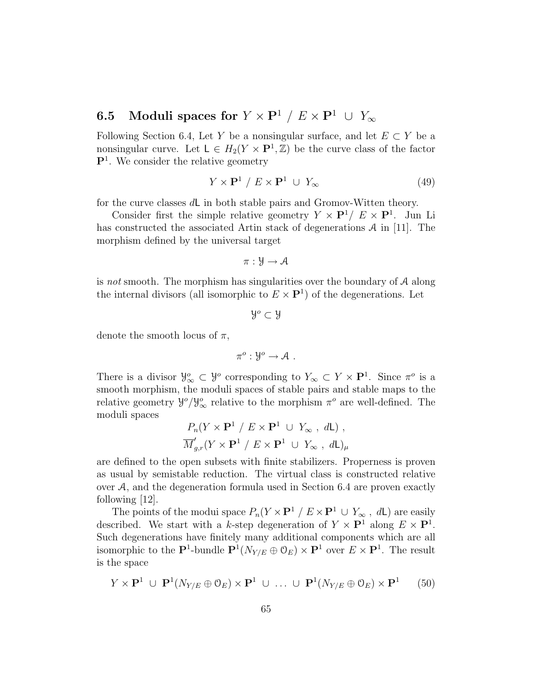# 6.5 Moduli spaces for  $Y \times \mathbf{P}^1 / E \times \mathbf{P}^1 \cup Y_\infty$

Following Section 6.4, Let Y be a nonsingular surface, and let  $E \subset Y$  be a nonsingular curve. Let  $L \in H_2(Y \times \mathbf{P}^1, \mathbb{Z})$  be the curve class of the factor P<sup>1</sup> . We consider the relative geometry

$$
Y \times \mathbf{P}^1 / E \times \mathbf{P}^1 \cup Y_{\infty} \tag{49}
$$

for the curve classes dL in both stable pairs and Gromov-Witten theory.

Consider first the simple relative geometry  $Y \times \mathbf{P}^1 / E \times \mathbf{P}^1$ . Jun Li has constructed the associated Artin stack of degenerations  $A$  in [11]. The morphism defined by the universal target

$$
\pi: \mathcal{Y} \to \mathcal{A}
$$

is not smooth. The morphism has singularities over the boundary of  $A$  along the internal divisors (all isomorphic to  $E \times \mathbf{P}^1$ ) of the degenerations. Let

$$
\mathcal{Y}^o \subset \mathcal{Y}
$$

denote the smooth locus of  $\pi$ ,

 $\pi^o: \mathcal{Y}^o \to \mathcal{A}$ .

There is a divisor  $\mathcal{Y}^o_\infty \subset \mathcal{Y}^o$  corresponding to  $Y_\infty \subset Y \times \mathbf{P}^1$ . Since  $\pi^o$  is a smooth morphism, the moduli spaces of stable pairs and stable maps to the relative geometry  $\mathcal{Y}^o/\mathcal{Y}^o_{\infty}$  relative to the morphism  $\pi^o$  are well-defined. The moduli spaces

$$
\frac{P_n(Y \times \mathbf{P}^1 / E \times \mathbf{P}^1 \cup Y_{\infty}, d\mathsf{L})}{\overline{M}'_{g,r}(Y \times \mathbf{P}^1 / E \times \mathbf{P}^1 \cup Y_{\infty}, d\mathsf{L})_{\mu}}
$$

are defined to the open subsets with finite stabilizers. Properness is proven as usual by semistable reduction. The virtual class is constructed relative over A, and the degeneration formula used in Section 6.4 are proven exactly following [12].

The points of the modui space  $P_n(Y \times \mathbf{P}^1 \mid E \times \mathbf{P}^1 \cup Y_\infty$ , dL) are easily described. We start with a k-step degeneration of  $Y \times \mathbf{P}^1$  along  $E \times \mathbf{P}^1$ . Such degenerations have finitely many additional components which are all isomorphic to the  $\mathbf{P}^1$ -bundle  $\mathbf{P}^1(N_{Y/E} \oplus \mathcal{O}_E) \times \mathbf{P}^1$  over  $E \times \mathbf{P}^1$ . The result is the space

$$
Y \times \mathbf{P}^1 \cup \mathbf{P}^1(N_{Y/E} \oplus \mathcal{O}_E) \times \mathbf{P}^1 \cup \dots \cup \mathbf{P}^1(N_{Y/E} \oplus \mathcal{O}_E) \times \mathbf{P}^1 \qquad (50)
$$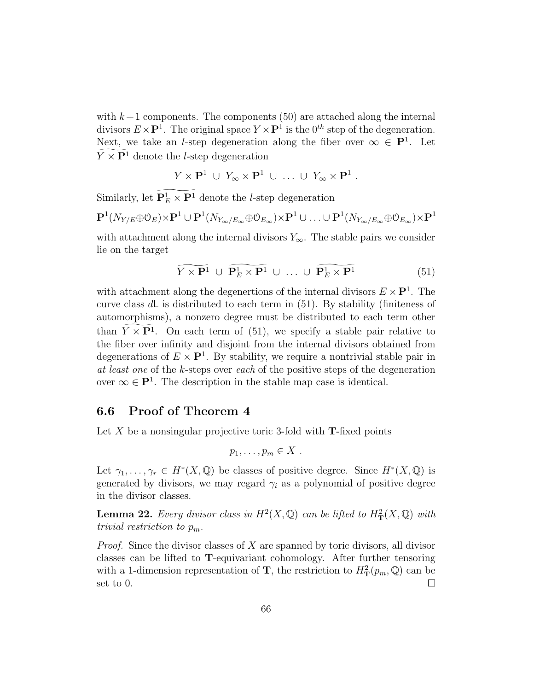with  $k+1$  components. The components (50) are attached along the internal divisors  $E \times \mathbf{P}^1$ . The original space  $Y \times \mathbf{P}^1$  is the  $0^{th}$  step of the degeneration. Next, we take an *l*-step degeneration along the fiber over  $\infty \in \mathbb{P}^1$ . Let  $Y \times \mathbf{P}^1$  denote the *l*-step degeneration

$$
Y \times \mathbf{P}^1 \cup Y_{\infty} \times \mathbf{P}^1 \cup \ldots \cup Y_{\infty} \times \mathbf{P}^1.
$$

Similarly, let  $\mathbf{P}_{E}^{1} \times \mathbf{P}^{1}$  denote the *l*-step degeneration

$$
\mathbf{P}^1(N_{Y/E} \oplus \mathcal{O}_E) \times \mathbf{P}^1 \cup \mathbf{P}^1(N_{Y_{\infty}/E_{\infty}} \oplus \mathcal{O}_{E_{\infty}}) \times \mathbf{P}^1 \cup \ldots \cup \mathbf{P}^1(N_{Y_{\infty}/E_{\infty}} \oplus \mathcal{O}_{E_{\infty}}) \times \mathbf{P}^1
$$

with attachment along the internal divisors  $Y_{\infty}$ . The stable pairs we consider lie on the target

$$
\widetilde{Y \times \mathbf{P}^1} \cup \widetilde{\mathbf{P}_E^1 \times \mathbf{P}^1} \cup \dots \cup \widetilde{\mathbf{P}_E^1 \times \mathbf{P}^1} \tag{51}
$$

with attachment along the degenertions of the internal divisors  $E \times \mathbf{P}^1$ . The curve class dL is distributed to each term in (51). By stability (finiteness of automorphisms), a nonzero degree must be distributed to each term other than  $Y \times \mathbf{P}^1$ . On each term of (51), we specify a stable pair relative to the fiber over infinity and disjoint from the internal divisors obtained from degenerations of  $E \times \mathbf{P}^1$ . By stability, we require a nontrivial stable pair in at least one of the k-steps over each of the positive steps of the degeneration over  $\infty \in \mathbf{P}^1$ . The description in the stable map case is identical.

#### 6.6 Proof of Theorem 4

Let  $X$  be a nonsingular projective toric 3-fold with **T**-fixed points

$$
p_1,\ldots,p_m\in X\ .
$$

Let  $\gamma_1, \ldots, \gamma_r \in H^*(X, \mathbb{Q})$  be classes of positive degree. Since  $H^*(X, \mathbb{Q})$  is generated by divisors, we may regard  $\gamma_i$  as a polynomial of positive degree in the divisor classes.

**Lemma 22.** Every divisor class in  $H^2(X, \mathbb{Q})$  can be lifted to  $H^2(\mathcal{X}, \mathbb{Q})$  with trivial restriction to  $p_m$ .

Proof. Since the divisor classes of X are spanned by toric divisors, all divisor classes can be lifted to T-equivariant cohomology. After further tensoring with a 1-dimension representation of **T**, the restriction to  $H^2_{\mathbf{T}}(p_m, \mathbb{Q})$  can be set to 0.  $\Box$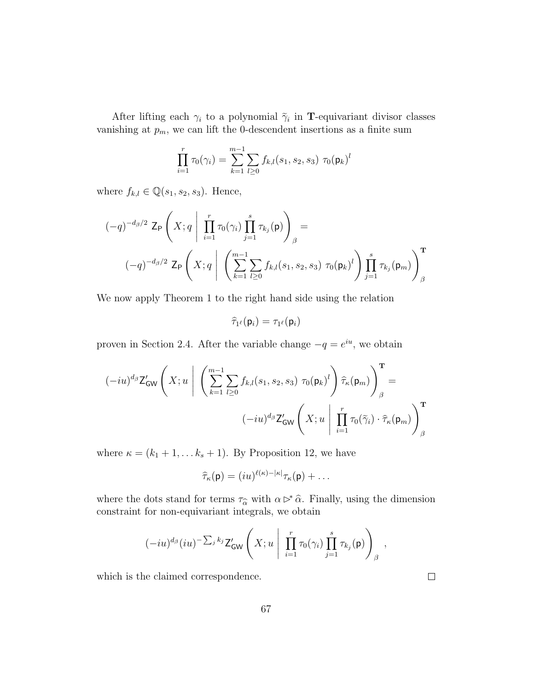After lifting each  $\gamma_i$  to a polynomial  $\tilde{\gamma}_i$  in **T**-equivariant divisor classes vanishing at  $p_m$ , we can lift the 0-descendent insertions as a finite sum

$$
\prod_{i=1}^{r} \tau_0(\gamma_i) = \sum_{k=1}^{m-1} \sum_{l \geq 0} f_{k,l}(s_1, s_2, s_3) \tau_0(\mathbf{p}_k)^l
$$

where  $f_{k,l} \in \mathbb{Q}(s_1, s_2, s_3)$ . Hence,

$$
(-q)^{-d_{\beta}/2} \mathsf{Z}_{\mathsf{P}}\left(X; q \mid \prod_{i=1}^{r} \tau_{0}(\gamma_{i}) \prod_{j=1}^{s} \tau_{k_{j}}(\mathsf{p})\right)_{\beta} =
$$

$$
(-q)^{-d_{\beta}/2} \mathsf{Z}_{\mathsf{P}}\left(X; q \mid \left(\sum_{k=1}^{m-1} \sum_{l\geq 0} f_{k,l}(s_{1}, s_{2}, s_{3}) \tau_{0}(\mathsf{p}_{k})^{l}\right) \prod_{j=1}^{s} \tau_{k_{j}}(\mathsf{p}_{m})\right)_{\beta}^{\mathsf{T}}
$$

We now apply Theorem 1 to the right hand side using the relation

 $\widehat{\tau}_{1^{\ell}}(\mathsf{p}_i)=\tau_{1^{\ell}}(\mathsf{p}_i)$ 

proven in Section 2.4. After the variable change  $-q = e^{iu}$ , we obtain

$$
(-iu)^{d_{\beta}}\mathsf{Z}_{\mathsf{GW}}'\Bigg(X;u\Bigg|\Bigg(\sum_{k=1}^{m-1}\sum_{l\geq 0}f_{k,l}(s_1,s_2,s_3)\;\tau_0(\mathsf{p}_k)^l\Bigg)\widehat{\tau}_{\kappa}(\mathsf{p}_m)\Bigg)_{\beta}^{\mathbf{T}}\\(-iu)^{d_{\beta}}\mathsf{Z}_{\mathsf{GW}}'\Bigg(X;u\Bigg|\prod_{i=1}^r\tau_0(\widetilde{\gamma}_i)\cdot\widehat{\tau}_{\kappa}(\mathsf{p}_m)\Bigg)_{\beta}^{\mathbf{T}}
$$

where  $\kappa = (k_1 + 1, \ldots k_s + 1)$ . By Proposition 12, we have

$$
\widehat{\tau}_{\kappa}(\mathsf{p})=(iu)^{\ell(\kappa)-|\kappa|}\tau_{\kappa}(\mathsf{p})+\ldots
$$

where the dots stand for terms  $\tau_{\hat{\alpha}}$  with  $\alpha \triangleright^* \hat{\alpha}$ . Finally, using the dimension constraint for non-equivariant integrals, we obtain

$$
(-iu)^{d_{\beta}}(iu)^{-\sum_j k_j} \mathsf{Z}_{\mathsf{GW}}'\left(X; u \mid \prod_{i=1}^r \tau_0(\gamma_i) \prod_{j=1}^s \tau_{k_j}(\mathsf{p})\right)_{\beta},
$$

which is the claimed correspondence.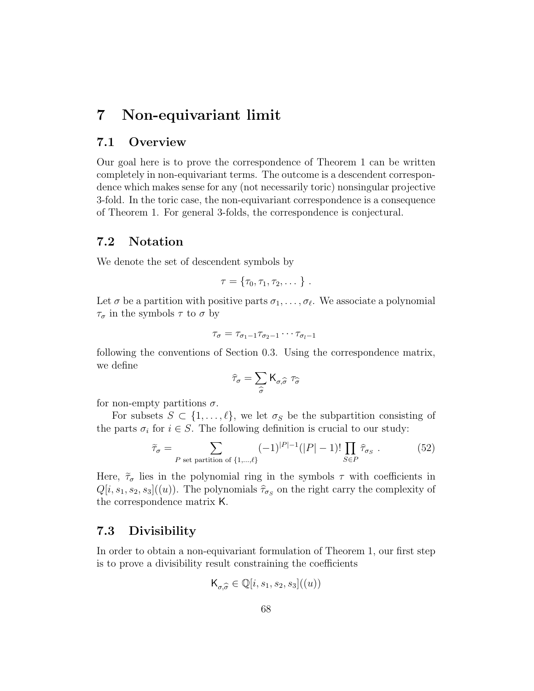# 7 Non-equivariant limit

### 7.1 Overview

Our goal here is to prove the correspondence of Theorem 1 can be written completely in non-equivariant terms. The outcome is a descendent correspondence which makes sense for any (not necessarily toric) nonsingular projective 3-fold. In the toric case, the non-equivariant correspondence is a consequence of Theorem 1. For general 3-folds, the correspondence is conjectural.

# 7.2 Notation

We denote the set of descendent symbols by

$$
\tau = \{\tau_0, \tau_1, \tau_2, \dots\}.
$$

Let  $\sigma$  be a partition with positive parts  $\sigma_1, \ldots, \sigma_\ell$ . We associate a polynomial  $\tau_{\sigma}$  in the symbols  $\tau$  to  $\sigma$  by

$$
\tau_{\sigma} = \tau_{\sigma_1 - 1} \tau_{\sigma_2 - 1} \cdots \tau_{\sigma_l - 1}
$$

following the conventions of Section 0.3. Using the correspondence matrix, we define

$$
\widehat{\tau}_{\sigma} = \sum_{\widehat{\sigma}} \mathsf{K}_{\sigma,\widehat{\sigma}} \,\tau_{\widehat{\sigma}}
$$

for non-empty partitions  $\sigma$ .

For subsets  $S \subset \{1, \ldots, \ell\}$ , we let  $\sigma_S$  be the subpartition consisting of the parts  $\sigma_i$  for  $i \in S$ . The following definition is crucial to our study:

$$
\widetilde{\tau}_{\sigma} = \sum_{P \text{ set partition of } \{1,\dots,\ell\}} (-1)^{|P|-1} (|P|-1)! \prod_{S \in P} \widehat{\tau}_{\sigma_S} . \tag{52}
$$

Here,  $\tilde{\tau}_{\sigma}$  lies in the polynomial ring in the symbols  $\tau$  with coefficients in  $Q[i, s_1, s_2, s_3]$  $((u))$ . The polynomials  $\hat{\tau}_{\sigma_S}$  on the right carry the complexity of the correspondence matrix K.

### 7.3 Divisibility

In order to obtain a non-equivariant formulation of Theorem 1, our first step is to prove a divisibility result constraining the coefficients

$$
\mathsf{K}_{\sigma,\widehat{\sigma}} \in \mathbb{Q}[i,s_1,s_2,s_3]((u))
$$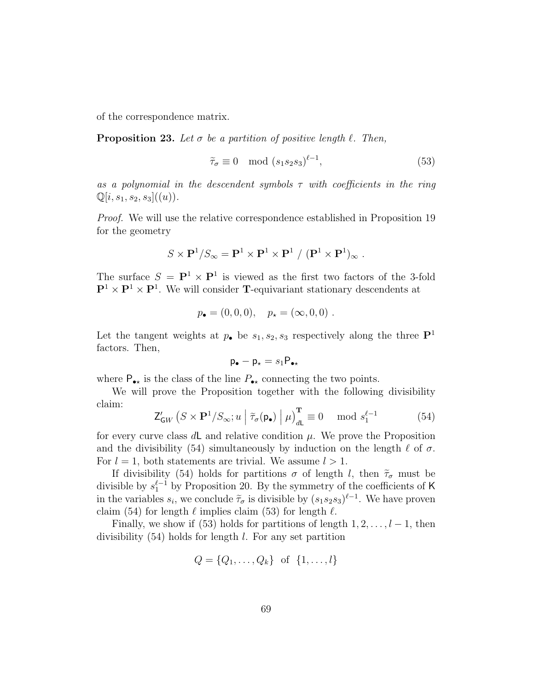of the correspondence matrix.

**Proposition 23.** Let  $\sigma$  be a partition of positive length  $\ell$ . Then,

$$
\tilde{\tau}_{\sigma} \equiv 0 \mod (s_1 s_2 s_3)^{\ell-1},\tag{53}
$$

as a polynomial in the descendent symbols  $\tau$  with coefficients in the ring  $\mathbb{Q}[i,s_1,s_2,s_3]$  $((u)).$ 

Proof. We will use the relative correspondence established in Proposition 19 for the geometry

$$
S\times\mathbf{P}^1/S_{\infty}=\mathbf{P}^1\times\mathbf{P}^1\times\mathbf{P}^1~/~(\mathbf{P}^1\times\mathbf{P}^1)_{\infty}~.
$$

The surface  $S = \mathbf{P}^1 \times \mathbf{P}^1$  is viewed as the first two factors of the 3-fold  $\mathbf{P}^1 \times \mathbf{P}^1 \times \mathbf{P}^1$ . We will consider **T**-equivariant stationary descendents at

$$
p_{\bullet} = (0,0,0), \quad p_{\star} = (\infty,0,0).
$$

Let the tangent weights at  $p_{\bullet}$  be  $s_1, s_2, s_3$  respectively along the three  $\mathbf{P}^1$ factors. Then,

$$
\mathsf{p}_\bullet-\mathsf{p}_\star=s_1\mathsf{P}_{\bullet\star}
$$

where  $P_{\bullet\star}$  is the class of the line  $P_{\bullet\star}$  connecting the two points.

We will prove the Proposition together with the following divisibility claim:

$$
\mathsf{Z}_{\mathsf{G}W}'\left(S \times \mathbf{P}^1/S_{\infty}; u \mid \widetilde{\tau}_{\sigma}(\mathsf{p}_{\bullet}) \mid \mu\right)_{d\mathsf{L}}^{\mathbf{T}} \equiv 0 \mod s_1^{\ell-1} \tag{54}
$$

for every curve class  $d\mathsf{L}$  and relative condition  $\mu$ . We prove the Proposition and the divisibility (54) simultaneously by induction on the length  $\ell$  of  $\sigma$ . For  $l = 1$ , both statements are trivial. We assume  $l > 1$ .

If divisibility (54) holds for partitions  $\sigma$  of length l, then  $\tilde{\tau}_{\sigma}$  must be divisible by  $s_1^{\ell-1}$  by Proposition 20. By the symmetry of the coefficients of K in the variables  $s_i$ , we conclude  $\tilde{\tau}_{\sigma}$  is divisible by  $(s_1s_2s_3)^{\ell-1}$ . We have proven claim (54) for length  $\ell$  implies claim (53) for length  $\ell$ .

Finally, we show if (53) holds for partitions of length  $1, 2, \ldots, l-1$ , then divisibility (54) holds for length l. For any set partition

$$
Q = \{Q_1, \ldots, Q_k\} \text{ of } \{1, \ldots, l\}
$$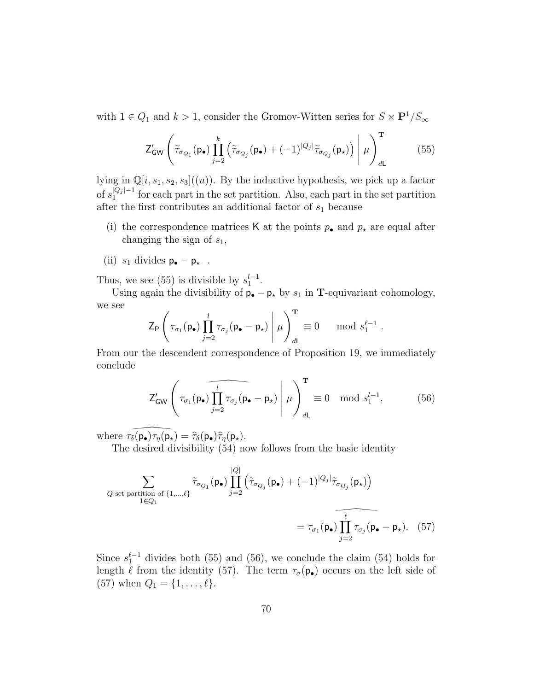with  $1 \in Q_1$  and  $k > 1$ , consider the Gromov-Witten series for  $S \times \mathbf{P}^1/S_{\infty}$ 

$$
\mathsf{Z}_{\mathsf{GW}}'\left(\widetilde{\tau}_{\sigma_{Q_1}}(\mathsf{p}_\bullet)\prod_{j=2}^k\left(\widetilde{\tau}_{\sigma_{Q_j}}(\mathsf{p}_\bullet)+(-1)^{|Q_j|}\widetilde{\tau}_{\sigma_{Q_j}}(\mathsf{p}_\star)\right)\Bigg|\,\mu\right)_{d\mathsf{L}}^{\mathbf{T}}\tag{55}
$$

lying in  $\mathbb{Q}[i,s_1,s_2,s_3]$  $((u))$ . By the inductive hypothesis, we pick up a factor of  $s_1^{|Q_j|-1}$  $\frac{1}{2}$  for each part in the set partition. Also, each part in the set partition after the first contributes an additional factor of  $s_1$  because

- (i) the correspondence matrices K at the points  $p_{\bullet}$  and  $p_{\star}$  are equal after changing the sign of  $s_1$ ,
- (ii)  $s_1$  divides  $p_{\bullet} p_{\star}$ .

Thus, we see (55) is divisible by  $s_1^{l-1}$ .

Using again the divisibility of  $p_{\bullet} - p_{\star}$  by  $s_1$  in **T**-equivariant cohomology, we see

$$
\mathsf{Z}_{\mathsf{P}}\left(\tau_{\sigma_1}(\mathsf{p}_\bullet)\prod_{j=2}^l\tau_{\sigma_j}(\mathsf{p}_\bullet-\mathsf{p}_\star)\Bigg|\,\mu\right)_{d\mathsf{L}}^{\mathsf{T}}\equiv 0\ \mod s_1^{\ell-1}\;.
$$

From our the descendent correspondence of Proposition 19, we immediately conclude

$$
\mathsf{Z}_{\mathsf{GW}}'\left(\tau_{\sigma_1}(\mathsf{p}_{\bullet})\prod_{j=2}^{l}\tau_{\sigma_j}(\mathsf{p}_{\bullet}-\mathsf{p}_{\star})\,\,\bigg|\,\,\mu\right)_{d\mathsf{L}}^{\mathsf{T}}\equiv 0\mod s_1^{l-1},\tag{56}
$$

where  $\tau_{\delta}(\mathbf{p}_{\bullet})\tau_{\eta}(\mathbf{p}_{\star}) = \hat{\tau}_{\delta}(\mathbf{p}_{\bullet})\hat{\tau}_{\eta}(\mathbf{p}_{\star}).$ 

The desired divisibility (54) now follows from the basic identity

$$
\sum_{Q \text{ set partition of } \{1,\ldots,\ell\}} \tilde{\tau}_{\sigma_{Q_1}}(\mathbf{p}_{\bullet}) \prod_{j=2}^{|Q|} \left( \tilde{\tau}_{\sigma_{Q_j}}(\mathbf{p}_{\bullet}) + (-1)^{|Q_j|} \tilde{\tau}_{\sigma_{Q_j}}(\mathbf{p}_{\star}) \right)
$$

$$
= \tau_{\sigma_1}(\mathbf{p}_{\bullet}) \prod_{j=2}^{\ell} \tau_{\sigma_j}(\mathbf{p}_{\bullet} - \mathbf{p}_{\star}). \quad (57)
$$

Since  $s_1^{\ell-1}$  divides both (55) and (56), we conclude the claim (54) holds for length  $\ell$  from the identity (57). The term  $\tau_{\sigma}(\mathbf{p}_{\bullet})$  occurs on the left side of (57) when  $Q_1 = \{1, ..., \ell\}.$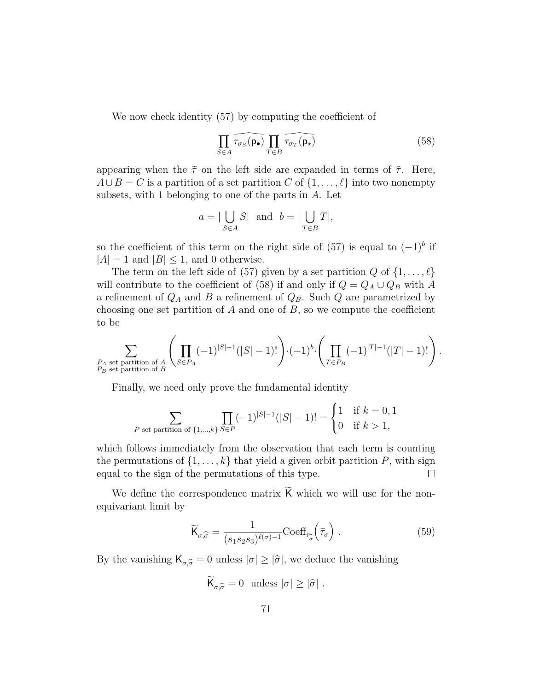We now check identity (57) by computing the coefficient of

$$
\prod_{S \in A} \widehat{\tau_{\sigma_S}(\mathbf{p}_\bullet)} \prod_{T \in B} \widehat{\tau_{\sigma_T}(\mathbf{p}_\star)} \tag{58}
$$

appearing when the  $\tilde{\tau}$  on the left side are expanded in terms of  $\hat{\tau}$ . Here,  $A \cup B = C$  is a partition of a set partition C of  $\{1, \ldots, \ell\}$  into two nonempty subsets, with 1 belonging to one of the parts in  $A$ . Let

$$
a = |\bigcup_{S \in A} S| \text{ and } b = |\bigcup_{T \in B} T|,
$$

so the coefficient of this term on the right side of  $(57)$  is equal to  $(-1)^b$  if  $|A| = 1$  and  $|B| \le 1$ , and 0 otherwise.

The term on the left side of (57) given by a set partition Q of  $\{1,\ldots,\ell\}$ will contribute to the coefficient of (58) if and only if  $Q = Q_A \cup Q_B$  with A a refinement of  $Q_A$  and B a refinement of  $Q_B$ . Such Q are parametrized by choosing one set partition of  $A$  and one of  $B$ , so we compute the coefficient to be

$$
\sum_{\substack{P_A \text{ set partition of }A \\ P_B \text{ set partition of } B}} \left(\prod_{S \in P_A} (-1)^{|S|-1}(|S|-1)!\right) \cdot (-1)^b \cdot \left(\prod_{T \in P_B} (-1)^{|T|-1}(|T|-1)!\right).
$$

Finally, we need only prove the fundamental identity

$$
\sum_{P \text{ set partition of } \{1,\dots,k\}} \prod_{S \in P} (-1)^{|S|-1} (|S|-1)! = \begin{cases} 1 & \text{if } k = 0, 1 \\ 0 & \text{if } k > 1, \end{cases}
$$

which follows immediately from the observation that each term is counting the permutations of  $\{1,\ldots,k\}$  that yield a given orbit partition P, with sign equal to the sign of the permutations of this type.  $\Box$ 

We define the correspondence matrix K which we will use for the nonequivariant limit by

$$
\widetilde{\mathsf{K}}_{\sigma,\widehat{\sigma}} = \frac{1}{(s_1 s_2 s_3)^{\ell(\sigma)-1}} \text{Coeff}_{\tau_{\widehat{\sigma}}} \left( \widetilde{\tau}_{\sigma} \right) . \tag{59}
$$

By the vanishing  $\mathsf{K}_{\sigma,\widehat{\sigma}}=0$  unless  $|\sigma|\geq |\widehat{\sigma}|$ , we deduce the vanishing

$$
\widetilde{\mathsf{K}}_{\sigma,\widehat{\sigma}}=0 \ \text{ unless } |\sigma| \geq |\widehat{\sigma}|.
$$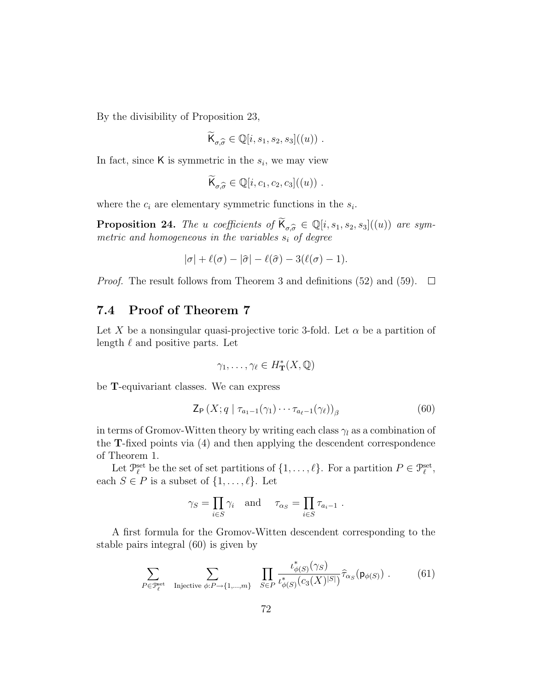By the divisibility of Proposition 23,

$$
\widetilde{\mathsf{K}}_{\sigma,\widehat{\sigma}} \in \mathbb{Q}[i,s_1,s_2,s_3]((u)) \ .
$$

In fact, since  $\mathsf K$  is symmetric in the  $s_i$ , we may view

$$
\overline{\mathsf{K}}_{\sigma,\widehat{\sigma}} \in \mathbb{Q}[i,c_1,c_2,c_3]((u)) \ .
$$

where the  $c_i$  are elementary symmetric functions in the  $s_i$ .

**Proposition 24.** The u coefficients of  $\mathcal{K}_{\sigma,\hat{\sigma}} \in \mathbb{Q}[i,s_1,s_2,s_3]$  $((u))$  are sym-<br>metric and homogeneous in the variables s of degree. metric and homogeneous in the variables  $s_i$  of degree

$$
|\sigma| + \ell(\sigma) - |\hat{\sigma}| - \ell(\hat{\sigma}) - 3(\ell(\sigma) - 1).
$$

*Proof.* The result follows from Theorem 3 and definitions (52) and (59).  $\Box$ 

# 7.4 Proof of Theorem 7

Let X be a nonsingular quasi-projective toric 3-fold. Let  $\alpha$  be a partition of length  $\ell$  and positive parts. Let

$$
\gamma_1,\ldots,\gamma_\ell\in H^*_{\mathbf T}(X,{\mathbb Q})
$$

be T-equivariant classes. We can express

$$
\mathsf{Z}_{\mathsf{P}}\left(X;q \mid \tau_{a_1-1}(\gamma_1)\cdots\tau_{a_\ell-1}(\gamma_\ell)\right)_{\beta}\tag{60}
$$

in terms of Gromov-Witten theory by writing each class  $\gamma_l$  as a combination of the T-fixed points via (4) and then applying the descendent correspondence of Theorem 1.

Let  $\mathcal{P}_{\ell}^{\text{set}}$  be the set of set partitions of  $\{1,\ldots,\ell\}$ . For a partition  $P \in \mathcal{P}_{\ell}^{\text{set}}$ , each  $S \in P$  is a subset of  $\{1, \ldots, \ell\}$ . Let

$$
\gamma_S = \prod_{i \in S} \gamma_i
$$
 and  $\tau_{\alpha_S} = \prod_{i \in S} \tau_{a_i-1}$ .

A first formula for the Gromov-Witten descendent corresponding to the stable pairs integral (60) is given by

$$
\sum_{P \in \mathcal{P}_{\ell}^{\text{set}}} \sum_{\text{Injective } \phi: P \to \{1, \dots, m\}} \prod_{S \in P} \frac{\iota_{\phi(S)}^*(\gamma_S)}{\iota_{\phi(S)}^*(c_3(X)^{|S|})} \hat{\tau}_{\alpha_S}(\mathsf{p}_{\phi(S)}) . \tag{61}
$$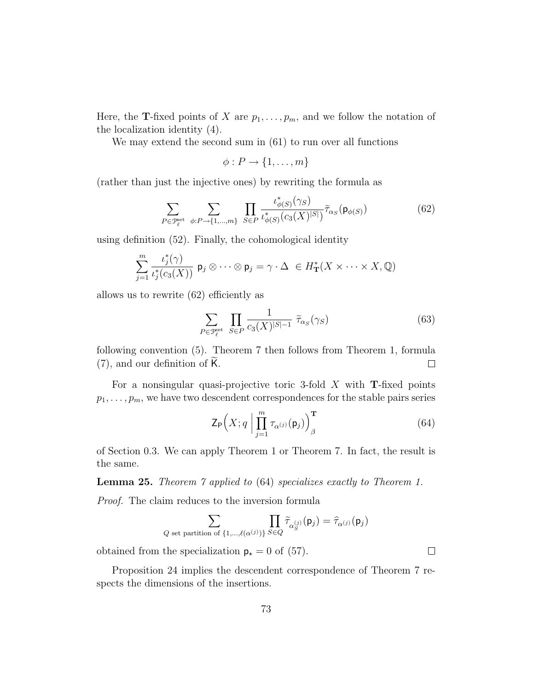Here, the **T**-fixed points of X are  $p_1, \ldots, p_m$ , and we follow the notation of the localization identity (4).

We may extend the second sum in  $(61)$  to run over all functions

$$
\phi: P \to \{1, \ldots, m\}
$$

(rather than just the injective ones) by rewriting the formula as

$$
\sum_{P \in \mathcal{P}_{\ell}^{\text{set}}} \sum_{\phi: P \to \{1, \dots, m\}} \prod_{S \in P} \frac{\iota_{\phi(S)}^*(\gamma_S)}{\iota_{\phi(S)}^*(c_3(X)^{|S|})} \tilde{\tau}_{\alpha_S}(\mathsf{p}_{\phi(S)}) \tag{62}
$$

using definition (52). Finally, the cohomological identity

$$
\sum_{j=1}^{m} \frac{\iota_j^*(\gamma)}{\iota_j^*(c_3(X))} \mathsf{p}_j \otimes \cdots \otimes \mathsf{p}_j = \gamma \cdot \Delta \in H_{\mathbf{T}}^*(X \times \cdots \times X, \mathbb{Q})
$$

allows us to rewrite (62) efficiently as

$$
\sum_{P \in \mathcal{P}_\ell^{\text{set}}} \prod_{S \in P} \frac{1}{c_3(X)^{|S|-1}} \ \tilde{\tau}_{\alpha_S}(\gamma_S) \tag{63}
$$

following convention (5). Theorem 7 then follows from Theorem 1, formula  $(7)$ , and our definition of K.  $\Box$ 

For a nonsingular quasi-projective toric 3-fold  $X$  with **T**-fixed points  $p_1, \ldots, p_m$ , we have two descendent correspondences for the stable pairs series

$$
\mathsf{Z}_{\mathsf{P}}\Big(X; q \Big| \prod_{j=1}^{m} \tau_{\alpha^{(j)}}(\mathsf{p}_{j})\Big)_{\beta}^{\mathbf{T}} \tag{64}
$$

 $\Box$ 

of Section 0.3. We can apply Theorem 1 or Theorem 7. In fact, the result is the same.

**Lemma 25.** Theorem 7 applied to (64) specializes exactly to Theorem 1.

Proof. The claim reduces to the inversion formula

$$
\sum_{Q \text{ set partition of } \{1,\ldots,\ell(\alpha^{(j)})\}} \prod_{S \in Q} \widetilde{\tau}_{\alpha_S^{(j)}}(\mathsf{p}_j) = \widehat{\tau}_{\alpha^{(j)}}(\mathsf{p}_j)
$$

obtained from the specialization  $p_{\star} = 0$  of (57).

Proposition 24 implies the descendent correspondence of Theorem 7 respects the dimensions of the insertions.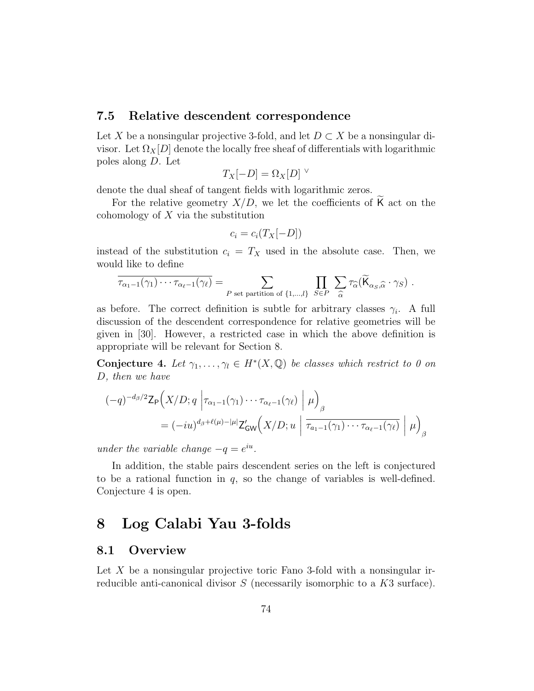#### 7.5 Relative descendent correspondence

Let X be a nonsingular projective 3-fold, and let  $D \subset X$  be a nonsingular divisor. Let  $\Omega_X[D]$  denote the locally free sheaf of differentials with logarithmic poles along D. Let

$$
T_X[-D] = \Omega_X[D]^\vee
$$

denote the dual sheaf of tangent fields with logarithmic zeros.

For the relative geometry  $X/D$ , we let the coefficients of K act on the cohomology of  $X$  via the substitution

$$
c_i = c_i(T_X[-D])
$$

instead of the substitution  $c_i = T_X$  used in the absolute case. Then, we would like to define

$$
\overline{\tau_{\alpha_1-1}(\gamma_1)\cdots\tau_{\alpha_\ell-1}(\gamma_\ell)} = \sum_{P \text{ set partition of } \{1,\dots,l\}} \prod_{S\in P} \sum_{\widehat{\alpha}} \tau_{\widehat{\alpha}}(\widetilde{\mathsf{K}}_{\alpha_S,\widehat{\alpha}}\cdot\gamma_S).
$$

as before. The correct definition is subtle for arbitrary classes  $\gamma_i$ . A full discussion of the descendent correspondence for relative geometries will be given in [30]. However, a restricted case in which the above definition is appropriate will be relevant for Section 8.

**Conjecture 4.** Let  $\gamma_1, \ldots, \gamma_l \in H^*(X, \mathbb{Q})$  be classes which restrict to 0 on D, then we have

$$
(-q)^{-d_{\beta}/2} \mathsf{Z}_{\mathsf{P}}\Big(X/D; q \left| \tau_{\alpha_{1}-1}(\gamma_{1}) \cdots \tau_{\alpha_{\ell}-1}(\gamma_{\ell}) \right| \mu \Big)_{\beta}
$$
  
=  $(-i u)^{d_{\beta}+\ell(\mu)-|\mu|} \mathsf{Z}_{\mathsf{GW}}'\Big(X/D; u \left| \overline{\tau_{a_{1}-1}(\gamma_{1}) \cdots \tau_{\alpha_{\ell}-1}(\gamma_{\ell})} \right| \mu \Big)_{\beta}$ 

under the variable change  $-q = e^{iu}$ .

In addition, the stable pairs descendent series on the left is conjectured to be a rational function in  $q$ , so the change of variables is well-defined. Conjecture 4 is open.

## 8 Log Calabi Yau 3-folds

#### 8.1 Overview

Let  $X$  be a nonsingular projective toric Fano 3-fold with a nonsingular irreducible anti-canonical divisor S (necessarily isomorphic to a K3 surface).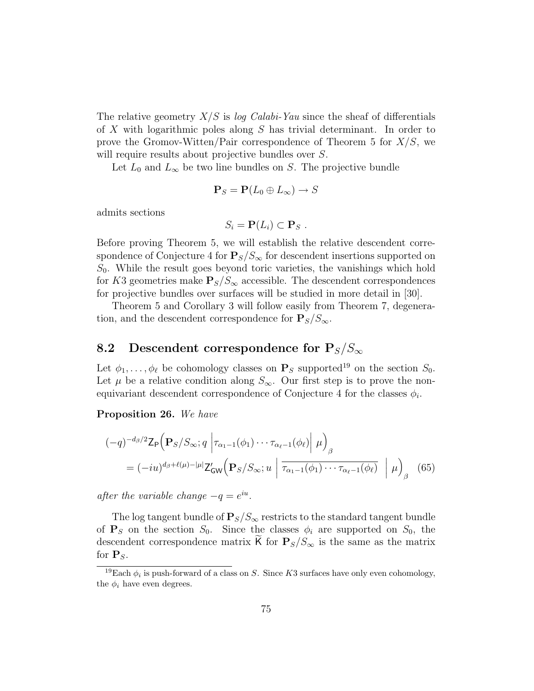The relative geometry  $X/S$  is log Calabi-Yau since the sheaf of differentials of X with logarithmic poles along S has trivial determinant. In order to prove the Gromov-Witten/Pair correspondence of Theorem 5 for  $X/S$ , we will require results about projective bundles over S.

Let  $L_0$  and  $L_{\infty}$  be two line bundles on S. The projective bundle

$$
\mathbf{P}_S = \mathbf{P}(L_0 \oplus L_\infty) \to S
$$

admits sections

$$
S_i = \mathbf{P}(L_i) \subset \mathbf{P}_S.
$$

Before proving Theorem 5, we will establish the relative descendent correspondence of Conjecture 4 for  $P_S/S_{\infty}$  for descendent insertions supported on  $S_0$ . While the result goes beyond toric varieties, the vanishings which hold for K3 geometries make  $P_s/S_\infty$  accessible. The descendent correspondences for projective bundles over surfaces will be studied in more detail in [30].

Theorem 5 and Corollary 3 will follow easily from Theorem 7, degeneration, and the descendent correspondence for  $P_S/S_{\infty}$ .

## 8.2 Descendent correspondence for  $P_S/S_{\infty}$

Let  $\phi_1, \ldots, \phi_\ell$  be cohomology classes on  $\mathbf{P}_S$  supported<sup>19</sup> on the section  $S_0$ . Let  $\mu$  be a relative condition along  $S_{\infty}$ . Our first step is to prove the nonequivariant descendent correspondence of Conjecture 4 for the classes  $\phi_i$ .

Proposition 26. We have

$$
(-q)^{-d_{\beta}/2} \mathsf{Z}_{\mathsf{P}}\Big(\mathbf{P}_{S}/S_{\infty}; q \left|\tau_{\alpha_{1}-1}(\phi_{1})\cdots\tau_{\alpha_{\ell}-1}(\phi_{\ell})\right| \mu\Big)_{\beta}
$$
  
=  $(-i u)^{d_{\beta}+\ell(\mu)-|\mu|} \mathsf{Z}_{\mathsf{GW}}'\Big(\mathbf{P}_{S}/S_{\infty}; u \left|\overline{\tau_{\alpha_{1}-1}(\phi_{1})\cdots\tau_{\alpha_{\ell}-1}(\phi_{\ell})}\right| \mu\Big)_{\beta}$  (65)

after the variable change  $-q = e^{iu}$ .

The log tangent bundle of  $P_S/S_\infty$  restricts to the standard tangent bundle of  $P<sub>S</sub>$  on the section  $S<sub>0</sub>$ . Since the classes  $\phi<sub>i</sub>$  are supported on  $S<sub>0</sub>$ , the descendent correspondence matrix K for  $P_s/S_{\infty}$  is the same as the matrix for  $P_S$ .

<sup>&</sup>lt;sup>19</sup>Each  $\phi_i$  is push-forward of a class on S. Since K3 surfaces have only even cohomology, the  $\phi_i$  have even degrees.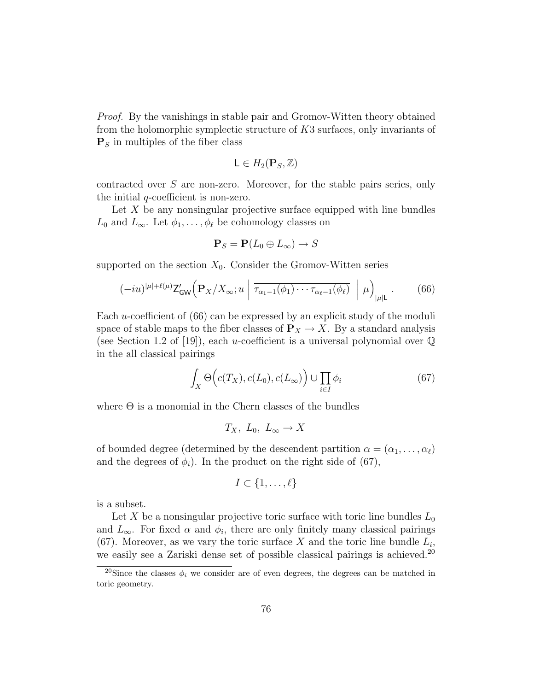Proof. By the vanishings in stable pair and Gromov-Witten theory obtained from the holomorphic symplectic structure of K3 surfaces, only invariants of  $\mathbf{P}_S$  in multiples of the fiber class

$$
\mathsf{L}\in H_2(\mathbf{P}_S,\mathbb{Z})
$$

contracted over S are non-zero. Moreover, for the stable pairs series, only the initial q-coefficient is non-zero.

Let  $X$  be any nonsingular projective surface equipped with line bundles  $L_0$  and  $L_\infty$ . Let  $\phi_1, \ldots, \phi_\ell$  be cohomology classes on

$$
\mathbf{P}_S = \mathbf{P}(L_0 \oplus L_\infty) \to S
$$

supported on the section  $X_0$ . Consider the Gromov-Witten series

$$
(-iu)^{|\mu|+\ell(\mu)}\mathsf{Z}_{\mathsf{GW}}'\Big(\mathbf{P}_X/X_\infty;u\Big|\overline{\tau_{\alpha_1-1}(\phi_1)\cdots\tau_{\alpha_\ell-1}(\phi_\ell)}\Big|\mu\Big)_{|\mu|\mathsf{L}}.\tag{66}
$$

Each u-coefficient of (66) can be expressed by an explicit study of the moduli space of stable maps to the fiber classes of  $P_X \to X$ . By a standard analysis (see Section 1.2 of [19]), each u-coefficient is a universal polynomial over  $\mathbb Q$ in the all classical pairings

$$
\int_{X} \Theta\Big(c(T_X), c(L_0), c(L_{\infty})\Big) \cup \prod_{i \in I} \phi_i \tag{67}
$$

where  $\Theta$  is a monomial in the Chern classes of the bundles

$$
T_X, L_0, L_{\infty} \to X
$$

of bounded degree (determined by the descendent partition  $\alpha = (\alpha_1, \ldots, \alpha_\ell)$ and the degrees of  $\phi_i$ ). In the product on the right side of (67),

$$
I \subset \{1, \ldots, \ell\}
$$

is a subset.

Let X be a nonsingular projective toric surface with toric line bundles  $L_0$ and  $L_{\infty}$ . For fixed  $\alpha$  and  $\phi_i$ , there are only finitely many classical pairings (67). Moreover, as we vary the toric surface X and the toric line bundle  $L_i$ , we easily see a Zariski dense set of possible classical pairings is achieved.<sup>20</sup>

<sup>&</sup>lt;sup>20</sup>Since the classes  $\phi_i$  we consider are of even degrees, the degrees can be matched in toric geometry.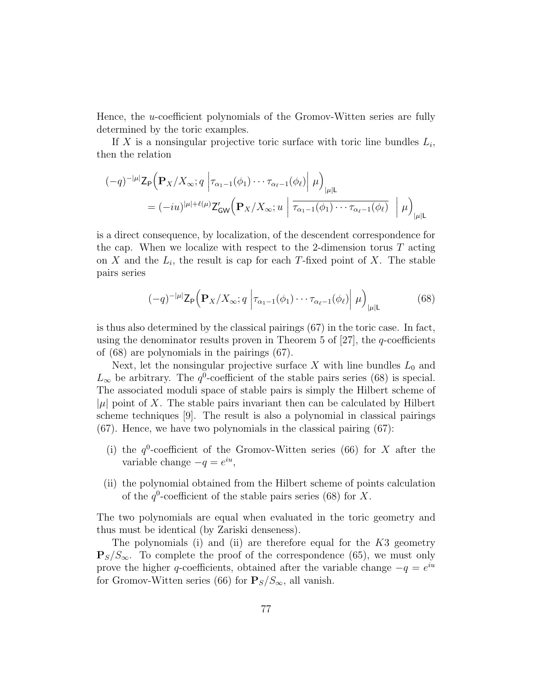Hence, the u-coefficient polynomials of the Gromov-Witten series are fully determined by the toric examples.

If X is a nonsingular projective toric surface with toric line bundles  $L_i$ , then the relation

$$
(-q)^{-|\mu|} \mathsf{Z}_{\mathsf{P}}\Big(\mathbf{P}_X/X_\infty; q \left| \tau_{\alpha_1-1}(\phi_1) \cdots \tau_{\alpha_\ell-1}(\phi_\ell) \right| \mu \Big)_{|\mu| \mathsf{L}}
$$
  
= 
$$
(-iu)^{|\mu| + \ell(\mu)} \mathsf{Z}_{\mathsf{GW}}'\Big(\mathbf{P}_X/X_\infty; u \left| \overline{\tau_{\alpha_1-1}(\phi_1) \cdots \tau_{\alpha_\ell-1}(\phi_\ell)} \right| \mu \Big)_{|\mu| \mathsf{L}}
$$

is a direct consequence, by localization, of the descendent correspondence for the cap. When we localize with respect to the 2-dimension torus  $T$  acting on X and the  $L_i$ , the result is cap for each T-fixed point of X. The stable pairs series

$$
(-q)^{-|\mu|} \mathsf{Z}_{\mathsf{P}}\Big(\mathbf{P}_X/X_\infty; q \left| \tau_{\alpha_1-1}(\phi_1)\cdots\tau_{\alpha_\ell-1}(\phi_\ell) \right| \mu \Big)_{|\mu| \mathsf{L}} \tag{68}
$$

is thus also determined by the classical pairings (67) in the toric case. In fact, using the denominator results proven in Theorem 5 of  $[27]$ , the q-coefficients of (68) are polynomials in the pairings (67).

Next, let the nonsingular projective surface  $X$  with line bundles  $L_0$  and  $L_{\infty}$  be arbitrary. The  $q^0$ -coefficient of the stable pairs series (68) is special. The associated moduli space of stable pairs is simply the Hilbert scheme of  $|\mu|$  point of X. The stable pairs invariant then can be calculated by Hilbert scheme techniques [9]. The result is also a polynomial in classical pairings (67). Hence, we have two polynomials in the classical pairing (67):

- (i) the  $q^0$ -coefficient of the Gromov-Witten series (66) for X after the variable change  $-q = e^{iu}$ ,
- (ii) the polynomial obtained from the Hilbert scheme of points calculation of the  $q^0$ -coefficient of the stable pairs series (68) for X.

The two polynomials are equal when evaluated in the toric geometry and thus must be identical (by Zariski denseness).

The polynomials (i) and (ii) are therefore equal for the  $K3$  geometry  $\mathbf{P}_S/S_{\infty}$ . To complete the proof of the correspondence (65), we must only prove the higher q-coefficients, obtained after the variable change  $-q = e^{iu}$ for Gromov-Witten series (66) for  $P_s/S_\infty$ , all vanish.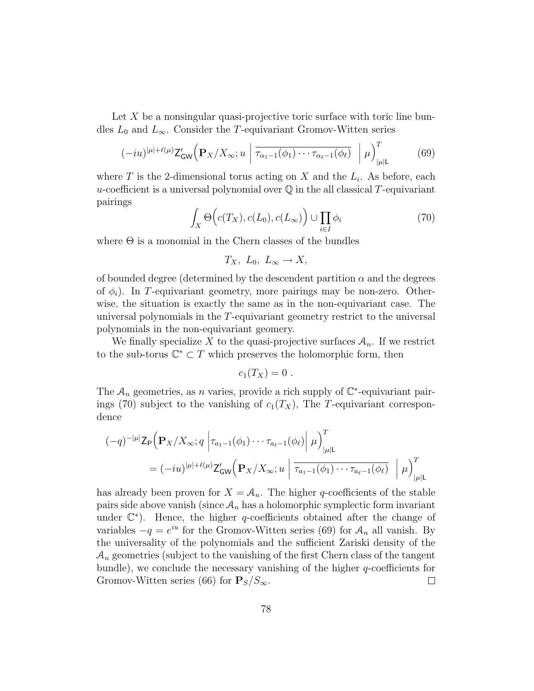Let X be a nonsingular quasi-projective toric surface with toric line bundles  $L_0$  and  $L_\infty$ . Consider the T-equivariant Gromov-Witten series

$$
(-iu)^{|\mu|+\ell(\mu)} \mathsf{Z}_{\mathsf{GW}}' \bigg( \mathbf{P}_X / X_\infty; u \mid \overline{\tau_{\alpha_1-1}(\phi_1) \cdots \tau_{\alpha_\ell-1}(\phi_\ell)} \mid \mu \bigg)_{|\mu| \mathsf{L}}^T \tag{69}
$$

where T is the 2-dimensional torus acting on X and the  $L_i$ . As before, each u-coefficient is a universal polynomial over  $\mathbb Q$  in the all classical T-equivariant pairings

$$
\int_{X} \Theta\Big(c(T_X), c(L_0), c(L_{\infty})\Big) \cup \prod_{i \in I} \phi_i \tag{70}
$$

where  $\Theta$  is a monomial in the Chern classes of the bundles

$$
T_X, L_0, L_{\infty} \to X,
$$

of bounded degree (determined by the descendent partition  $\alpha$  and the degrees of  $\phi_i$ ). In T-equivariant geometry, more pairings may be non-zero. Otherwise, the situation is exactly the same as in the non-equivariant case. The universal polynomials in the T-equivariant geometry restrict to the universal polynomials in the non-equivariant geomery.

We finally specialize X to the quasi-projective surfaces  $A_n$ . If we restrict to the sub-torus  $\mathbb{C}^* \subset T$  which preserves the holomorphic form, then

$$
c_1(T_X)=0.
$$

The  $A_n$  geometries, as n varies, provide a rich supply of  $\mathbb{C}^*$ -equivariant pairings (70) subject to the vanishing of  $c_1(T_X)$ , The T-equivariant correspondence

$$
(-q)^{-|\mu|} \mathsf{Z}_{\mathsf{P}}\Big(\mathbf{P}_X/X_\infty; q \left|\tau_{a_1-1}(\phi_1)\cdots\tau_{a_\ell-1}(\phi_\ell)\right| \mu\Big)_{|\mu|\mathsf{L}}^T
$$
  
=  $(-iu)^{|\mu|+\ell(\mu)} \mathsf{Z}_{\mathsf{GW}}'\Big(\mathbf{P}_X/X_\infty; u \left|\tau_{a_1-1}(\phi_1)\cdots\tau_{a_\ell-1}(\phi_\ell)\right| \mu\Big)_{|\mu|\mathsf{L}}^T$ 

has already been proven for  $X = A_n$ . The higher q-coefficients of the stable pairs side above vanish (since  $A_n$  has a holomorphic symplectic form invariant under  $\mathbb{C}^*$ ). Hence, the higher q-coefficients obtained after the change of variables  $-q = e^{iu}$  for the Gromov-Witten series (69) for  $A_n$  all vanish. By the universality of the polynomials and the sufficient Zariski density of the  $A_n$  geometries (subject to the vanishing of the first Chern class of the tangent bundle), we conclude the necessary vanishing of the higher  $q$ -coefficients for Gromov-Witten series (66) for  $P_S/S_{\infty}$ .  $\Box$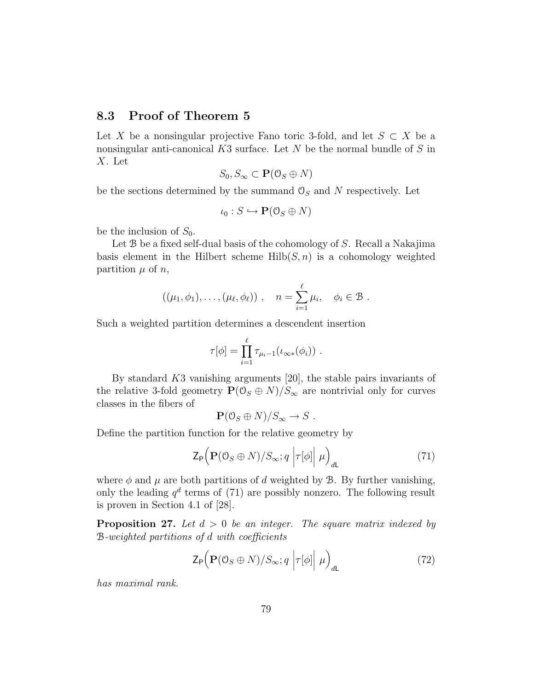### 8.3 Proof of Theorem 5

Let X be a nonsingular projective Fano toric 3-fold, and let  $S \subset X$  be a nonsingular anti-canonical  $K3$  surface. Let N be the normal bundle of S in X. Let

$$
S_0, S_{\infty} \subset \mathbf{P}(\mathcal{O}_S \oplus N)
$$

be the sections determined by the summand  $\mathcal{O}_S$  and N respectively. Let

$$
\iota_0: S \hookrightarrow \mathbf{P}(\mathbb{O}_S \oplus N)
$$

be the inclusion of  $S_0$ .

Let B be a fixed self-dual basis of the cohomology of S. Recall a Nakajima basis element in the Hilbert scheme  $Hilb(S,n)$  is a cohomology weighted partition  $\mu$  of n,

$$
((\mu_1,\phi_1),\ldots,(\mu_\ell,\phi_\ell)),\quad n=\sum_{i=1}^\ell\mu_i,\quad \phi_i\in\mathcal{B}.
$$

Such a weighted partition determines a descendent insertion

$$
\tau[\phi] = \prod_{i=1}^{\ell} \tau_{\mu_i - 1}(\iota_{\infty *}(\phi_i)) \ .
$$

By standard K3 vanishing arguments [20], the stable pairs invariants of the relative 3-fold geometry  $\mathbf{P}(\mathbb{O}_S \oplus N)/S_{\infty}$  are nontrivial only for curves classes in the fibers of

$$
\mathbf{P}(\mathbf{0}_S \oplus N)/S_\infty \to S .
$$

Define the partition function for the relative geometry by

$$
\mathsf{Z}_{\mathsf{P}}\Big(\mathbf{P}(\mathcal{O}_S \oplus N)/S_{\infty}; q \left|\tau[\phi]\right|\mu\Big)_{d\mathsf{L}}\tag{71}
$$

where  $\phi$  and  $\mu$  are both partitions of d weighted by **B**. By further vanishing, only the leading  $q^d$  terms of (71) are possibly nonzero. The following result is proven in Section 4.1 of [28].

**Proposition 27.** Let  $d > 0$  be an integer. The square matrix indexed by B-weighted partitions of d with coefficients

$$
\mathsf{Z}_{\mathsf{P}}\Big(\mathbf{P}(\mathbf{0}_S \oplus N)/S_{\infty}; q \left|\tau[\phi]\right|\mu\Big)_{d\mathsf{L}}\tag{72}
$$

has maximal rank.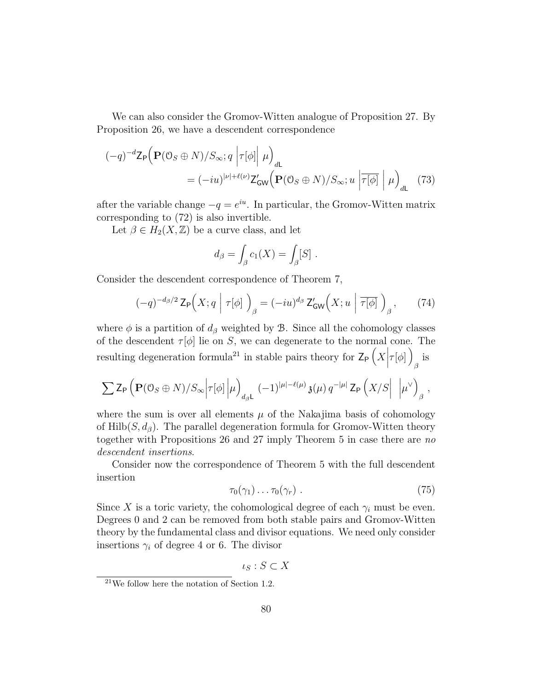We can also consider the Gromov-Witten analogue of Proposition 27. By Proposition 26, we have a descendent correspondence

$$
(-q)^{-d} \mathsf{Z}_{\mathsf{P}} \Big( \mathbf{P}(\mathbf{0}_{S} \oplus N)/S_{\infty}; q \left| \tau[\phi] \right| \mu \Big)_{d\mathsf{L}}
$$
  
=  $(-iu)^{|\nu| + \ell(\nu)} \mathsf{Z}_{\mathsf{GW}}' \Big( \mathbf{P}(\mathbf{0}_{S} \oplus N)/S_{\infty}; u \left| \overline{\tau[\phi]} \right| \mu \Big)_{d\mathsf{L}}$  (73)

after the variable change  $-q = e^{iu}$ . In particular, the Gromov-Witten matrix corresponding to (72) is also invertible.

Let  $\beta \in H_2(X,\mathbb{Z})$  be a curve class, and let

$$
d_{\beta} = \int_{\beta} c_1(X) = \int_{\beta} [S] .
$$

Consider the descendent correspondence of Theorem 7,

$$
(-q)^{-d_{\beta}/2} \mathsf{Z}_{\mathsf{P}}\Big(X; q \mid \tau[\phi] \Big)_{\beta} = (-iu)^{d_{\beta}} \mathsf{Z}_{\mathsf{GW}}'\Big(X; u \mid \overline{\tau[\phi]} \Big)_{\beta}, \qquad (74)
$$

where  $\phi$  is a partition of  $d_{\beta}$  weighted by B. Since all the cohomology classes of the descendent  $\tau[\phi]$  lie on S, we can degenerate to the normal cone. The resulting degeneration formula<sup>21</sup> in stable pairs theory for  $\mathsf{Z}_{\mathsf{P}}\left(X\Big|\tau[\phi]\right)$ β is

$$
\sum Z_{\mathsf{P}} \left( \mathbf{P}(\mathbf{0}_S \oplus N)/S_{\infty} \middle| \tau[\phi] \middle| \mu \right)_{d_{\beta} \mathsf{L}} (-1)^{|\mu| - \ell(\mu)} \mathfrak{z}(\mu) q^{-|\mu|} Z_{\mathsf{P}} \left( X/S \middle| \right) \left| \mu^{\vee} \right)_{\beta},
$$

where the sum is over all elements  $\mu$  of the Nakajima basis of cohomology of Hilb $(S, d_{\beta})$ . The parallel degeneration formula for Gromov-Witten theory together with Propositions 26 and 27 imply Theorem 5 in case there are no descendent insertions.

Consider now the correspondence of Theorem 5 with the full descendent insertion

$$
\tau_0(\gamma_1)\ldots\tau_0(\gamma_r) \ . \tag{75}
$$

Since X is a toric variety, the cohomological degree of each  $\gamma_i$  must be even. Degrees 0 and 2 can be removed from both stable pairs and Gromov-Witten theory by the fundamental class and divisor equations. We need only consider insertions  $\gamma_i$  of degree 4 or 6. The divisor

 $\iota_S : S \subset X$ 

 $21$ We follow here the notation of Section 1.2.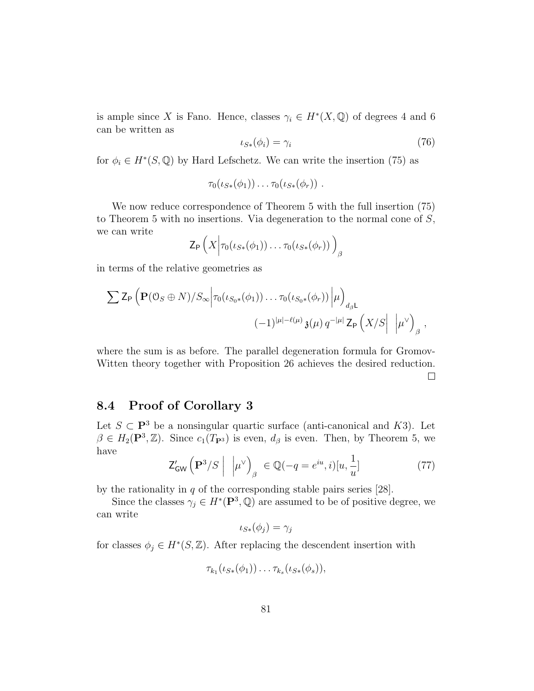is ample since X is Fano. Hence, classes  $\gamma_i \in H^*(X, \mathbb{Q})$  of degrees 4 and 6 can be written as

$$
\iota_{S*}(\phi_i) = \gamma_i \tag{76}
$$

for  $\phi_i \in H^*(S, \mathbb{Q})$  by Hard Lefschetz. We can write the insertion (75) as

$$
\tau_0(\iota_{S*}(\phi_1))\ldots\tau_0(\iota_{S*}(\phi_r))\ .
$$

We now reduce correspondence of Theorem 5 with the full insertion (75) to Theorem 5 with no insertions. Via degeneration to the normal cone of S, we can write

$$
\mathsf{Z}_{\mathsf{P}}\left(X\Big|\tau_0(\iota_{S*}(\phi_1))\ldots\tau_0(\iota_{S*}(\phi_r))\right)_{\beta}
$$

in terms of the relative geometries as

$$
\sum Z_{\mathsf{P}} \left( \mathbf{P}(\mathbf{0}_S \oplus N)/S_{\infty} \middle| \tau_0(\iota_{S_0*}(\phi_1)) \dots \tau_0(\iota_{S_0*}(\phi_r)) \middle| \mu \right)_{d_{\beta} \mathsf{L}} \n(-1)^{|\mu| - \ell(\mu)} \mathfrak{z}(\mu) q^{-|\mu|} Z_{\mathsf{P}} \left( X/S \middle| \right) \left| \mu^{\vee} \right)_{\beta},
$$

where the sum is as before. The parallel degeneration formula for Gromov-Witten theory together with Proposition 26 achieves the desired reduction.  $\Box$ 

## 8.4 Proof of Corollary 3

Let  $S \subset \mathbf{P}^3$  be a nonsingular quartic surface (anti-canonical and K3). Let  $\beta \in H_2(\mathbf{P}^3, \mathbb{Z})$ . Since  $c_1(T_{\mathbf{P}^3})$  is even,  $d_{\beta}$  is even. Then, by Theorem 5, we have

$$
\mathsf{Z}_{\mathsf{GW}}'\left(\mathbf{P}^3/S\;\middle|\; \; \left|\mu^{\vee}\right\rangle_{\beta} \;\in \mathbb{Q}(-q=e^{iu},i)[u,\frac{1}{u}] \tag{77}
$$

by the rationality in  $q$  of the corresponding stable pairs series [28].

Since the classes  $\gamma_j \in H^*(\mathbf{P}^3, \mathbb{Q})$  are assumed to be of positive degree, we can write

$$
\iota_{S*}(\phi_j)=\gamma_j
$$

for classes  $\phi_j \in H^*(S, \mathbb{Z})$ . After replacing the descendent insertion with

$$
\tau_{k_1}(\iota_{S*}(\phi_1))\ldots \tau_{k_s}(\iota_{S*}(\phi_s)),
$$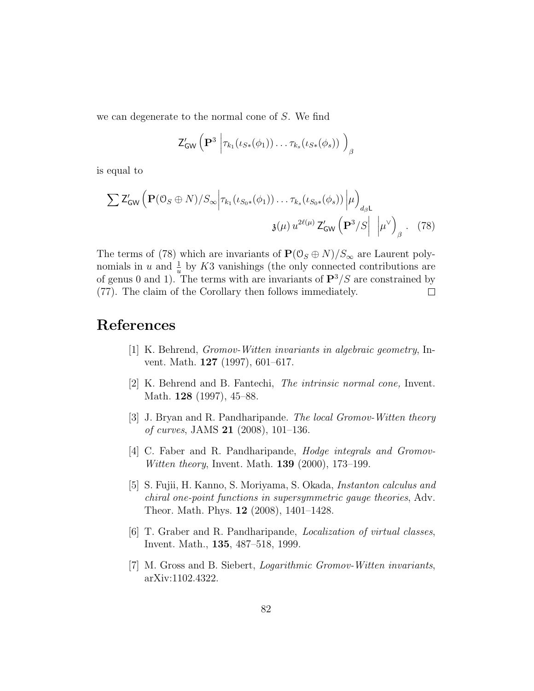we can degenerate to the normal cone of S. We find

$$
\mathsf{Z}_{\mathsf{GW}}'\left(\mathbf{P}^3 \middle| \tau_{k_1}(\iota_{S*}(\phi_1)) \ldots \tau_{k_s}(\iota_{S*}(\phi_s)) \right)_{\beta}
$$

is equal to

$$
\sum Z'_{GW} \left( \mathbf{P}(0_S \oplus N) / S_{\infty} \middle| \tau_{k_1}(\iota_{S_0*}(\phi_1)) \dots \tau_{k_s}(\iota_{S_0*}(\phi_s)) \middle| \mu \right)_{d_{\beta} \mathsf{L}}
$$
  

$$
\mathfrak{z}(\mu) u^{2\ell(\mu)} Z'_{GW} \left( \mathbf{P}^3 / S \middle| \right) \left| \mu^{\vee} \right)_{\beta} . \quad (78)
$$

The terms of (78) which are invariants of  $P(\mathcal{O}_S \oplus N)/S_{\infty}$  are Laurent polynomials in u and  $\frac{1}{u}$  by K3 vanishings (the only connected contributions are of genus 0 and 1). The terms with are invariants of  $\mathbf{P}^{3}/S$  are constrained by (77). The claim of the Corollary then follows immediately.  $\Box$ 

# References

- [1] K. Behrend, Gromov-Witten invariants in algebraic geometry, Invent. Math. 127 (1997), 601–617.
- [2] K. Behrend and B. Fantechi, The intrinsic normal cone, Invent. Math. **128** (1997), 45–88.
- [3] J. Bryan and R. Pandharipande. The local Gromov-Witten theory of curves, JAMS 21 (2008), 101–136.
- [4] C. Faber and R. Pandharipande, Hodge integrals and Gromov-Witten theory, Invent. Math. **139** (2000), 173–199.
- [5] S. Fujii, H. Kanno, S. Moriyama, S. Okada, Instanton calculus and chiral one-point functions in supersymmetric gauge theories, Adv. Theor. Math. Phys. 12 (2008), 1401–1428.
- [6] T. Graber and R. Pandharipande, Localization of virtual classes, Invent. Math., 135, 487–518, 1999.
- [7] M. Gross and B. Siebert, Logarithmic Gromov-Witten invariants, arXiv:1102.4322.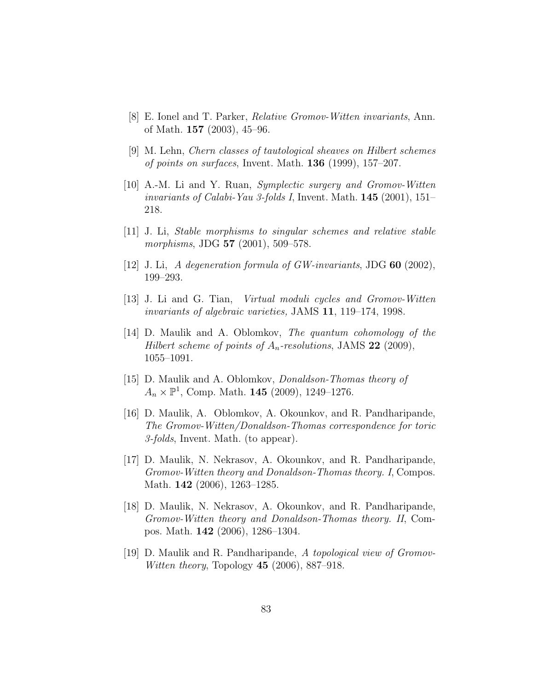- [8] E. Ionel and T. Parker, Relative Gromov-Witten invariants, Ann. of Math. 157 (2003), 45–96.
- [9] M. Lehn, Chern classes of tautological sheaves on Hilbert schemes of points on surfaces, Invent. Math.  $136$  (1999), 157–207.
- [10] A.-M. Li and Y. Ruan, Symplectic surgery and Gromov-Witten invariants of Calabi-Yau 3-folds I, Invent. Math. 145 (2001), 151– 218.
- [11] J. Li, Stable morphisms to singular schemes and relative stable morphisms, JDG 57 (2001), 509-578.
- [12] J. Li, A degeneration formula of  $GW-invariants$ , JDG 60 (2002), 199–293.
- [13] J. Li and G. Tian, Virtual moduli cycles and Gromov-Witten invariants of algebraic varieties, JAMS 11, 119–174, 1998.
- $[14]$  D. Maulik and A. Oblomkov, *The quantum cohomology of the* Hilbert scheme of points of  $A_n$ -resolutions, JAMS 22 (2009), 1055–1091.
- [15] D. Maulik and A. Oblomkov, Donaldson-Thomas theory of  $A_n \times \mathbb{P}^1$ , Comp. Math. **145** (2009), 1249-1276.
- [16] D. Maulik, A. Oblomkov, A. Okounkov, and R. Pandharipande, The Gromov-Witten/Donaldson-Thomas correspondence for toric 3-folds, Invent. Math. (to appear).
- [17] D. Maulik, N. Nekrasov, A. Okounkov, and R. Pandharipande, Gromov-Witten theory and Donaldson-Thomas theory. I, Compos. Math. 142 (2006), 1263–1285.
- [18] D. Maulik, N. Nekrasov, A. Okounkov, and R. Pandharipande, Gromov-Witten theory and Donaldson-Thomas theory. II, Compos. Math. 142 (2006), 1286–1304.
- [19] D. Maulik and R. Pandharipande, A topological view of Gromov-*Witten theory*, Topology  $45$  (2006), 887–918.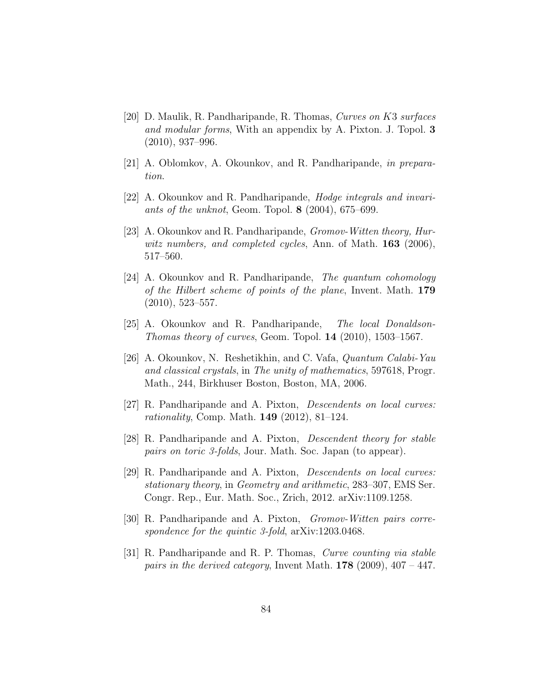- [20] D. Maulik, R. Pandharipande, R. Thomas, Curves on K3 surfaces and modular forms, With an appendix by A. Pixton. J. Topol. 3 (2010), 937–996.
- [21] A. Oblomkov, A. Okounkov, and R. Pandharipande, in preparation.
- [22] A. Okounkov and R. Pandharipande, Hodge integrals and invariants of the unknot, Geom. Topol. 8 (2004), 675–699.
- [23] A. Okounkov and R. Pandharipande, Gromov-Witten theory, Hurwitz numbers, and completed cycles, Ann. of Math.  $163$  (2006), 517–560.
- [24] A. Okounkov and R. Pandharipande, The quantum cohomology of the Hilbert scheme of points of the plane, Invent. Math. 179 (2010), 523–557.
- [25] A. Okounkov and R. Pandharipande, The local Donaldson-Thomas theory of curves, Geom. Topol. 14 (2010), 1503–1567.
- [26] A. Okounkov, N. Reshetikhin, and C. Vafa, Quantum Calabi-Yau and classical crystals, in The unity of mathematics, 597618, Progr. Math., 244, Birkhuser Boston, Boston, MA, 2006.
- [27] R. Pandharipande and A. Pixton, Descendents on local curves: rationality, Comp. Math. 149 (2012), 81–124.
- [28] R. Pandharipande and A. Pixton, Descendent theory for stable pairs on toric 3-folds, Jour. Math. Soc. Japan (to appear).
- [29] R. Pandharipande and A. Pixton, Descendents on local curves: stationary theory, in Geometry and arithmetic, 283–307, EMS Ser. Congr. Rep., Eur. Math. Soc., Zrich, 2012. arXiv:1109.1258.
- [30] R. Pandharipande and A. Pixton, Gromov-Witten pairs correspondence for the quintic 3-fold,  $arXiv:1203.0468$ .
- [31] R. Pandharipande and R. P. Thomas, Curve counting via stable pairs in the derived category, Invent Math.  $178$  (2009), 407 – 447.